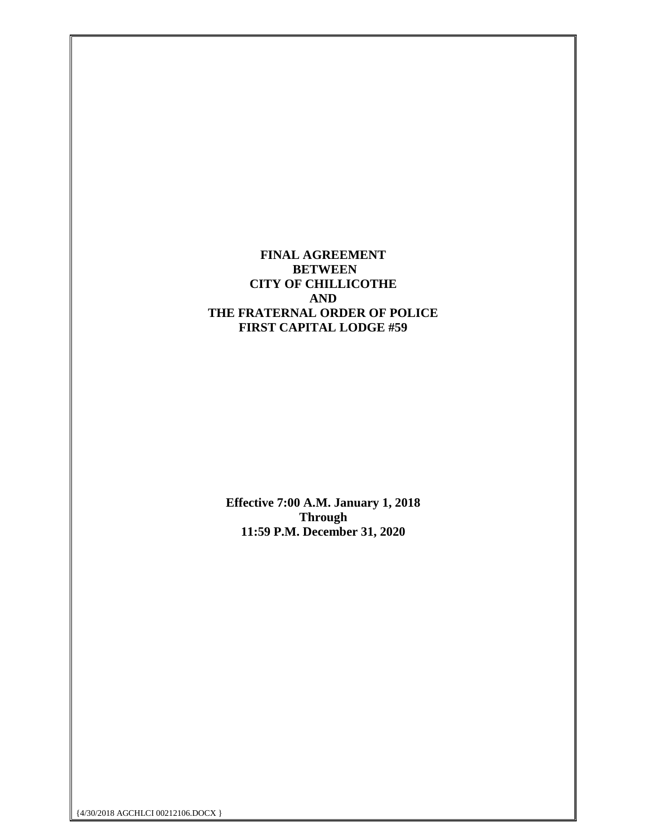**FINAL AGREEMENT BETWEEN CITY OF CHILLICOTHE AND THE FRATERNAL ORDER OF POLICE FIRST CAPITAL LODGE #59**

**Effective 7:00 A.M. January 1, 2018 Through 11:59 P.M. December 31, 2020**

{4/30/2018 AGCHLCI 00212106.DOCX }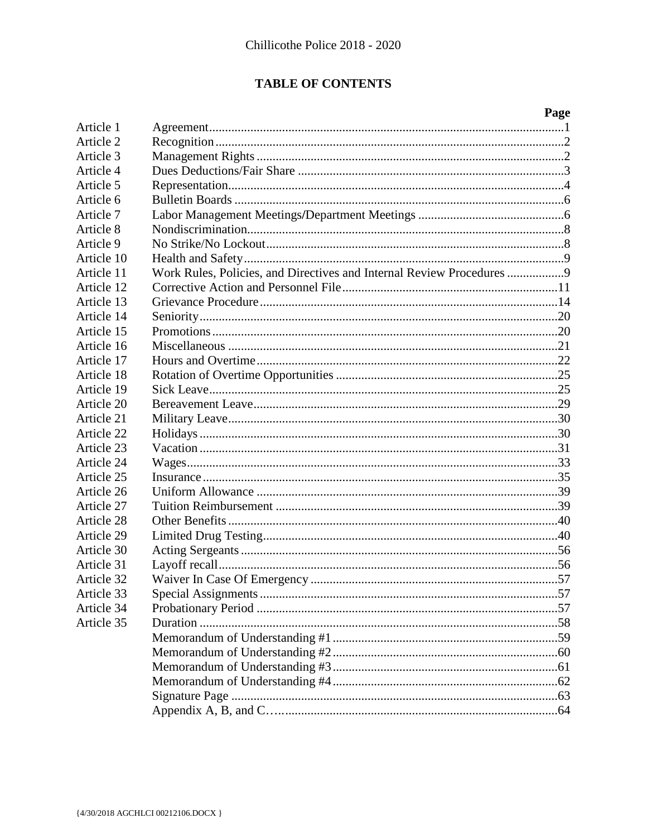# **TABLE OF CONTENTS**

|            |                                                                       | Page |
|------------|-----------------------------------------------------------------------|------|
| Article 1  |                                                                       |      |
| Article 2  |                                                                       |      |
| Article 3  |                                                                       |      |
| Article 4  |                                                                       |      |
| Article 5  |                                                                       |      |
| Article 6  |                                                                       |      |
| Article 7  |                                                                       |      |
| Article 8  |                                                                       |      |
| Article 9  |                                                                       |      |
| Article 10 |                                                                       |      |
| Article 11 | Work Rules, Policies, and Directives and Internal Review Procedures 9 |      |
| Article 12 |                                                                       |      |
| Article 13 |                                                                       |      |
| Article 14 |                                                                       |      |
| Article 15 |                                                                       |      |
| Article 16 |                                                                       |      |
| Article 17 |                                                                       |      |
| Article 18 |                                                                       |      |
| Article 19 |                                                                       |      |
| Article 20 |                                                                       |      |
| Article 21 |                                                                       |      |
| Article 22 |                                                                       |      |
| Article 23 |                                                                       |      |
| Article 24 |                                                                       |      |
| Article 25 |                                                                       |      |
| Article 26 |                                                                       |      |
| Article 27 |                                                                       |      |
| Article 28 |                                                                       |      |
| Article 29 |                                                                       |      |
| Article 30 |                                                                       |      |
| Article 31 |                                                                       |      |
| Article 32 |                                                                       |      |
| Article 33 |                                                                       |      |
| Article 34 |                                                                       |      |
| Article 35 |                                                                       |      |
|            |                                                                       |      |
|            |                                                                       |      |
|            |                                                                       |      |
|            |                                                                       |      |
|            |                                                                       |      |
|            |                                                                       |      |
|            |                                                                       |      |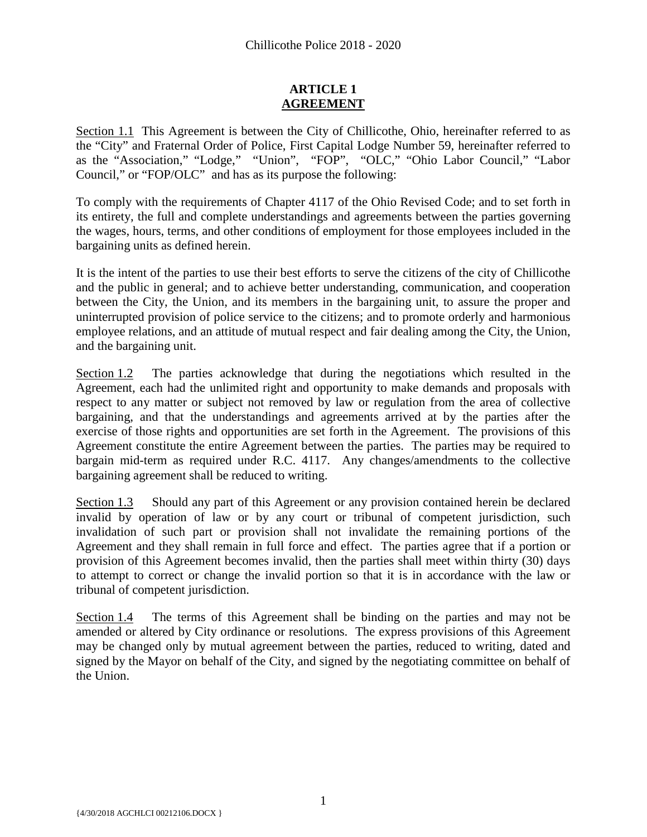# **ARTICLE 1 AGREEMENT**

<span id="page-2-0"></span>Section 1.1 This Agreement is between the City of Chillicothe, Ohio, hereinafter referred to as the "City" and Fraternal Order of Police, First Capital Lodge Number 59, hereinafter referred to as the "Association," "Lodge," "Union", "FOP", "OLC," "Ohio Labor Council," "Labor Council," or "FOP/OLC" and has as its purpose the following:

To comply with the requirements of Chapter 4117 of the Ohio Revised Code; and to set forth in its entirety, the full and complete understandings and agreements between the parties governing the wages, hours, terms, and other conditions of employment for those employees included in the bargaining units as defined herein.

It is the intent of the parties to use their best efforts to serve the citizens of the city of Chillicothe and the public in general; and to achieve better understanding, communication, and cooperation between the City, the Union, and its members in the bargaining unit, to assure the proper and uninterrupted provision of police service to the citizens; and to promote orderly and harmonious employee relations, and an attitude of mutual respect and fair dealing among the City, the Union, and the bargaining unit.

Section 1.2 The parties acknowledge that during the negotiations which resulted in the Agreement, each had the unlimited right and opportunity to make demands and proposals with respect to any matter or subject not removed by law or regulation from the area of collective bargaining, and that the understandings and agreements arrived at by the parties after the exercise of those rights and opportunities are set forth in the Agreement. The provisions of this Agreement constitute the entire Agreement between the parties. The parties may be required to bargain mid-term as required under R.C. 4117. Any changes/amendments to the collective bargaining agreement shall be reduced to writing.

Section 1.3 Should any part of this Agreement or any provision contained herein be declared invalid by operation of law or by any court or tribunal of competent jurisdiction, such invalidation of such part or provision shall not invalidate the remaining portions of the Agreement and they shall remain in full force and effect. The parties agree that if a portion or provision of this Agreement becomes invalid, then the parties shall meet within thirty (30) days to attempt to correct or change the invalid portion so that it is in accordance with the law or tribunal of competent jurisdiction.

Section 1.4 The terms of this Agreement shall be binding on the parties and may not be amended or altered by City ordinance or resolutions. The express provisions of this Agreement may be changed only by mutual agreement between the parties, reduced to writing, dated and signed by the Mayor on behalf of the City, and signed by the negotiating committee on behalf of the Union.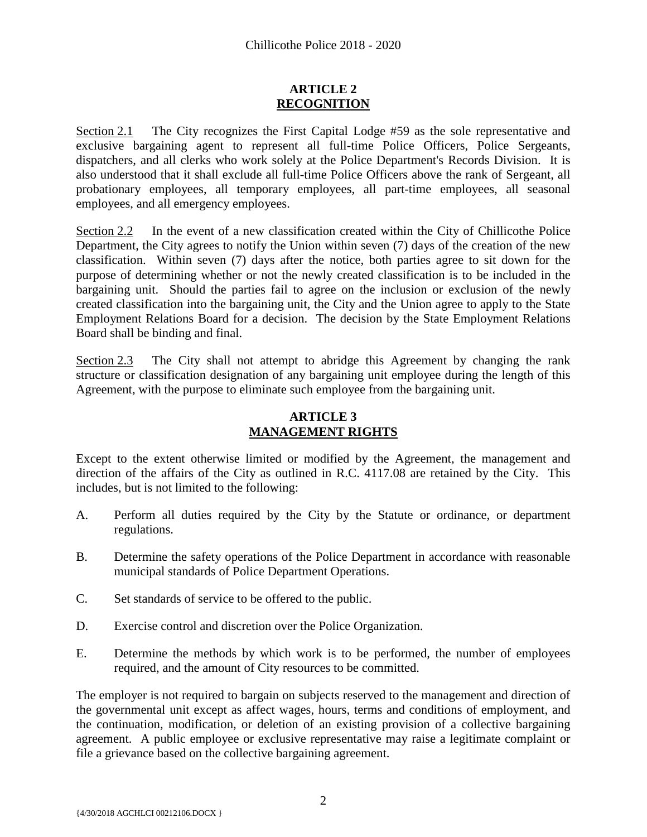# **ARTICLE 2 RECOGNITION**

<span id="page-3-0"></span>Section 2.1 The City recognizes the First Capital Lodge #59 as the sole representative and exclusive bargaining agent to represent all full-time Police Officers, Police Sergeants, dispatchers, and all clerks who work solely at the Police Department's Records Division. It is also understood that it shall exclude all full-time Police Officers above the rank of Sergeant, all probationary employees, all temporary employees, all part-time employees, all seasonal employees, and all emergency employees.

Section 2.2 In the event of a new classification created within the City of Chillicothe Police Department, the City agrees to notify the Union within seven (7) days of the creation of the new classification. Within seven (7) days after the notice, both parties agree to sit down for the purpose of determining whether or not the newly created classification is to be included in the bargaining unit. Should the parties fail to agree on the inclusion or exclusion of the newly created classification into the bargaining unit, the City and the Union agree to apply to the State Employment Relations Board for a decision. The decision by the State Employment Relations Board shall be binding and final.

Section 2.3 The City shall not attempt to abridge this Agreement by changing the rank structure or classification designation of any bargaining unit employee during the length of this Agreement, with the purpose to eliminate such employee from the bargaining unit.

# **ARTICLE 3 MANAGEMENT RIGHTS**

<span id="page-3-1"></span>Except to the extent otherwise limited or modified by the Agreement, the management and direction of the affairs of the City as outlined in R.C. 4117.08 are retained by the City. This includes, but is not limited to the following:

- A. Perform all duties required by the City by the Statute or ordinance, or department regulations.
- B. Determine the safety operations of the Police Department in accordance with reasonable municipal standards of Police Department Operations.
- C. Set standards of service to be offered to the public.
- D. Exercise control and discretion over the Police Organization.
- E. Determine the methods by which work is to be performed, the number of employees required, and the amount of City resources to be committed.

The employer is not required to bargain on subjects reserved to the management and direction of the governmental unit except as affect wages, hours, terms and conditions of employment, and the continuation, modification, or deletion of an existing provision of a collective bargaining agreement. A public employee or exclusive representative may raise a legitimate complaint or file a grievance based on the collective bargaining agreement.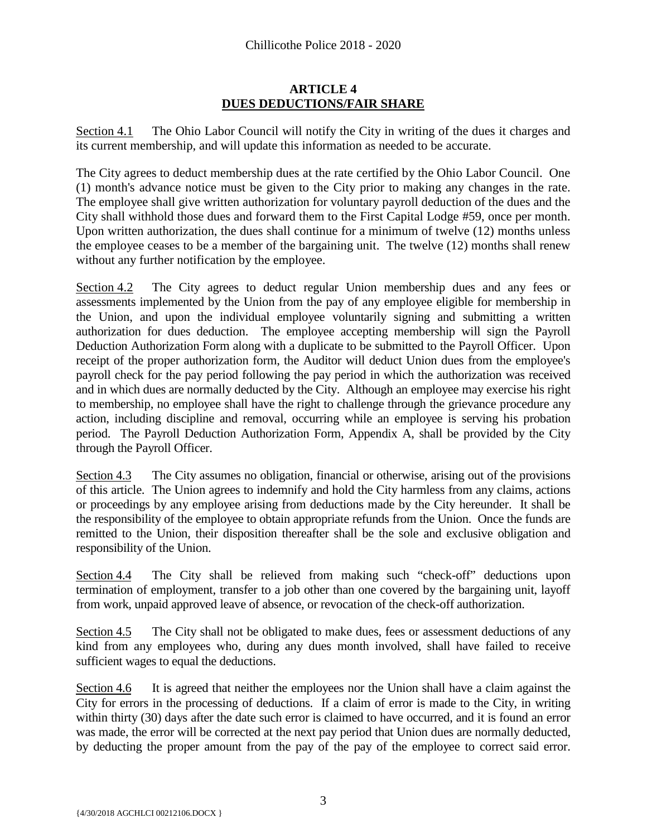# **ARTICLE 4 DUES DEDUCTIONS/FAIR SHARE**

<span id="page-4-0"></span>Section 4.1 The Ohio Labor Council will notify the City in writing of the dues it charges and its current membership, and will update this information as needed to be accurate.

The City agrees to deduct membership dues at the rate certified by the Ohio Labor Council. One (1) month's advance notice must be given to the City prior to making any changes in the rate. The employee shall give written authorization for voluntary payroll deduction of the dues and the City shall withhold those dues and forward them to the First Capital Lodge #59, once per month. Upon written authorization, the dues shall continue for a minimum of twelve (12) months unless the employee ceases to be a member of the bargaining unit. The twelve (12) months shall renew without any further notification by the employee.

Section 4.2 The City agrees to deduct regular Union membership dues and any fees or assessments implemented by the Union from the pay of any employee eligible for membership in the Union, and upon the individual employee voluntarily signing and submitting a written authorization for dues deduction. The employee accepting membership will sign the Payroll Deduction Authorization Form along with a duplicate to be submitted to the Payroll Officer. Upon receipt of the proper authorization form, the Auditor will deduct Union dues from the employee's payroll check for the pay period following the pay period in which the authorization was received and in which dues are normally deducted by the City. Although an employee may exercise his right to membership, no employee shall have the right to challenge through the grievance procedure any action, including discipline and removal, occurring while an employee is serving his probation period. The Payroll Deduction Authorization Form, Appendix A, shall be provided by the City through the Payroll Officer.

Section 4.3 The City assumes no obligation, financial or otherwise, arising out of the provisions of this article. The Union agrees to indemnify and hold the City harmless from any claims, actions or proceedings by any employee arising from deductions made by the City hereunder. It shall be the responsibility of the employee to obtain appropriate refunds from the Union. Once the funds are remitted to the Union, their disposition thereafter shall be the sole and exclusive obligation and responsibility of the Union.

Section 4.4 The City shall be relieved from making such "check-off" deductions upon termination of employment, transfer to a job other than one covered by the bargaining unit, layoff from work, unpaid approved leave of absence, or revocation of the check-off authorization.

Section 4.5 The City shall not be obligated to make dues, fees or assessment deductions of any kind from any employees who, during any dues month involved, shall have failed to receive sufficient wages to equal the deductions.

Section 4.6 It is agreed that neither the employees nor the Union shall have a claim against the City for errors in the processing of deductions. If a claim of error is made to the City, in writing within thirty (30) days after the date such error is claimed to have occurred, and it is found an error was made, the error will be corrected at the next pay period that Union dues are normally deducted, by deducting the proper amount from the pay of the pay of the employee to correct said error.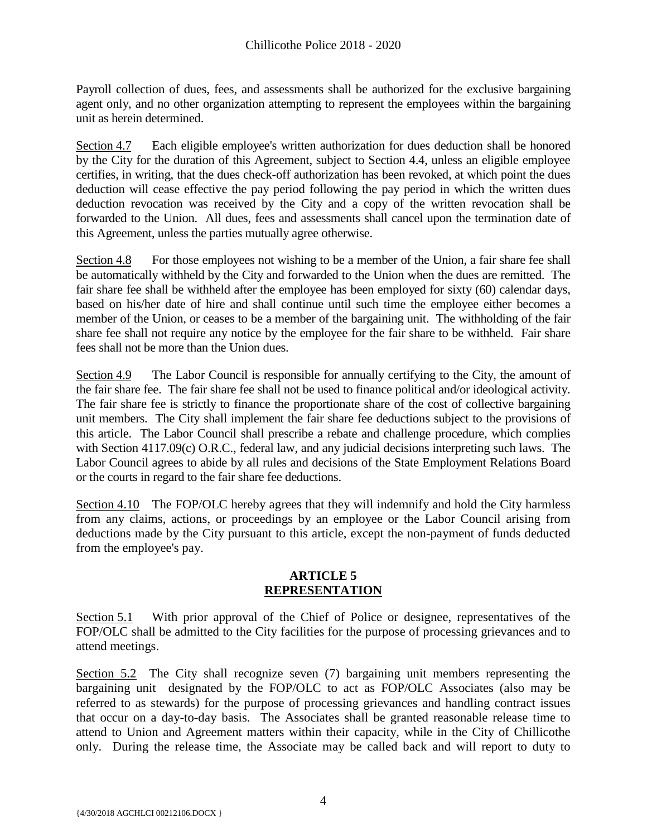Payroll collection of dues, fees, and assessments shall be authorized for the exclusive bargaining agent only, and no other organization attempting to represent the employees within the bargaining unit as herein determined.

Section 4.7 Each eligible employee's written authorization for dues deduction shall be honored by the City for the duration of this Agreement, subject to Section 4.4, unless an eligible employee certifies, in writing, that the dues check-off authorization has been revoked, at which point the dues deduction will cease effective the pay period following the pay period in which the written dues deduction revocation was received by the City and a copy of the written revocation shall be forwarded to the Union. All dues, fees and assessments shall cancel upon the termination date of this Agreement, unless the parties mutually agree otherwise.

Section 4.8 For those employees not wishing to be a member of the Union, a fair share fee shall be automatically withheld by the City and forwarded to the Union when the dues are remitted. The fair share fee shall be withheld after the employee has been employed for sixty (60) calendar days, based on his/her date of hire and shall continue until such time the employee either becomes a member of the Union, or ceases to be a member of the bargaining unit. The withholding of the fair share fee shall not require any notice by the employee for the fair share to be withheld. Fair share fees shall not be more than the Union dues.

Section 4.9 The Labor Council is responsible for annually certifying to the City, the amount of the fair share fee. The fair share fee shall not be used to finance political and/or ideological activity. The fair share fee is strictly to finance the proportionate share of the cost of collective bargaining unit members. The City shall implement the fair share fee deductions subject to the provisions of this article. The Labor Council shall prescribe a rebate and challenge procedure, which complies with Section 4117.09(c) O.R.C., federal law, and any judicial decisions interpreting such laws. The Labor Council agrees to abide by all rules and decisions of the State Employment Relations Board or the courts in regard to the fair share fee deductions.

Section 4.10 The FOP/OLC hereby agrees that they will indemnify and hold the City harmless from any claims, actions, or proceedings by an employee or the Labor Council arising from deductions made by the City pursuant to this article, except the non-payment of funds deducted from the employee's pay.

#### **ARTICLE 5 REPRESENTATION**

<span id="page-5-0"></span>Section 5.1 With prior approval of the Chief of Police or designee, representatives of the FOP/OLC shall be admitted to the City facilities for the purpose of processing grievances and to attend meetings.

Section 5.2 The City shall recognize seven (7) bargaining unit members representing the bargaining unit designated by the FOP/OLC to act as FOP/OLC Associates (also may be referred to as stewards) for the purpose of processing grievances and handling contract issues that occur on a day-to-day basis. The Associates shall be granted reasonable release time to attend to Union and Agreement matters within their capacity, while in the City of Chillicothe only. During the release time, the Associate may be called back and will report to duty to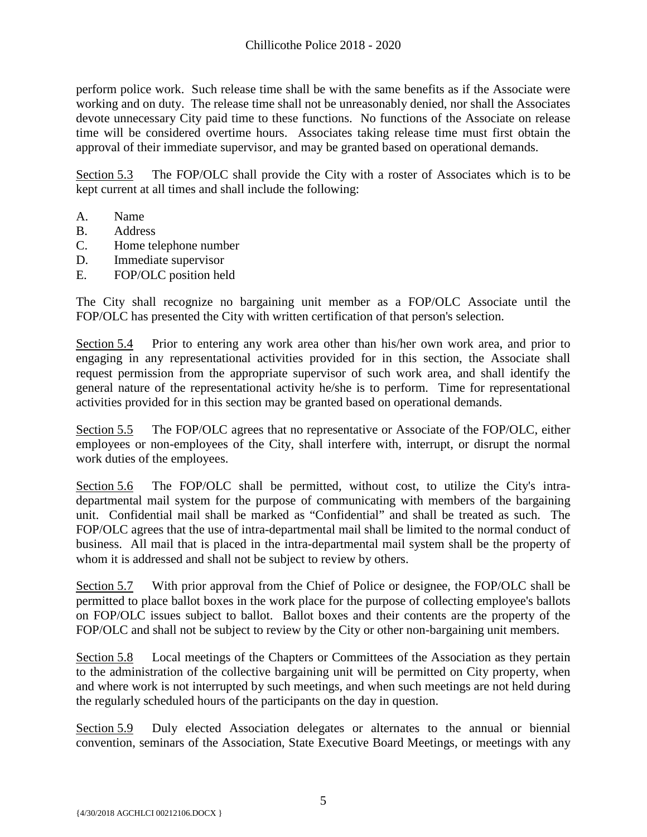perform police work. Such release time shall be with the same benefits as if the Associate were working and on duty. The release time shall not be unreasonably denied, nor shall the Associates devote unnecessary City paid time to these functions. No functions of the Associate on release time will be considered overtime hours. Associates taking release time must first obtain the approval of their immediate supervisor, and may be granted based on operational demands.

Section 5.3 The FOP/OLC shall provide the City with a roster of Associates which is to be kept current at all times and shall include the following:

- A. Name
- B. Address
- C. Home telephone number
- D. Immediate supervisor
- E. FOP/OLC position held

The City shall recognize no bargaining unit member as a FOP/OLC Associate until the FOP/OLC has presented the City with written certification of that person's selection.

Section 5.4 Prior to entering any work area other than his/her own work area, and prior to engaging in any representational activities provided for in this section, the Associate shall request permission from the appropriate supervisor of such work area, and shall identify the general nature of the representational activity he/she is to perform. Time for representational activities provided for in this section may be granted based on operational demands.

Section 5.5 The FOP/OLC agrees that no representative or Associate of the FOP/OLC, either employees or non-employees of the City, shall interfere with, interrupt, or disrupt the normal work duties of the employees.

Section 5.6 The FOP/OLC shall be permitted, without cost, to utilize the City's intradepartmental mail system for the purpose of communicating with members of the bargaining unit. Confidential mail shall be marked as "Confidential" and shall be treated as such. The FOP/OLC agrees that the use of intra-departmental mail shall be limited to the normal conduct of business. All mail that is placed in the intra-departmental mail system shall be the property of whom it is addressed and shall not be subject to review by others.

Section 5.7 With prior approval from the Chief of Police or designee, the FOP/OLC shall be permitted to place ballot boxes in the work place for the purpose of collecting employee's ballots on FOP/OLC issues subject to ballot. Ballot boxes and their contents are the property of the FOP/OLC and shall not be subject to review by the City or other non-bargaining unit members.

Section 5.8 Local meetings of the Chapters or Committees of the Association as they pertain to the administration of the collective bargaining unit will be permitted on City property, when and where work is not interrupted by such meetings, and when such meetings are not held during the regularly scheduled hours of the participants on the day in question.

Section 5.9 Duly elected Association delegates or alternates to the annual or biennial convention, seminars of the Association, State Executive Board Meetings, or meetings with any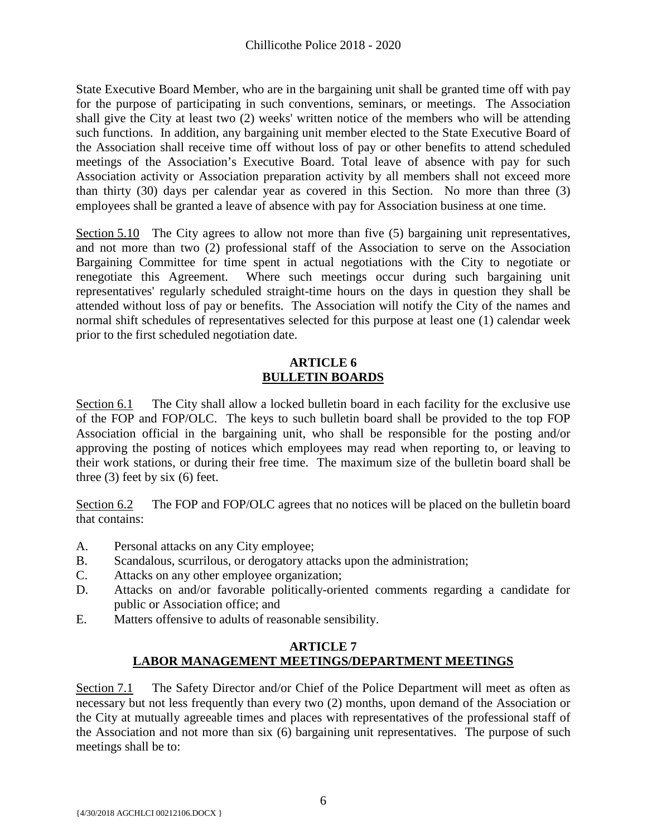State Executive Board Member, who are in the bargaining unit shall be granted time off with pay for the purpose of participating in such conventions, seminars, or meetings. The Association shall give the City at least two (2) weeks' written notice of the members who will be attending such functions. In addition, any bargaining unit member elected to the State Executive Board of the Association shall receive time off without loss of pay or other benefits to attend scheduled meetings of the Association's Executive Board. Total leave of absence with pay for such Association activity or Association preparation activity by all members shall not exceed more than thirty (30) days per calendar year as covered in this Section. No more than three (3) employees shall be granted a leave of absence with pay for Association business at one time.

Section 5.10 The City agrees to allow not more than five (5) bargaining unit representatives, and not more than two (2) professional staff of the Association to serve on the Association Bargaining Committee for time spent in actual negotiations with the City to negotiate or renegotiate this Agreement. Where such meetings occur during such bargaining unit representatives' regularly scheduled straight-time hours on the days in question they shall be attended without loss of pay or benefits. The Association will notify the City of the names and normal shift schedules of representatives selected for this purpose at least one (1) calendar week prior to the first scheduled negotiation date.

#### **ARTICLE 6 BULLETIN BOARDS**

<span id="page-7-0"></span>Section 6.1 The City shall allow a locked bulletin board in each facility for the exclusive use of the FOP and FOP/OLC. The keys to such bulletin board shall be provided to the top FOP Association official in the bargaining unit, who shall be responsible for the posting and/or approving the posting of notices which employees may read when reporting to, or leaving to their work stations, or during their free time. The maximum size of the bulletin board shall be three  $(3)$  feet by six  $(6)$  feet.

Section 6.2 The FOP and FOP/OLC agrees that no notices will be placed on the bulletin board that contains:

- A. Personal attacks on any City employee;
- B. Scandalous, scurrilous, or derogatory attacks upon the administration;
- C. Attacks on any other employee organization;
- D. Attacks on and/or favorable politically-oriented comments regarding a candidate for public or Association office; and
- E. Matters offensive to adults of reasonable sensibility.

# **ARTICLE 7 LABOR MANAGEMENT MEETINGS/DEPARTMENT MEETINGS**

<span id="page-7-1"></span>Section 7.1 The Safety Director and/or Chief of the Police Department will meet as often as necessary but not less frequently than every two (2) months, upon demand of the Association or the City at mutually agreeable times and places with representatives of the professional staff of the Association and not more than six (6) bargaining unit representatives. The purpose of such meetings shall be to: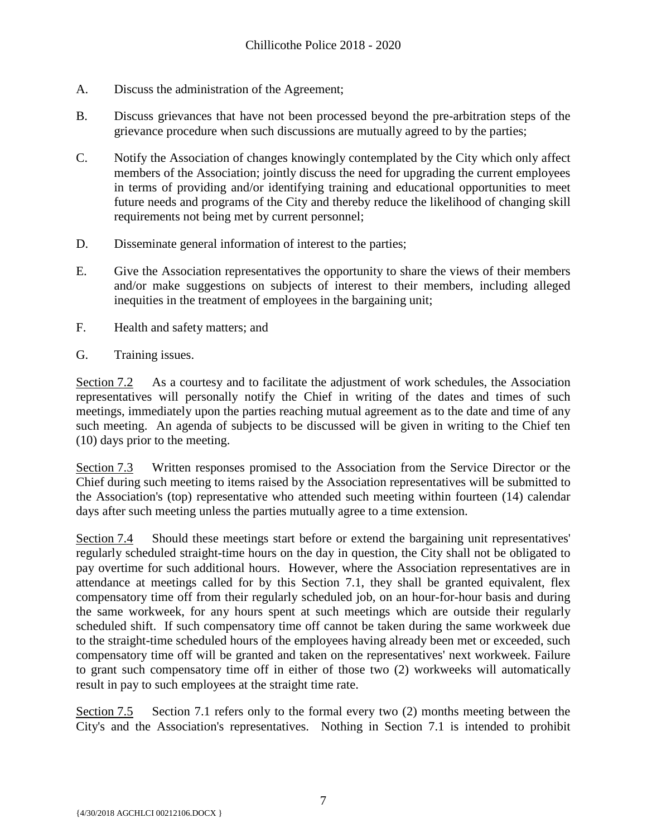- A. Discuss the administration of the Agreement;
- B. Discuss grievances that have not been processed beyond the pre-arbitration steps of the grievance procedure when such discussions are mutually agreed to by the parties;
- C. Notify the Association of changes knowingly contemplated by the City which only affect members of the Association; jointly discuss the need for upgrading the current employees in terms of providing and/or identifying training and educational opportunities to meet future needs and programs of the City and thereby reduce the likelihood of changing skill requirements not being met by current personnel;
- D. Disseminate general information of interest to the parties;
- E. Give the Association representatives the opportunity to share the views of their members and/or make suggestions on subjects of interest to their members, including alleged inequities in the treatment of employees in the bargaining unit;
- F. Health and safety matters; and
- G. Training issues.

Section 7.2 As a courtesy and to facilitate the adjustment of work schedules, the Association representatives will personally notify the Chief in writing of the dates and times of such meetings, immediately upon the parties reaching mutual agreement as to the date and time of any such meeting. An agenda of subjects to be discussed will be given in writing to the Chief ten (10) days prior to the meeting.

Section 7.3 Written responses promised to the Association from the Service Director or the Chief during such meeting to items raised by the Association representatives will be submitted to the Association's (top) representative who attended such meeting within fourteen (14) calendar days after such meeting unless the parties mutually agree to a time extension.

Section 7.4 Should these meetings start before or extend the bargaining unit representatives' regularly scheduled straight-time hours on the day in question, the City shall not be obligated to pay overtime for such additional hours. However, where the Association representatives are in attendance at meetings called for by this Section 7.1, they shall be granted equivalent, flex compensatory time off from their regularly scheduled job, on an hour-for-hour basis and during the same workweek, for any hours spent at such meetings which are outside their regularly scheduled shift. If such compensatory time off cannot be taken during the same workweek due to the straight-time scheduled hours of the employees having already been met or exceeded, such compensatory time off will be granted and taken on the representatives' next workweek. Failure to grant such compensatory time off in either of those two (2) workweeks will automatically result in pay to such employees at the straight time rate.

Section 7.5 Section 7.1 refers only to the formal every two (2) months meeting between the City's and the Association's representatives. Nothing in Section 7.1 is intended to prohibit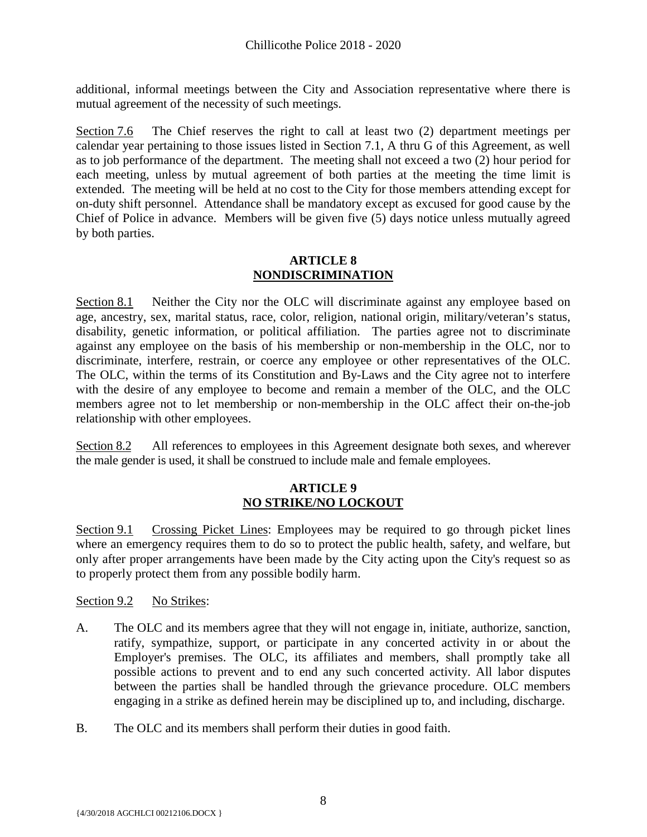additional, informal meetings between the City and Association representative where there is mutual agreement of the necessity of such meetings.

Section 7.6 The Chief reserves the right to call at least two (2) department meetings per calendar year pertaining to those issues listed in Section 7.1, A thru G of this Agreement, as well as to job performance of the department. The meeting shall not exceed a two (2) hour period for each meeting, unless by mutual agreement of both parties at the meeting the time limit is extended. The meeting will be held at no cost to the City for those members attending except for on-duty shift personnel. Attendance shall be mandatory except as excused for good cause by the Chief of Police in advance. Members will be given five (5) days notice unless mutually agreed by both parties.

#### **ARTICLE 8 NONDISCRIMINATION**

<span id="page-9-0"></span>Section 8.1 Neither the City nor the OLC will discriminate against any employee based on age, ancestry, sex, marital status, race, color, religion, national origin, military/veteran's status, disability, genetic information, or political affiliation. The parties agree not to discriminate against any employee on the basis of his membership or non-membership in the OLC, nor to discriminate, interfere, restrain, or coerce any employee or other representatives of the OLC. The OLC, within the terms of its Constitution and By-Laws and the City agree not to interfere with the desire of any employee to become and remain a member of the OLC, and the OLC members agree not to let membership or non-membership in the OLC affect their on-the-job relationship with other employees.

Section 8.2 All references to employees in this Agreement designate both sexes, and wherever the male gender is used, it shall be construed to include male and female employees.

# **ARTICLE 9 NO STRIKE/NO LOCKOUT**

<span id="page-9-1"></span>Section 9.1 Crossing Picket Lines: Employees may be required to go through picket lines where an emergency requires them to do so to protect the public health, safety, and welfare, but only after proper arrangements have been made by the City acting upon the City's request so as to properly protect them from any possible bodily harm.

Section 9.2 No Strikes:

- A. The OLC and its members agree that they will not engage in, initiate, authorize, sanction, ratify, sympathize, support, or participate in any concerted activity in or about the Employer's premises. The OLC, its affiliates and members, shall promptly take all possible actions to prevent and to end any such concerted activity. All labor disputes between the parties shall be handled through the grievance procedure. OLC members engaging in a strike as defined herein may be disciplined up to, and including, discharge.
- B. The OLC and its members shall perform their duties in good faith.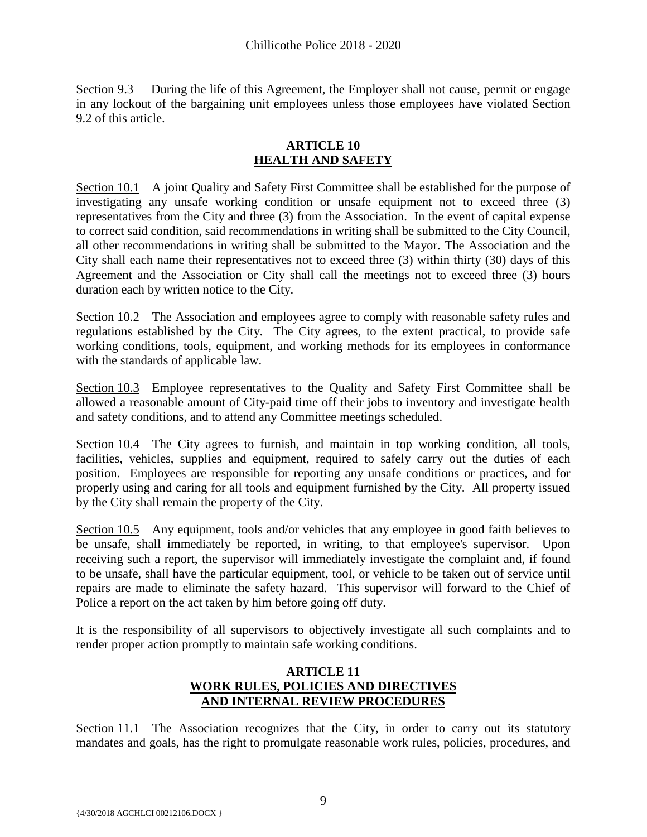Section 9.3 During the life of this Agreement, the Employer shall not cause, permit or engage in any lockout of the bargaining unit employees unless those employees have violated Section 9.2 of this article.

# **ARTICLE 10 HEALTH AND SAFETY**

<span id="page-10-0"></span>Section 10.1 A joint Quality and Safety First Committee shall be established for the purpose of investigating any unsafe working condition or unsafe equipment not to exceed three (3) representatives from the City and three (3) from the Association. In the event of capital expense to correct said condition, said recommendations in writing shall be submitted to the City Council, all other recommendations in writing shall be submitted to the Mayor. The Association and the City shall each name their representatives not to exceed three (3) within thirty (30) days of this Agreement and the Association or City shall call the meetings not to exceed three (3) hours duration each by written notice to the City.

Section 10.2 The Association and employees agree to comply with reasonable safety rules and regulations established by the City. The City agrees, to the extent practical, to provide safe working conditions, tools, equipment, and working methods for its employees in conformance with the standards of applicable law.

Section 10.3 Employee representatives to the Quality and Safety First Committee shall be allowed a reasonable amount of City-paid time off their jobs to inventory and investigate health and safety conditions, and to attend any Committee meetings scheduled.

Section 10.4 The City agrees to furnish, and maintain in top working condition, all tools, facilities, vehicles, supplies and equipment, required to safely carry out the duties of each position. Employees are responsible for reporting any unsafe conditions or practices, and for properly using and caring for all tools and equipment furnished by the City. All property issued by the City shall remain the property of the City.

Section 10.5 Any equipment, tools and/or vehicles that any employee in good faith believes to be unsafe, shall immediately be reported, in writing, to that employee's supervisor. Upon receiving such a report, the supervisor will immediately investigate the complaint and, if found to be unsafe, shall have the particular equipment, tool, or vehicle to be taken out of service until repairs are made to eliminate the safety hazard. This supervisor will forward to the Chief of Police a report on the act taken by him before going off duty.

It is the responsibility of all supervisors to objectively investigate all such complaints and to render proper action promptly to maintain safe working conditions.

# **ARTICLE 11 WORK RULES, POLICIES AND DIRECTIVES AND INTERNAL REVIEW PROCEDURES**

<span id="page-10-1"></span>Section 11.1 The Association recognizes that the City, in order to carry out its statutory mandates and goals, has the right to promulgate reasonable work rules, policies, procedures, and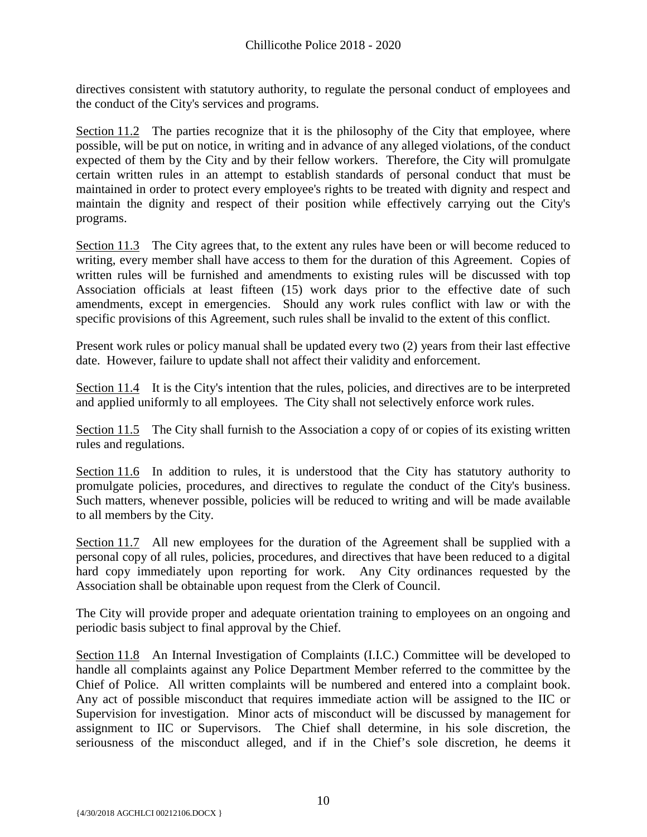directives consistent with statutory authority, to regulate the personal conduct of employees and the conduct of the City's services and programs.

Section 11.2 The parties recognize that it is the philosophy of the City that employee, where possible, will be put on notice, in writing and in advance of any alleged violations, of the conduct expected of them by the City and by their fellow workers. Therefore, the City will promulgate certain written rules in an attempt to establish standards of personal conduct that must be maintained in order to protect every employee's rights to be treated with dignity and respect and maintain the dignity and respect of their position while effectively carrying out the City's programs.

Section 11.3 The City agrees that, to the extent any rules have been or will become reduced to writing, every member shall have access to them for the duration of this Agreement. Copies of written rules will be furnished and amendments to existing rules will be discussed with top Association officials at least fifteen (15) work days prior to the effective date of such amendments, except in emergencies. Should any work rules conflict with law or with the specific provisions of this Agreement, such rules shall be invalid to the extent of this conflict.

Present work rules or policy manual shall be updated every two (2) years from their last effective date. However, failure to update shall not affect their validity and enforcement.

Section 11.4 It is the City's intention that the rules, policies, and directives are to be interpreted and applied uniformly to all employees. The City shall not selectively enforce work rules.

Section 11.5 The City shall furnish to the Association a copy of or copies of its existing written rules and regulations.

Section 11.6 In addition to rules, it is understood that the City has statutory authority to promulgate policies, procedures, and directives to regulate the conduct of the City's business. Such matters, whenever possible, policies will be reduced to writing and will be made available to all members by the City.

Section 11.7 All new employees for the duration of the Agreement shall be supplied with a personal copy of all rules, policies, procedures, and directives that have been reduced to a digital hard copy immediately upon reporting for work. Any City ordinances requested by the Association shall be obtainable upon request from the Clerk of Council.

The City will provide proper and adequate orientation training to employees on an ongoing and periodic basis subject to final approval by the Chief.

Section 11.8 An Internal Investigation of Complaints (I.I.C.) Committee will be developed to handle all complaints against any Police Department Member referred to the committee by the Chief of Police. All written complaints will be numbered and entered into a complaint book. Any act of possible misconduct that requires immediate action will be assigned to the IIC or Supervision for investigation. Minor acts of misconduct will be discussed by management for assignment to IIC or Supervisors. The Chief shall determine, in his sole discretion, the seriousness of the misconduct alleged, and if in the Chief's sole discretion, he deems it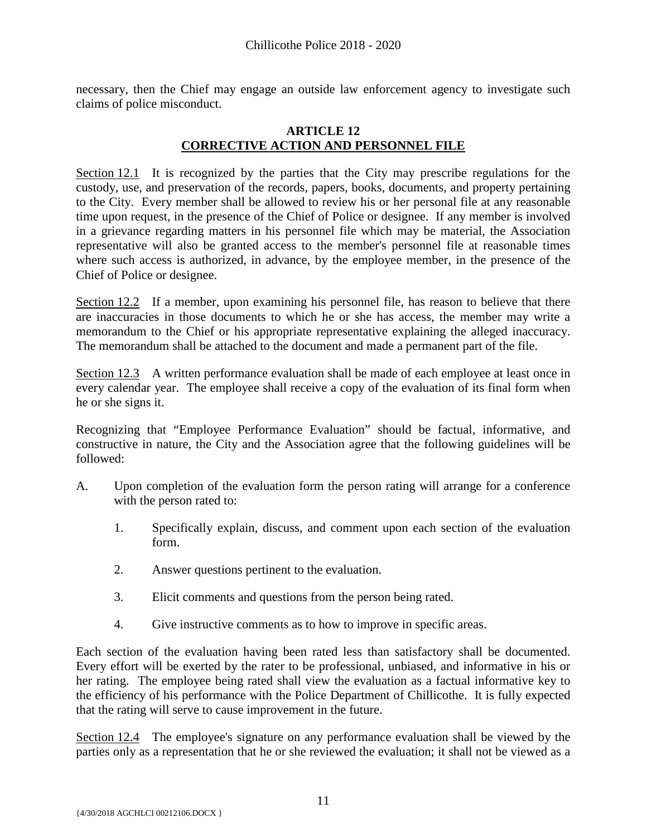necessary, then the Chief may engage an outside law enforcement agency to investigate such claims of police misconduct.

#### **ARTICLE 12 CORRECTIVE ACTION AND PERSONNEL FILE**

<span id="page-12-0"></span>Section 12.1 It is recognized by the parties that the City may prescribe regulations for the custody, use, and preservation of the records, papers, books, documents, and property pertaining to the City. Every member shall be allowed to review his or her personal file at any reasonable time upon request, in the presence of the Chief of Police or designee. If any member is involved in a grievance regarding matters in his personnel file which may be material, the Association representative will also be granted access to the member's personnel file at reasonable times where such access is authorized, in advance, by the employee member, in the presence of the Chief of Police or designee.

Section 12.2 If a member, upon examining his personnel file, has reason to believe that there are inaccuracies in those documents to which he or she has access, the member may write a memorandum to the Chief or his appropriate representative explaining the alleged inaccuracy. The memorandum shall be attached to the document and made a permanent part of the file.

Section 12.3 A written performance evaluation shall be made of each employee at least once in every calendar year. The employee shall receive a copy of the evaluation of its final form when he or she signs it.

Recognizing that "Employee Performance Evaluation" should be factual, informative, and constructive in nature, the City and the Association agree that the following guidelines will be followed:

- A. Upon completion of the evaluation form the person rating will arrange for a conference with the person rated to:
	- 1. Specifically explain, discuss, and comment upon each section of the evaluation form.
	- 2. Answer questions pertinent to the evaluation.
	- 3. Elicit comments and questions from the person being rated.
	- 4. Give instructive comments as to how to improve in specific areas.

Each section of the evaluation having been rated less than satisfactory shall be documented. Every effort will be exerted by the rater to be professional, unbiased, and informative in his or her rating. The employee being rated shall view the evaluation as a factual informative key to the efficiency of his performance with the Police Department of Chillicothe. It is fully expected that the rating will serve to cause improvement in the future.

Section 12.4 The employee's signature on any performance evaluation shall be viewed by the parties only as a representation that he or she reviewed the evaluation; it shall not be viewed as a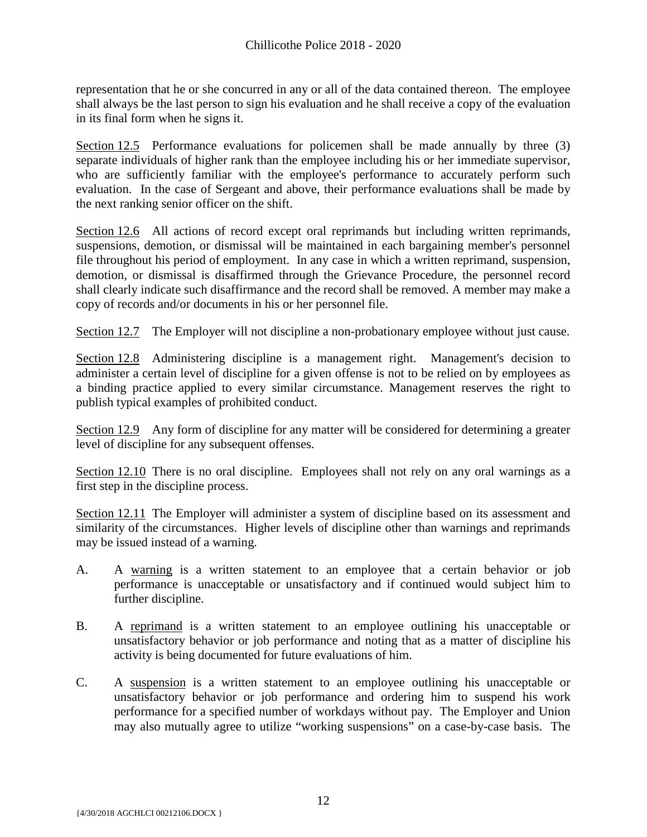representation that he or she concurred in any or all of the data contained thereon. The employee shall always be the last person to sign his evaluation and he shall receive a copy of the evaluation in its final form when he signs it.

Section 12.5 Performance evaluations for policemen shall be made annually by three (3) separate individuals of higher rank than the employee including his or her immediate supervisor, who are sufficiently familiar with the employee's performance to accurately perform such evaluation. In the case of Sergeant and above, their performance evaluations shall be made by the next ranking senior officer on the shift.

Section 12.6 All actions of record except oral reprimands but including written reprimands, suspensions, demotion, or dismissal will be maintained in each bargaining member's personnel file throughout his period of employment. In any case in which a written reprimand, suspension, demotion, or dismissal is disaffirmed through the Grievance Procedure, the personnel record shall clearly indicate such disaffirmance and the record shall be removed. A member may make a copy of records and/or documents in his or her personnel file.

Section 12.7 The Employer will not discipline a non-probationary employee without just cause.

Section 12.8 Administering discipline is a management right. Management's decision to administer a certain level of discipline for a given offense is not to be relied on by employees as a binding practice applied to every similar circumstance. Management reserves the right to publish typical examples of prohibited conduct.

Section 12.9 Any form of discipline for any matter will be considered for determining a greater level of discipline for any subsequent offenses.

Section 12.10 There is no oral discipline. Employees shall not rely on any oral warnings as a first step in the discipline process.

Section 12.11 The Employer will administer a system of discipline based on its assessment and similarity of the circumstances. Higher levels of discipline other than warnings and reprimands may be issued instead of a warning.

- A. A warning is a written statement to an employee that a certain behavior or job performance is unacceptable or unsatisfactory and if continued would subject him to further discipline.
- B. A reprimand is a written statement to an employee outlining his unacceptable or unsatisfactory behavior or job performance and noting that as a matter of discipline his activity is being documented for future evaluations of him.
- C. A suspension is a written statement to an employee outlining his unacceptable or unsatisfactory behavior or job performance and ordering him to suspend his work performance for a specified number of workdays without pay. The Employer and Union may also mutually agree to utilize "working suspensions" on a case-by-case basis. The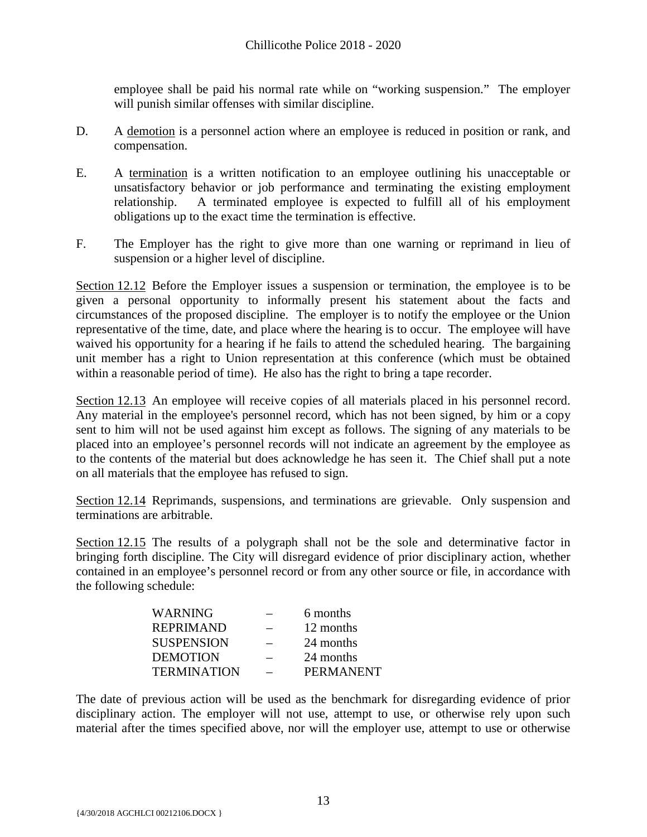employee shall be paid his normal rate while on "working suspension." The employer will punish similar offenses with similar discipline.

- D. A demotion is a personnel action where an employee is reduced in position or rank, and compensation.
- E. A termination is a written notification to an employee outlining his unacceptable or unsatisfactory behavior or job performance and terminating the existing employment relationship. A terminated employee is expected to fulfill all of his employment obligations up to the exact time the termination is effective.
- F. The Employer has the right to give more than one warning or reprimand in lieu of suspension or a higher level of discipline.

Section 12.12 Before the Employer issues a suspension or termination, the employee is to be given a personal opportunity to informally present his statement about the facts and circumstances of the proposed discipline. The employer is to notify the employee or the Union representative of the time, date, and place where the hearing is to occur. The employee will have waived his opportunity for a hearing if he fails to attend the scheduled hearing. The bargaining unit member has a right to Union representation at this conference (which must be obtained within a reasonable period of time). He also has the right to bring a tape recorder.

Section 12.13 An employee will receive copies of all materials placed in his personnel record. Any material in the employee's personnel record, which has not been signed, by him or a copy sent to him will not be used against him except as follows. The signing of any materials to be placed into an employee's personnel records will not indicate an agreement by the employee as to the contents of the material but does acknowledge he has seen it. The Chief shall put a note on all materials that the employee has refused to sign.

Section 12.14 Reprimands, suspensions, and terminations are grievable. Only suspension and terminations are arbitrable.

Section 12.15 The results of a polygraph shall not be the sole and determinative factor in bringing forth discipline. The City will disregard evidence of prior disciplinary action, whether contained in an employee's personnel record or from any other source or file, in accordance with the following schedule:

| <b>WARNING</b>     | 6 months         |
|--------------------|------------------|
| <b>REPRIMAND</b>   | 12 months        |
| <b>SUSPENSION</b>  | 24 months        |
| <b>DEMOTION</b>    | 24 months        |
| <b>TERMINATION</b> | <b>PERMANENT</b> |
|                    |                  |

The date of previous action will be used as the benchmark for disregarding evidence of prior disciplinary action. The employer will not use, attempt to use, or otherwise rely upon such material after the times specified above, nor will the employer use, attempt to use or otherwise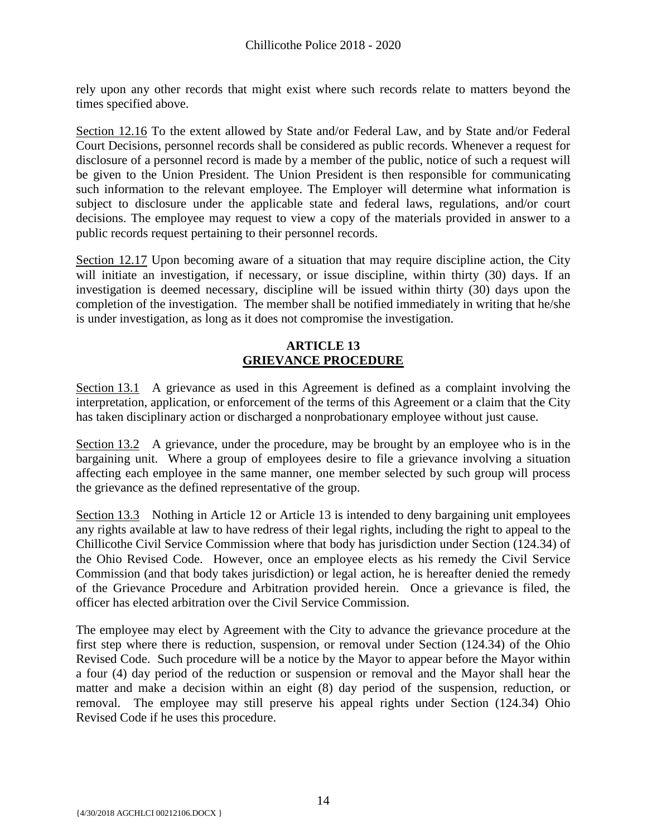rely upon any other records that might exist where such records relate to matters beyond the times specified above.

Section 12.16 To the extent allowed by State and/or Federal Law, and by State and/or Federal Court Decisions, personnel records shall be considered as public records. Whenever a request for disclosure of a personnel record is made by a member of the public, notice of such a request will be given to the Union President. The Union President is then responsible for communicating such information to the relevant employee. The Employer will determine what information is subject to disclosure under the applicable state and federal laws, regulations, and/or court decisions. The employee may request to view a copy of the materials provided in answer to a public records request pertaining to their personnel records.

Section 12.17 Upon becoming aware of a situation that may require discipline action, the City will initiate an investigation, if necessary, or issue discipline, within thirty (30) days. If an investigation is deemed necessary, discipline will be issued within thirty (30) days upon the completion of the investigation. The member shall be notified immediately in writing that he/she is under investigation, as long as it does not compromise the investigation.

# **ARTICLE 13 GRIEVANCE PROCEDURE**

<span id="page-15-0"></span>Section 13.1 A grievance as used in this Agreement is defined as a complaint involving the interpretation, application, or enforcement of the terms of this Agreement or a claim that the City has taken disciplinary action or discharged a nonprobationary employee without just cause.

Section 13.2 A grievance, under the procedure, may be brought by an employee who is in the bargaining unit. Where a group of employees desire to file a grievance involving a situation affecting each employee in the same manner, one member selected by such group will process the grievance as the defined representative of the group.

Section 13.3 Nothing in Article 12 or Article 13 is intended to deny bargaining unit employees any rights available at law to have redress of their legal rights, including the right to appeal to the Chillicothe Civil Service Commission where that body has jurisdiction under Section (124.34) of the Ohio Revised Code. However, once an employee elects as his remedy the Civil Service Commission (and that body takes jurisdiction) or legal action, he is hereafter denied the remedy of the Grievance Procedure and Arbitration provided herein. Once a grievance is filed, the officer has elected arbitration over the Civil Service Commission.

The employee may elect by Agreement with the City to advance the grievance procedure at the first step where there is reduction, suspension, or removal under Section (124.34) of the Ohio Revised Code. Such procedure will be a notice by the Mayor to appear before the Mayor within a four (4) day period of the reduction or suspension or removal and the Mayor shall hear the matter and make a decision within an eight (8) day period of the suspension, reduction, or removal. The employee may still preserve his appeal rights under Section (124.34) Ohio Revised Code if he uses this procedure.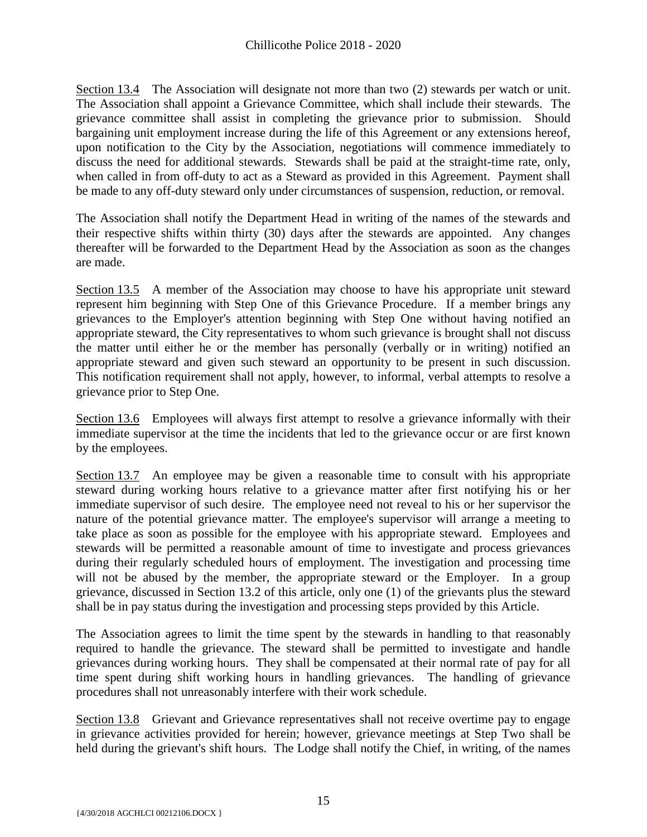Section 13.4 The Association will designate not more than two (2) stewards per watch or unit. The Association shall appoint a Grievance Committee, which shall include their stewards. The grievance committee shall assist in completing the grievance prior to submission. Should bargaining unit employment increase during the life of this Agreement or any extensions hereof, upon notification to the City by the Association, negotiations will commence immediately to discuss the need for additional stewards. Stewards shall be paid at the straight-time rate, only, when called in from off-duty to act as a Steward as provided in this Agreement. Payment shall be made to any off-duty steward only under circumstances of suspension, reduction, or removal.

The Association shall notify the Department Head in writing of the names of the stewards and their respective shifts within thirty (30) days after the stewards are appointed. Any changes thereafter will be forwarded to the Department Head by the Association as soon as the changes are made.

Section 13.5 A member of the Association may choose to have his appropriate unit steward represent him beginning with Step One of this Grievance Procedure. If a member brings any grievances to the Employer's attention beginning with Step One without having notified an appropriate steward, the City representatives to whom such grievance is brought shall not discuss the matter until either he or the member has personally (verbally or in writing) notified an appropriate steward and given such steward an opportunity to be present in such discussion. This notification requirement shall not apply, however, to informal, verbal attempts to resolve a grievance prior to Step One.

Section 13.6 Employees will always first attempt to resolve a grievance informally with their immediate supervisor at the time the incidents that led to the grievance occur or are first known by the employees.

Section 13.7 An employee may be given a reasonable time to consult with his appropriate steward during working hours relative to a grievance matter after first notifying his or her immediate supervisor of such desire. The employee need not reveal to his or her supervisor the nature of the potential grievance matter. The employee's supervisor will arrange a meeting to take place as soon as possible for the employee with his appropriate steward. Employees and stewards will be permitted a reasonable amount of time to investigate and process grievances during their regularly scheduled hours of employment. The investigation and processing time will not be abused by the member, the appropriate steward or the Employer. In a group grievance, discussed in Section 13.2 of this article, only one (1) of the grievants plus the steward shall be in pay status during the investigation and processing steps provided by this Article.

The Association agrees to limit the time spent by the stewards in handling to that reasonably required to handle the grievance. The steward shall be permitted to investigate and handle grievances during working hours. They shall be compensated at their normal rate of pay for all time spent during shift working hours in handling grievances. The handling of grievance procedures shall not unreasonably interfere with their work schedule.

Section 13.8 Grievant and Grievance representatives shall not receive overtime pay to engage in grievance activities provided for herein; however, grievance meetings at Step Two shall be held during the grievant's shift hours. The Lodge shall notify the Chief, in writing, of the names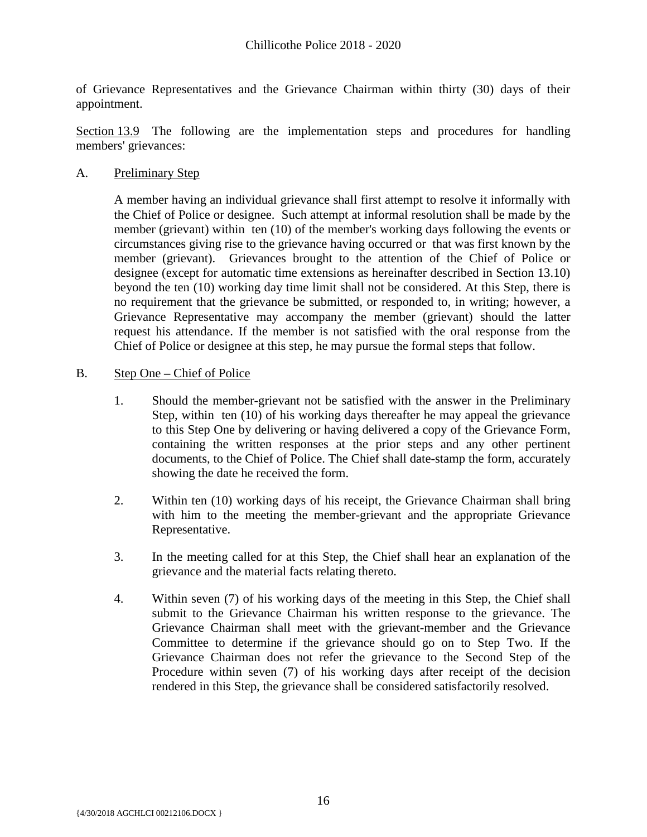of Grievance Representatives and the Grievance Chairman within thirty (30) days of their appointment.

Section 13.9 The following are the implementation steps and procedures for handling members' grievances:

A. Preliminary Step

A member having an individual grievance shall first attempt to resolve it informally with the Chief of Police or designee. Such attempt at informal resolution shall be made by the member (grievant) within ten (10) of the member's working days following the events or circumstances giving rise to the grievance having occurred or that was first known by the member (grievant). Grievances brought to the attention of the Chief of Police or designee (except for automatic time extensions as hereinafter described in Section 13.10) beyond the ten (10) working day time limit shall not be considered. At this Step, there is no requirement that the grievance be submitted, or responded to, in writing; however, a Grievance Representative may accompany the member (grievant) should the latter request his attendance. If the member is not satisfied with the oral response from the Chief of Police or designee at this step, he may pursue the formal steps that follow.

- B. Step One **–** Chief of Police
	- 1. Should the member-grievant not be satisfied with the answer in the Preliminary Step, within ten (10) of his working days thereafter he may appeal the grievance to this Step One by delivering or having delivered a copy of the Grievance Form, containing the written responses at the prior steps and any other pertinent documents, to the Chief of Police. The Chief shall date-stamp the form, accurately showing the date he received the form.
	- 2. Within ten (10) working days of his receipt, the Grievance Chairman shall bring with him to the meeting the member-grievant and the appropriate Grievance Representative.
	- 3. In the meeting called for at this Step, the Chief shall hear an explanation of the grievance and the material facts relating thereto.
	- 4. Within seven (7) of his working days of the meeting in this Step, the Chief shall submit to the Grievance Chairman his written response to the grievance. The Grievance Chairman shall meet with the grievant-member and the Grievance Committee to determine if the grievance should go on to Step Two. If the Grievance Chairman does not refer the grievance to the Second Step of the Procedure within seven (7) of his working days after receipt of the decision rendered in this Step, the grievance shall be considered satisfactorily resolved.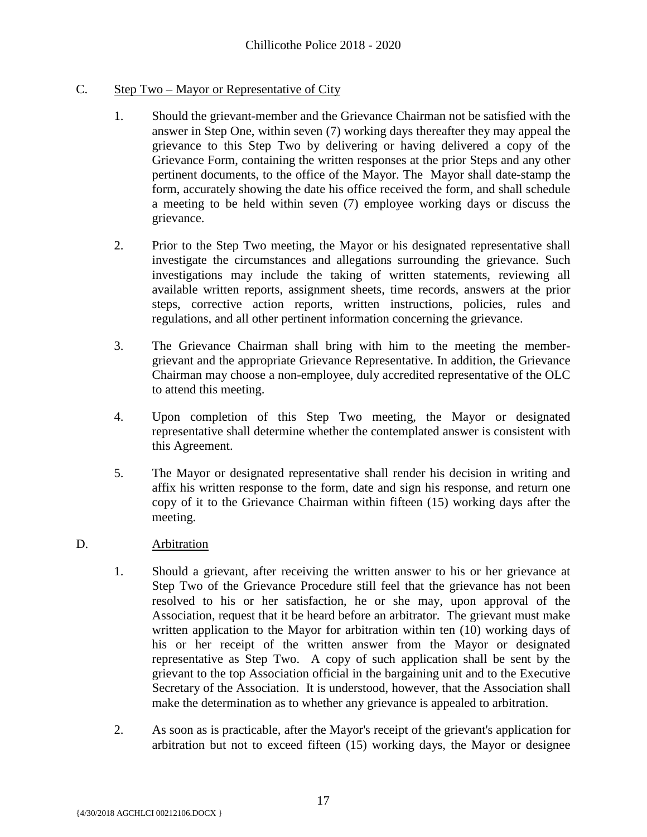# C. Step Two – Mayor or Representative of City

- 1. Should the grievant-member and the Grievance Chairman not be satisfied with the answer in Step One, within seven (7) working days thereafter they may appeal the grievance to this Step Two by delivering or having delivered a copy of the Grievance Form, containing the written responses at the prior Steps and any other pertinent documents, to the office of the Mayor. The Mayor shall date-stamp the form, accurately showing the date his office received the form, and shall schedule a meeting to be held within seven (7) employee working days or discuss the grievance.
- 2. Prior to the Step Two meeting, the Mayor or his designated representative shall investigate the circumstances and allegations surrounding the grievance. Such investigations may include the taking of written statements, reviewing all available written reports, assignment sheets, time records, answers at the prior steps, corrective action reports, written instructions, policies, rules and regulations, and all other pertinent information concerning the grievance.
- 3. The Grievance Chairman shall bring with him to the meeting the membergrievant and the appropriate Grievance Representative. In addition, the Grievance Chairman may choose a non-employee, duly accredited representative of the OLC to attend this meeting.
- 4. Upon completion of this Step Two meeting, the Mayor or designated representative shall determine whether the contemplated answer is consistent with this Agreement.
- 5. The Mayor or designated representative shall render his decision in writing and affix his written response to the form, date and sign his response, and return one copy of it to the Grievance Chairman within fifteen (15) working days after the meeting.

# D. Arbitration

- 1. Should a grievant, after receiving the written answer to his or her grievance at Step Two of the Grievance Procedure still feel that the grievance has not been resolved to his or her satisfaction, he or she may, upon approval of the Association, request that it be heard before an arbitrator. The grievant must make written application to the Mayor for arbitration within ten (10) working days of his or her receipt of the written answer from the Mayor or designated representative as Step Two. A copy of such application shall be sent by the grievant to the top Association official in the bargaining unit and to the Executive Secretary of the Association. It is understood, however, that the Association shall make the determination as to whether any grievance is appealed to arbitration.
- 2. As soon as is practicable, after the Mayor's receipt of the grievant's application for arbitration but not to exceed fifteen (15) working days, the Mayor or designee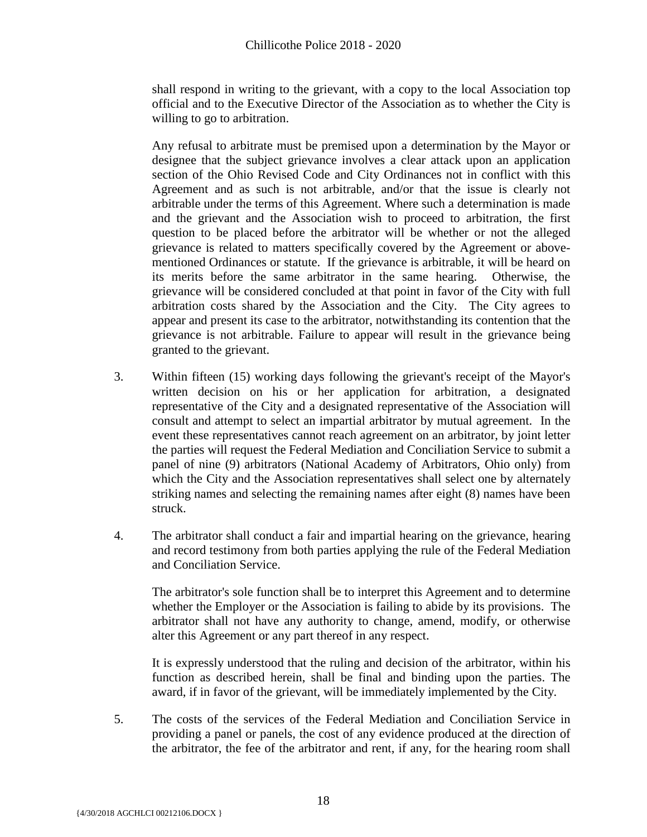shall respond in writing to the grievant, with a copy to the local Association top official and to the Executive Director of the Association as to whether the City is willing to go to arbitration.

Any refusal to arbitrate must be premised upon a determination by the Mayor or designee that the subject grievance involves a clear attack upon an application section of the Ohio Revised Code and City Ordinances not in conflict with this Agreement and as such is not arbitrable, and/or that the issue is clearly not arbitrable under the terms of this Agreement. Where such a determination is made and the grievant and the Association wish to proceed to arbitration, the first question to be placed before the arbitrator will be whether or not the alleged grievance is related to matters specifically covered by the Agreement or abovementioned Ordinances or statute. If the grievance is arbitrable, it will be heard on its merits before the same arbitrator in the same hearing. Otherwise, the grievance will be considered concluded at that point in favor of the City with full arbitration costs shared by the Association and the City. The City agrees to appear and present its case to the arbitrator, notwithstanding its contention that the grievance is not arbitrable. Failure to appear will result in the grievance being granted to the grievant.

- 3. Within fifteen (15) working days following the grievant's receipt of the Mayor's written decision on his or her application for arbitration, a designated representative of the City and a designated representative of the Association will consult and attempt to select an impartial arbitrator by mutual agreement. In the event these representatives cannot reach agreement on an arbitrator, by joint letter the parties will request the Federal Mediation and Conciliation Service to submit a panel of nine (9) arbitrators (National Academy of Arbitrators, Ohio only) from which the City and the Association representatives shall select one by alternately striking names and selecting the remaining names after eight (8) names have been struck.
- 4. The arbitrator shall conduct a fair and impartial hearing on the grievance, hearing and record testimony from both parties applying the rule of the Federal Mediation and Conciliation Service.

The arbitrator's sole function shall be to interpret this Agreement and to determine whether the Employer or the Association is failing to abide by its provisions. The arbitrator shall not have any authority to change, amend, modify, or otherwise alter this Agreement or any part thereof in any respect.

It is expressly understood that the ruling and decision of the arbitrator, within his function as described herein, shall be final and binding upon the parties. The award, if in favor of the grievant, will be immediately implemented by the City.

5. The costs of the services of the Federal Mediation and Conciliation Service in providing a panel or panels, the cost of any evidence produced at the direction of the arbitrator, the fee of the arbitrator and rent, if any, for the hearing room shall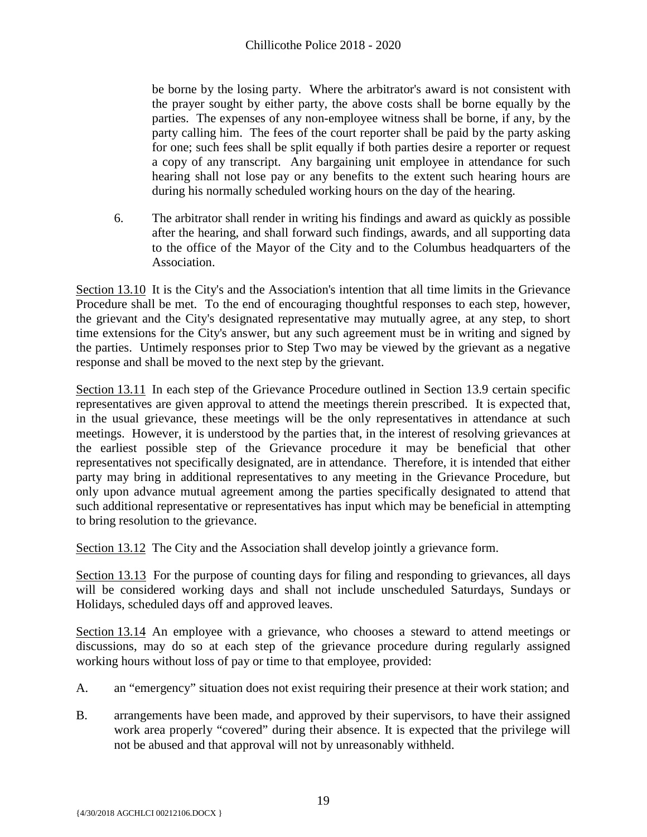be borne by the losing party. Where the arbitrator's award is not consistent with the prayer sought by either party, the above costs shall be borne equally by the parties. The expenses of any non-employee witness shall be borne, if any, by the party calling him. The fees of the court reporter shall be paid by the party asking for one; such fees shall be split equally if both parties desire a reporter or request a copy of any transcript. Any bargaining unit employee in attendance for such hearing shall not lose pay or any benefits to the extent such hearing hours are during his normally scheduled working hours on the day of the hearing.

6. The arbitrator shall render in writing his findings and award as quickly as possible after the hearing, and shall forward such findings, awards, and all supporting data to the office of the Mayor of the City and to the Columbus headquarters of the Association.

Section 13.10 It is the City's and the Association's intention that all time limits in the Grievance Procedure shall be met. To the end of encouraging thoughtful responses to each step, however, the grievant and the City's designated representative may mutually agree, at any step, to short time extensions for the City's answer, but any such agreement must be in writing and signed by the parties. Untimely responses prior to Step Two may be viewed by the grievant as a negative response and shall be moved to the next step by the grievant.

Section 13.11 In each step of the Grievance Procedure outlined in Section 13.9 certain specific representatives are given approval to attend the meetings therein prescribed. It is expected that, in the usual grievance, these meetings will be the only representatives in attendance at such meetings. However, it is understood by the parties that, in the interest of resolving grievances at the earliest possible step of the Grievance procedure it may be beneficial that other representatives not specifically designated, are in attendance. Therefore, it is intended that either party may bring in additional representatives to any meeting in the Grievance Procedure, but only upon advance mutual agreement among the parties specifically designated to attend that such additional representative or representatives has input which may be beneficial in attempting to bring resolution to the grievance.

Section 13.12 The City and the Association shall develop jointly a grievance form.

Section 13.13 For the purpose of counting days for filing and responding to grievances, all days will be considered working days and shall not include unscheduled Saturdays, Sundays or Holidays, scheduled days off and approved leaves.

Section 13.14 An employee with a grievance, who chooses a steward to attend meetings or discussions, may do so at each step of the grievance procedure during regularly assigned working hours without loss of pay or time to that employee, provided:

- A. an "emergency" situation does not exist requiring their presence at their work station; and
- B. arrangements have been made, and approved by their supervisors, to have their assigned work area properly "covered" during their absence. It is expected that the privilege will not be abused and that approval will not by unreasonably withheld.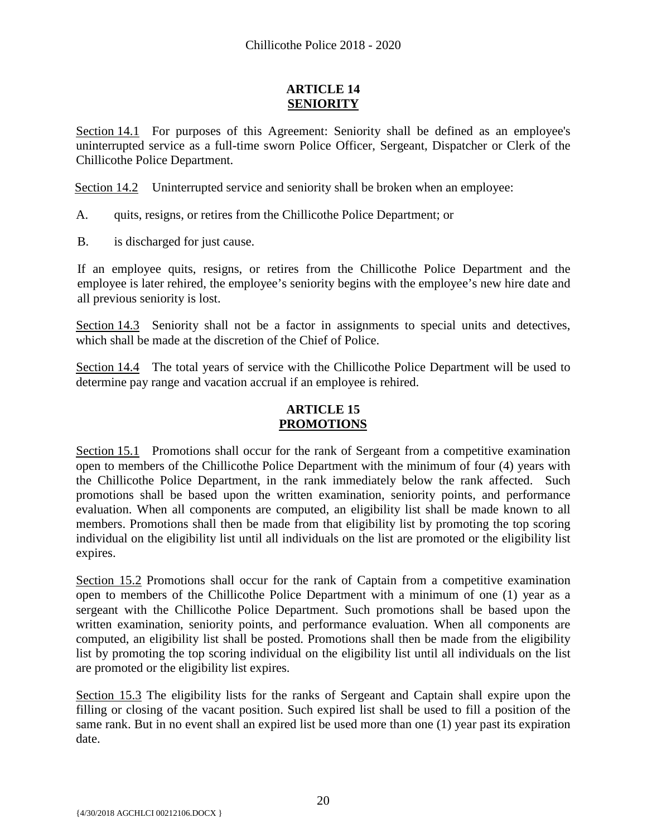# **ARTICLE 14 SENIORITY**

<span id="page-21-0"></span>Section 14.1 For purposes of this Agreement: Seniority shall be defined as an employee's uninterrupted service as a full-time sworn Police Officer, Sergeant, Dispatcher or Clerk of the Chillicothe Police Department.

Section 14.2 Uninterrupted service and seniority shall be broken when an employee:

- A. quits, resigns, or retires from the Chillicothe Police Department; or
- B. is discharged for just cause.

If an employee quits, resigns, or retires from the Chillicothe Police Department and the employee is later rehired, the employee's seniority begins with the employee's new hire date and all previous seniority is lost.

Section 14.3 Seniority shall not be a factor in assignments to special units and detectives, which shall be made at the discretion of the Chief of Police.

Section 14.4 The total years of service with the Chillicothe Police Department will be used to determine pay range and vacation accrual if an employee is rehired.

#### **ARTICLE 15 PROMOTIONS**

<span id="page-21-1"></span>Section 15.1 Promotions shall occur for the rank of Sergeant from a competitive examination open to members of the Chillicothe Police Department with the minimum of four (4) years with the Chillicothe Police Department, in the rank immediately below the rank affected. Such promotions shall be based upon the written examination, seniority points, and performance evaluation. When all components are computed, an eligibility list shall be made known to all members. Promotions shall then be made from that eligibility list by promoting the top scoring individual on the eligibility list until all individuals on the list are promoted or the eligibility list expires.

Section 15.2 Promotions shall occur for the rank of Captain from a competitive examination open to members of the Chillicothe Police Department with a minimum of one (1) year as a sergeant with the Chillicothe Police Department. Such promotions shall be based upon the written examination, seniority points, and performance evaluation. When all components are computed, an eligibility list shall be posted. Promotions shall then be made from the eligibility list by promoting the top scoring individual on the eligibility list until all individuals on the list are promoted or the eligibility list expires.

Section 15.3 The eligibility lists for the ranks of Sergeant and Captain shall expire upon the filling or closing of the vacant position. Such expired list shall be used to fill a position of the same rank. But in no event shall an expired list be used more than one (1) year past its expiration date.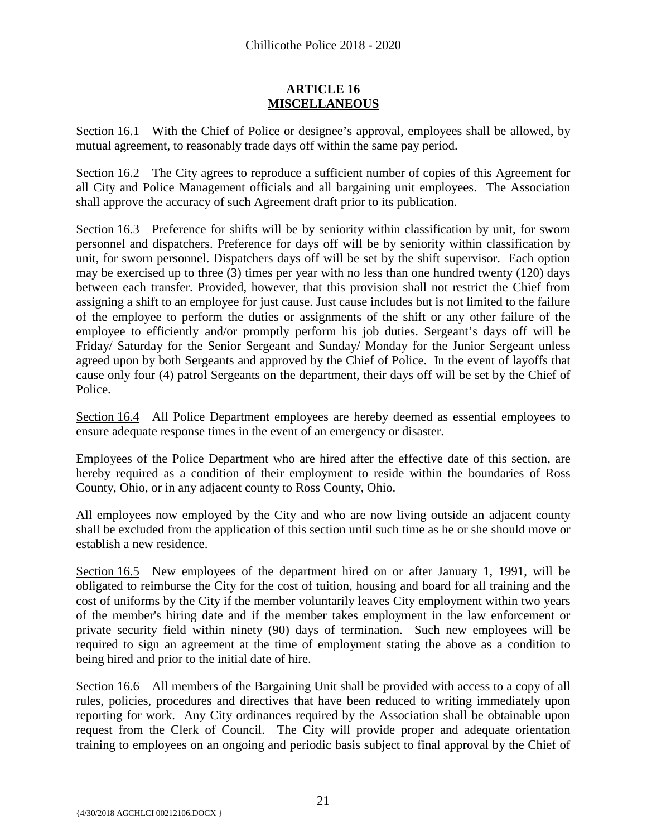#### **ARTICLE 16 MISCELLANEOUS**

<span id="page-22-0"></span>Section 16.1 With the Chief of Police or designee's approval, employees shall be allowed, by mutual agreement, to reasonably trade days off within the same pay period.

Section 16.2 The City agrees to reproduce a sufficient number of copies of this Agreement for all City and Police Management officials and all bargaining unit employees. The Association shall approve the accuracy of such Agreement draft prior to its publication.

Section 16.3 Preference for shifts will be by seniority within classification by unit, for sworn personnel and dispatchers. Preference for days off will be by seniority within classification by unit, for sworn personnel. Dispatchers days off will be set by the shift supervisor. Each option may be exercised up to three (3) times per year with no less than one hundred twenty (120) days between each transfer. Provided, however, that this provision shall not restrict the Chief from assigning a shift to an employee for just cause. Just cause includes but is not limited to the failure of the employee to perform the duties or assignments of the shift or any other failure of the employee to efficiently and/or promptly perform his job duties. Sergeant's days off will be Friday/ Saturday for the Senior Sergeant and Sunday/ Monday for the Junior Sergeant unless agreed upon by both Sergeants and approved by the Chief of Police. In the event of layoffs that cause only four (4) patrol Sergeants on the department, their days off will be set by the Chief of Police.

Section 16.4 All Police Department employees are hereby deemed as essential employees to ensure adequate response times in the event of an emergency or disaster.

Employees of the Police Department who are hired after the effective date of this section, are hereby required as a condition of their employment to reside within the boundaries of Ross County, Ohio, or in any adjacent county to Ross County, Ohio.

All employees now employed by the City and who are now living outside an adjacent county shall be excluded from the application of this section until such time as he or she should move or establish a new residence.

Section 16.5 New employees of the department hired on or after January 1, 1991, will be obligated to reimburse the City for the cost of tuition, housing and board for all training and the cost of uniforms by the City if the member voluntarily leaves City employment within two years of the member's hiring date and if the member takes employment in the law enforcement or private security field within ninety (90) days of termination. Such new employees will be required to sign an agreement at the time of employment stating the above as a condition to being hired and prior to the initial date of hire.

Section 16.6 All members of the Bargaining Unit shall be provided with access to a copy of all rules, policies, procedures and directives that have been reduced to writing immediately upon reporting for work. Any City ordinances required by the Association shall be obtainable upon request from the Clerk of Council. The City will provide proper and adequate orientation training to employees on an ongoing and periodic basis subject to final approval by the Chief of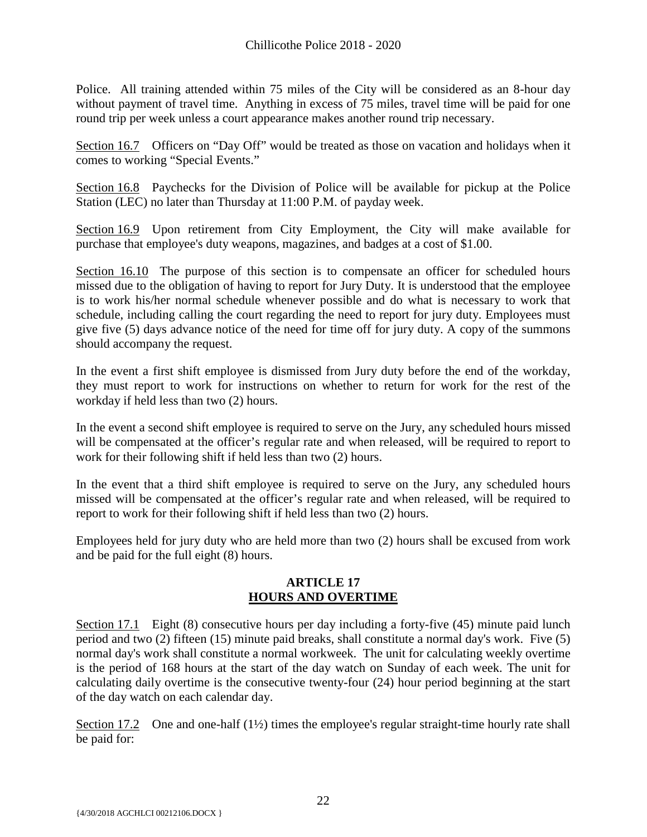Police. All training attended within 75 miles of the City will be considered as an 8-hour day without payment of travel time. Anything in excess of 75 miles, travel time will be paid for one round trip per week unless a court appearance makes another round trip necessary.

Section 16.7 Officers on "Day Off" would be treated as those on vacation and holidays when it comes to working "Special Events."

Section 16.8 Paychecks for the Division of Police will be available for pickup at the Police Station (LEC) no later than Thursday at 11:00 P.M. of payday week.

Section 16.9 Upon retirement from City Employment, the City will make available for purchase that employee's duty weapons, magazines, and badges at a cost of \$1.00.

Section 16.10 The purpose of this section is to compensate an officer for scheduled hours missed due to the obligation of having to report for Jury Duty. It is understood that the employee is to work his/her normal schedule whenever possible and do what is necessary to work that schedule, including calling the court regarding the need to report for jury duty. Employees must give five (5) days advance notice of the need for time off for jury duty. A copy of the summons should accompany the request.

In the event a first shift employee is dismissed from Jury duty before the end of the workday, they must report to work for instructions on whether to return for work for the rest of the workday if held less than two (2) hours.

In the event a second shift employee is required to serve on the Jury, any scheduled hours missed will be compensated at the officer's regular rate and when released, will be required to report to work for their following shift if held less than two (2) hours.

In the event that a third shift employee is required to serve on the Jury, any scheduled hours missed will be compensated at the officer's regular rate and when released, will be required to report to work for their following shift if held less than two (2) hours.

Employees held for jury duty who are held more than two (2) hours shall be excused from work and be paid for the full eight (8) hours.

#### **ARTICLE 17 HOURS AND OVERTIME**

<span id="page-23-0"></span>Section 17.1 Eight (8) consecutive hours per day including a forty-five (45) minute paid lunch period and two (2) fifteen (15) minute paid breaks, shall constitute a normal day's work. Five (5) normal day's work shall constitute a normal workweek. The unit for calculating weekly overtime is the period of 168 hours at the start of the day watch on Sunday of each week. The unit for calculating daily overtime is the consecutive twenty-four (24) hour period beginning at the start of the day watch on each calendar day.

Section 17.2 One and one-half (1½) times the employee's regular straight-time hourly rate shall be paid for: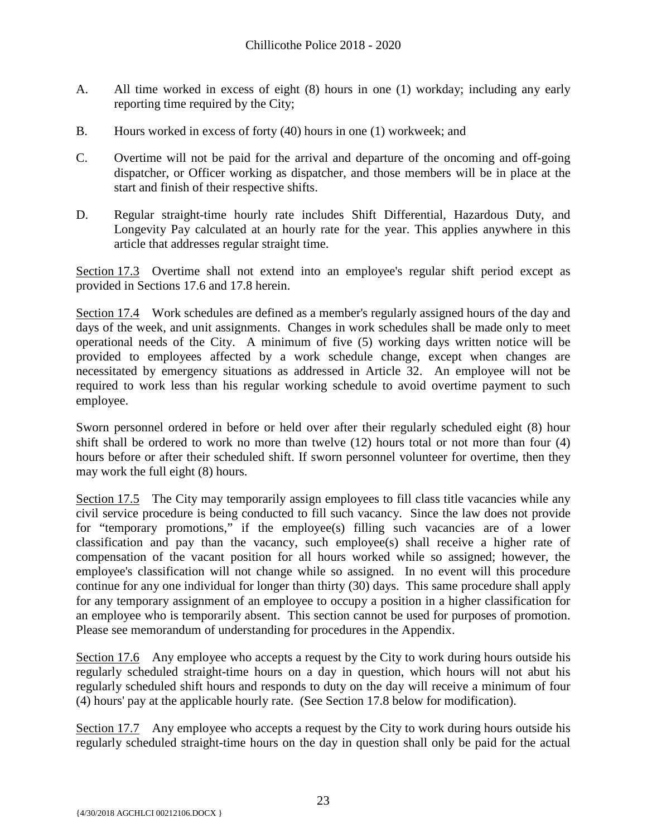- A. All time worked in excess of eight (8) hours in one (1) workday; including any early reporting time required by the City;
- B. Hours worked in excess of forty (40) hours in one (1) workweek; and
- C. Overtime will not be paid for the arrival and departure of the oncoming and off-going dispatcher, or Officer working as dispatcher, and those members will be in place at the start and finish of their respective shifts.
- D.Regular straight-time hourly rate includes Shift Differential, Hazardous Duty, and Longevity Pay calculated at an hourly rate for the year. This applies anywhere in this article that addresses regular straight time.

Section 17.3 Overtime shall not extend into an employee's regular shift period except as provided in Sections 17.6 and 17.8 herein.

Section 17.4 Work schedules are defined as a member's regularly assigned hours of the day and days of the week, and unit assignments. Changes in work schedules shall be made only to meet operational needs of the City. A minimum of five (5) working days written notice will be provided to employees affected by a work schedule change, except when changes are necessitated by emergency situations as addressed in Article 32. An employee will not be required to work less than his regular working schedule to avoid overtime payment to such employee.

Sworn personnel ordered in before or held over after their regularly scheduled eight (8) hour shift shall be ordered to work no more than twelve (12) hours total or not more than four (4) hours before or after their scheduled shift. If sworn personnel volunteer for overtime, then they may work the full eight (8) hours.

Section 17.5 The City may temporarily assign employees to fill class title vacancies while any civil service procedure is being conducted to fill such vacancy. Since the law does not provide for "temporary promotions," if the employee(s) filling such vacancies are of a lower classification and pay than the vacancy, such employee(s) shall receive a higher rate of compensation of the vacant position for all hours worked while so assigned; however, the employee's classification will not change while so assigned. In no event will this procedure continue for any one individual for longer than thirty (30) days. This same procedure shall apply for any temporary assignment of an employee to occupy a position in a higher classification for an employee who is temporarily absent. This section cannot be used for purposes of promotion. Please see memorandum of understanding for procedures in the Appendix.

Section 17.6 Any employee who accepts a request by the City to work during hours outside his regularly scheduled straight-time hours on a day in question, which hours will not abut his regularly scheduled shift hours and responds to duty on the day will receive a minimum of four (4) hours' pay at the applicable hourly rate. (See Section 17.8 below for modification).

Section 17.7 Any employee who accepts a request by the City to work during hours outside his regularly scheduled straight-time hours on the day in question shall only be paid for the actual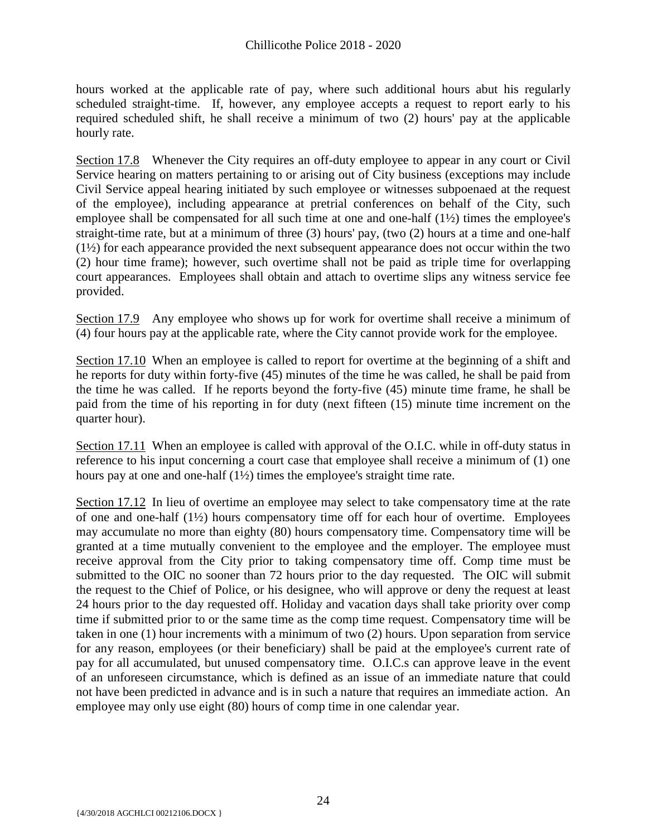hours worked at the applicable rate of pay, where such additional hours abut his regularly scheduled straight-time. If, however, any employee accepts a request to report early to his required scheduled shift, he shall receive a minimum of two (2) hours' pay at the applicable hourly rate.

Section 17.8 Whenever the City requires an off-duty employee to appear in any court or Civil Service hearing on matters pertaining to or arising out of City business (exceptions may include Civil Service appeal hearing initiated by such employee or witnesses subpoenaed at the request of the employee), including appearance at pretrial conferences on behalf of the City, such employee shall be compensated for all such time at one and one-half (1½) times the employee's straight-time rate, but at a minimum of three (3) hours' pay, (two (2) hours at a time and one-half (1½) for each appearance provided the next subsequent appearance does not occur within the two (2) hour time frame); however, such overtime shall not be paid as triple time for overlapping court appearances. Employees shall obtain and attach to overtime slips any witness service fee provided.

Section 17.9 Any employee who shows up for work for overtime shall receive a minimum of (4) four hours pay at the applicable rate, where the City cannot provide work for the employee.

Section 17.10 When an employee is called to report for overtime at the beginning of a shift and he reports for duty within forty-five (45) minutes of the time he was called, he shall be paid from the time he was called. If he reports beyond the forty-five (45) minute time frame, he shall be paid from the time of his reporting in for duty (next fifteen (15) minute time increment on the quarter hour).

Section 17.11 When an employee is called with approval of the O.I.C. while in off-duty status in reference to his input concerning a court case that employee shall receive a minimum of (1) one hours pay at one and one-half (1½) times the employee's straight time rate.

Section 17.12 In lieu of overtime an employee may select to take compensatory time at the rate of one and one-half (1½) hours compensatory time off for each hour of overtime. Employees may accumulate no more than eighty (80) hours compensatory time. Compensatory time will be granted at a time mutually convenient to the employee and the employer. The employee must receive approval from the City prior to taking compensatory time off. Comp time must be submitted to the OIC no sooner than 72 hours prior to the day requested. The OIC will submit the request to the Chief of Police, or his designee, who will approve or deny the request at least 24 hours prior to the day requested off. Holiday and vacation days shall take priority over comp time if submitted prior to or the same time as the comp time request. Compensatory time will be taken in one (1) hour increments with a minimum of two (2) hours. Upon separation from service for any reason, employees (or their beneficiary) shall be paid at the employee's current rate of pay for all accumulated, but unused compensatory time. O.I.C.s can approve leave in the event of an unforeseen circumstance, which is defined as an issue of an immediate nature that could not have been predicted in advance and is in such a nature that requires an immediate action. An employee may only use eight (80) hours of comp time in one calendar year.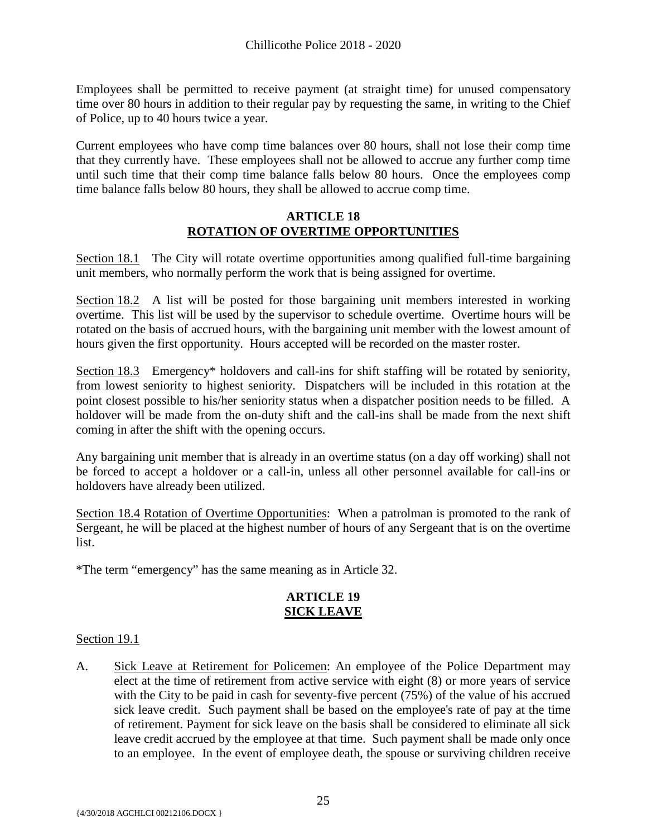Employees shall be permitted to receive payment (at straight time) for unused compensatory time over 80 hours in addition to their regular pay by requesting the same, in writing to the Chief of Police, up to 40 hours twice a year.

Current employees who have comp time balances over 80 hours, shall not lose their comp time that they currently have. These employees shall not be allowed to accrue any further comp time until such time that their comp time balance falls below 80 hours. Once the employees comp time balance falls below 80 hours, they shall be allowed to accrue comp time.

#### **ARTICLE 18 ROTATION OF OVERTIME OPPORTUNITIES**

<span id="page-26-0"></span>Section 18.1 The City will rotate overtime opportunities among qualified full-time bargaining unit members, who normally perform the work that is being assigned for overtime.

Section 18.2 A list will be posted for those bargaining unit members interested in working overtime. This list will be used by the supervisor to schedule overtime. Overtime hours will be rotated on the basis of accrued hours, with the bargaining unit member with the lowest amount of hours given the first opportunity. Hours accepted will be recorded on the master roster.

Section 18.3 Emergency\* holdovers and call-ins for shift staffing will be rotated by seniority, from lowest seniority to highest seniority. Dispatchers will be included in this rotation at the point closest possible to his/her seniority status when a dispatcher position needs to be filled. A holdover will be made from the on-duty shift and the call-ins shall be made from the next shift coming in after the shift with the opening occurs.

Any bargaining unit member that is already in an overtime status (on a day off working) shall not be forced to accept a holdover or a call-in, unless all other personnel available for call-ins or holdovers have already been utilized.

Section 18.4 Rotation of Overtime Opportunities: When a patrolman is promoted to the rank of Sergeant, he will be placed at the highest number of hours of any Sergeant that is on the overtime list.

\*The term "emergency" has the same meaning as in Article 32.

# **ARTICLE 19 SICK LEAVE**

# <span id="page-26-1"></span>Section 19.1

A. Sick Leave at Retirement for Policemen: An employee of the Police Department may elect at the time of retirement from active service with eight (8) or more years of service with the City to be paid in cash for seventy-five percent (75%) of the value of his accrued sick leave credit. Such payment shall be based on the employee's rate of pay at the time of retirement. Payment for sick leave on the basis shall be considered to eliminate all sick leave credit accrued by the employee at that time. Such payment shall be made only once to an employee. In the event of employee death, the spouse or surviving children receive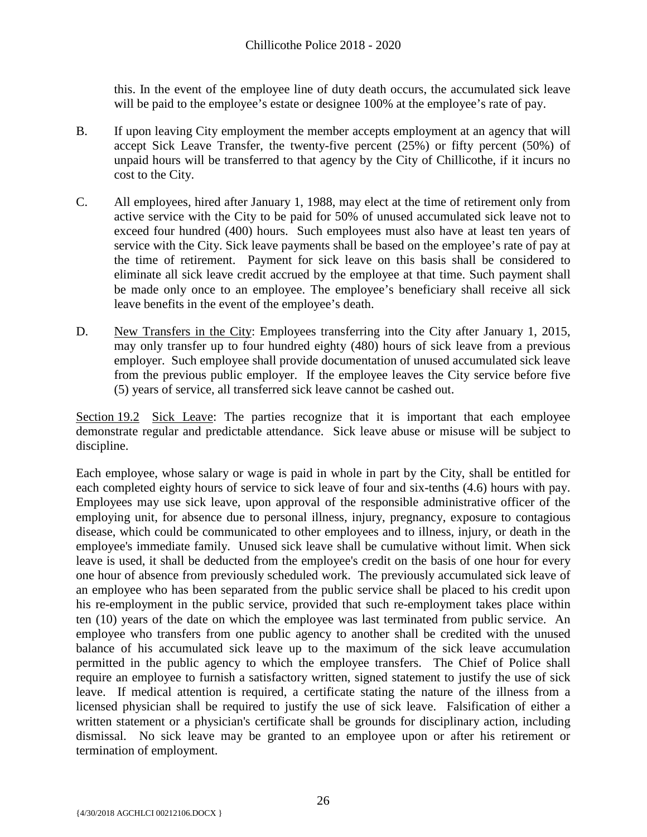this. In the event of the employee line of duty death occurs, the accumulated sick leave will be paid to the employee's estate or designee 100% at the employee's rate of pay.

- B. If upon leaving City employment the member accepts employment at an agency that will accept Sick Leave Transfer, the twenty-five percent (25%) or fifty percent (50%) of unpaid hours will be transferred to that agency by the City of Chillicothe, if it incurs no cost to the City.
- C. All employees, hired after January 1, 1988, may elect at the time of retirement only from active service with the City to be paid for 50% of unused accumulated sick leave not to exceed four hundred (400) hours. Such employees must also have at least ten years of service with the City. Sick leave payments shall be based on the employee's rate of pay at the time of retirement. Payment for sick leave on this basis shall be considered to eliminate all sick leave credit accrued by the employee at that time. Such payment shall be made only once to an employee. The employee's beneficiary shall receive all sick leave benefits in the event of the employee's death.
- D. New Transfers in the City: Employees transferring into the City after January 1, 2015, may only transfer up to four hundred eighty (480) hours of sick leave from a previous employer. Such employee shall provide documentation of unused accumulated sick leave from the previous public employer. If the employee leaves the City service before five (5) years of service, all transferred sick leave cannot be cashed out.

Section 19.2 Sick Leave: The parties recognize that it is important that each employee demonstrate regular and predictable attendance. Sick leave abuse or misuse will be subject to discipline.

Each employee, whose salary or wage is paid in whole in part by the City, shall be entitled for each completed eighty hours of service to sick leave of four and six-tenths (4.6) hours with pay. Employees may use sick leave, upon approval of the responsible administrative officer of the employing unit, for absence due to personal illness, injury, pregnancy, exposure to contagious disease, which could be communicated to other employees and to illness, injury, or death in the employee's immediate family. Unused sick leave shall be cumulative without limit. When sick leave is used, it shall be deducted from the employee's credit on the basis of one hour for every one hour of absence from previously scheduled work. The previously accumulated sick leave of an employee who has been separated from the public service shall be placed to his credit upon his re-employment in the public service, provided that such re-employment takes place within ten (10) years of the date on which the employee was last terminated from public service. An employee who transfers from one public agency to another shall be credited with the unused balance of his accumulated sick leave up to the maximum of the sick leave accumulation permitted in the public agency to which the employee transfers. The Chief of Police shall require an employee to furnish a satisfactory written, signed statement to justify the use of sick leave. If medical attention is required, a certificate stating the nature of the illness from a licensed physician shall be required to justify the use of sick leave. Falsification of either a written statement or a physician's certificate shall be grounds for disciplinary action, including dismissal. No sick leave may be granted to an employee upon or after his retirement or termination of employment.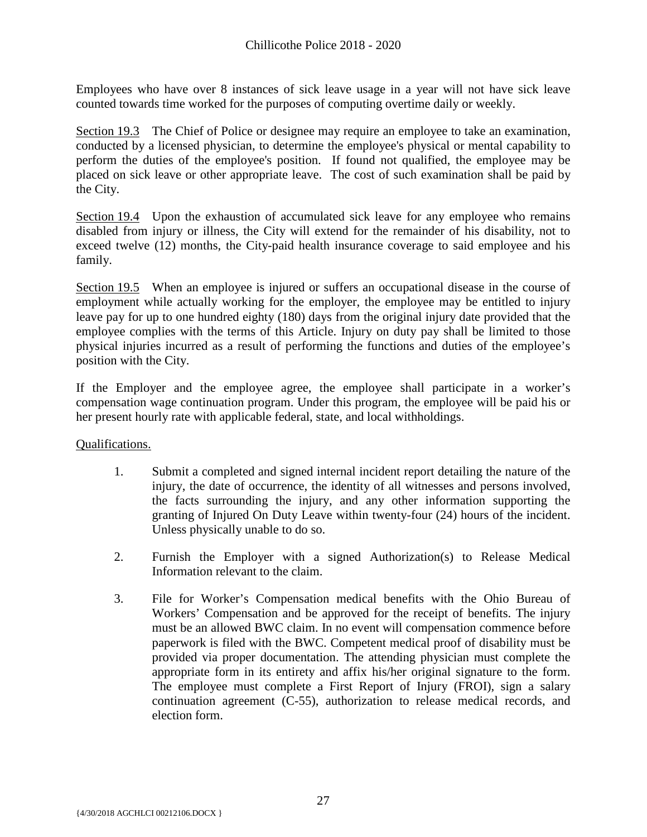Employees who have over 8 instances of sick leave usage in a year will not have sick leave counted towards time worked for the purposes of computing overtime daily or weekly.

Section 19.3 The Chief of Police or designee may require an employee to take an examination, conducted by a licensed physician, to determine the employee's physical or mental capability to perform the duties of the employee's position. If found not qualified, the employee may be placed on sick leave or other appropriate leave. The cost of such examination shall be paid by the City.

Section 19.4 Upon the exhaustion of accumulated sick leave for any employee who remains disabled from injury or illness, the City will extend for the remainder of his disability, not to exceed twelve (12) months, the City-paid health insurance coverage to said employee and his family.

Section 19.5 When an employee is injured or suffers an occupational disease in the course of employment while actually working for the employer, the employee may be entitled to injury leave pay for up to one hundred eighty (180) days from the original injury date provided that the employee complies with the terms of this Article. Injury on duty pay shall be limited to those physical injuries incurred as a result of performing the functions and duties of the employee's position with the City.

If the Employer and the employee agree, the employee shall participate in a worker's compensation wage continuation program. Under this program, the employee will be paid his or her present hourly rate with applicable federal, state, and local withholdings.

Qualifications.

- 1. Submit a completed and signed internal incident report detailing the nature of the injury, the date of occurrence, the identity of all witnesses and persons involved, the facts surrounding the injury, and any other information supporting the granting of Injured On Duty Leave within twenty-four (24) hours of the incident. Unless physically unable to do so.
- 2. Furnish the Employer with a signed Authorization(s) to Release Medical Information relevant to the claim.
- 3. File for Worker's Compensation medical benefits with the Ohio Bureau of Workers' Compensation and be approved for the receipt of benefits. The injury must be an allowed BWC claim. In no event will compensation commence before paperwork is filed with the BWC. Competent medical proof of disability must be provided via proper documentation. The attending physician must complete the appropriate form in its entirety and affix his/her original signature to the form. The employee must complete a First Report of Injury (FROI), sign a salary continuation agreement (C-55), authorization to release medical records, and election form.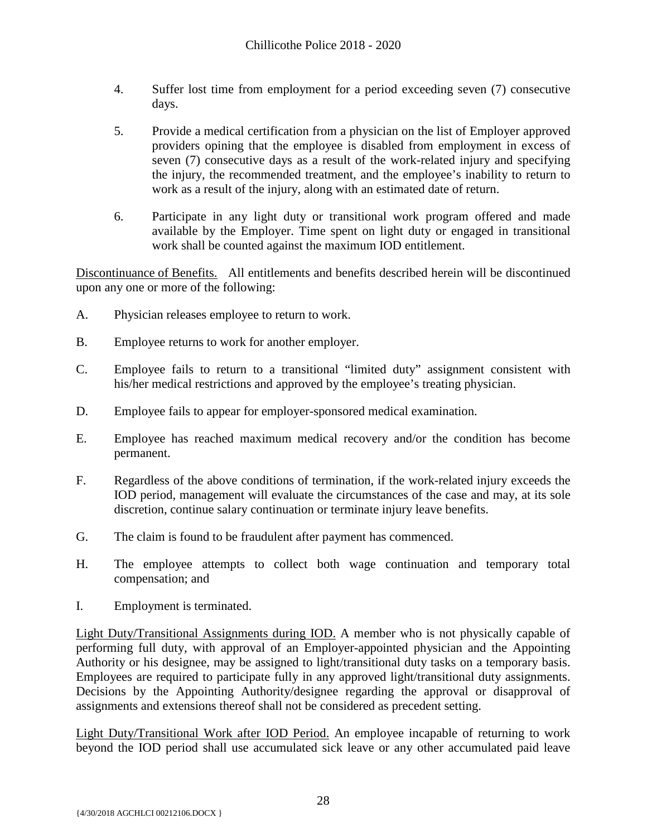- 4. Suffer lost time from employment for a period exceeding seven (7) consecutive days.
- 5. Provide a medical certification from a physician on the list of Employer approved providers opining that the employee is disabled from employment in excess of seven (7) consecutive days as a result of the work-related injury and specifying the injury, the recommended treatment, and the employee's inability to return to work as a result of the injury, along with an estimated date of return.
- 6. Participate in any light duty or transitional work program offered and made available by the Employer. Time spent on light duty or engaged in transitional work shall be counted against the maximum IOD entitlement.

Discontinuance of Benefits. All entitlements and benefits described herein will be discontinued upon any one or more of the following:

- A. Physician releases employee to return to work.
- B. Employee returns to work for another employer.
- C. Employee fails to return to a transitional "limited duty" assignment consistent with his/her medical restrictions and approved by the employee's treating physician.
- D. Employee fails to appear for employer-sponsored medical examination.
- E. Employee has reached maximum medical recovery and/or the condition has become permanent.
- F. Regardless of the above conditions of termination, if the work-related injury exceeds the IOD period, management will evaluate the circumstances of the case and may, at its sole discretion, continue salary continuation or terminate injury leave benefits.
- G. The claim is found to be fraudulent after payment has commenced.
- H. The employee attempts to collect both wage continuation and temporary total compensation; and
- I. Employment is terminated.

Light Duty/Transitional Assignments during IOD. A member who is not physically capable of performing full duty, with approval of an Employer-appointed physician and the Appointing Authority or his designee, may be assigned to light/transitional duty tasks on a temporary basis. Employees are required to participate fully in any approved light/transitional duty assignments. Decisions by the Appointing Authority/designee regarding the approval or disapproval of assignments and extensions thereof shall not be considered as precedent setting.

Light Duty/Transitional Work after IOD Period. An employee incapable of returning to work beyond the IOD period shall use accumulated sick leave or any other accumulated paid leave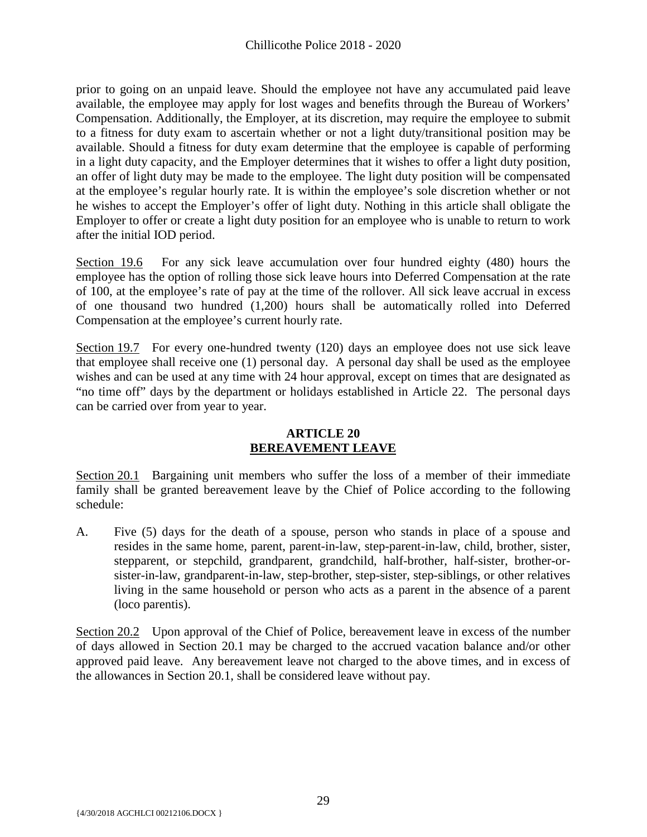prior to going on an unpaid leave. Should the employee not have any accumulated paid leave available, the employee may apply for lost wages and benefits through the Bureau of Workers' Compensation. Additionally, the Employer, at its discretion, may require the employee to submit to a fitness for duty exam to ascertain whether or not a light duty/transitional position may be available. Should a fitness for duty exam determine that the employee is capable of performing in a light duty capacity, and the Employer determines that it wishes to offer a light duty position, an offer of light duty may be made to the employee. The light duty position will be compensated at the employee's regular hourly rate. It is within the employee's sole discretion whether or not he wishes to accept the Employer's offer of light duty. Nothing in this article shall obligate the Employer to offer or create a light duty position for an employee who is unable to return to work after the initial IOD period.

Section 19.6 For any sick leave accumulation over four hundred eighty (480) hours the employee has the option of rolling those sick leave hours into Deferred Compensation at the rate of 100, at the employee's rate of pay at the time of the rollover. All sick leave accrual in excess of one thousand two hundred (1,200) hours shall be automatically rolled into Deferred Compensation at the employee's current hourly rate.

Section 19.7 For every one-hundred twenty (120) days an employee does not use sick leave that employee shall receive one (1) personal day. A personal day shall be used as the employee wishes and can be used at any time with 24 hour approval, except on times that are designated as "no time off" days by the department or holidays established in Article 22. The personal days can be carried over from year to year.

# **ARTICLE 20 BEREAVEMENT LEAVE**

<span id="page-30-0"></span>Section 20.1 Bargaining unit members who suffer the loss of a member of their immediate family shall be granted bereavement leave by the Chief of Police according to the following schedule:

A. Five (5) days for the death of a spouse, person who stands in place of a spouse and resides in the same home, parent, parent-in-law, step-parent-in-law, child, brother, sister, stepparent, or stepchild, grandparent, grandchild, half-brother, half-sister, brother-orsister-in-law, grandparent-in-law, step-brother, step-sister, step-siblings, or other relatives living in the same household or person who acts as a parent in the absence of a parent (loco parentis).

Section 20.2 Upon approval of the Chief of Police, bereavement leave in excess of the number of days allowed in Section 20.1 may be charged to the accrued vacation balance and/or other approved paid leave. Any bereavement leave not charged to the above times, and in excess of the allowances in Section 20.1, shall be considered leave without pay.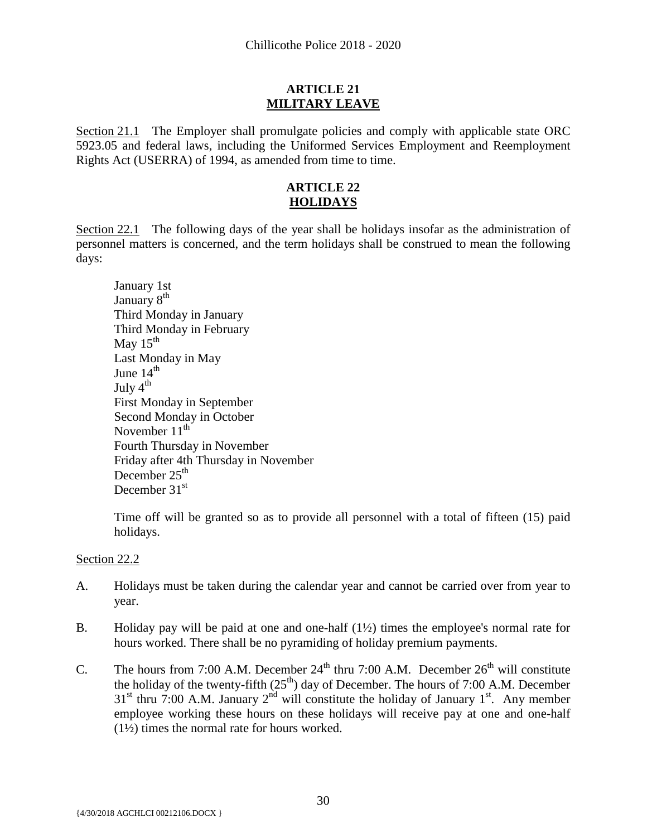# **ARTICLE 21 MILITARY LEAVE**

<span id="page-31-0"></span>Section 21.1 The Employer shall promulgate policies and comply with applicable state ORC 5923.05 and federal laws, including the Uniformed Services Employment and Reemployment Rights Act (USERRA) of 1994, as amended from time to time.

# **ARTICLE 22 HOLIDAYS**

<span id="page-31-1"></span>Section 22.1 The following days of the year shall be holidays insofar as the administration of personnel matters is concerned, and the term holidays shall be construed to mean the following days:

January 1st January 8<sup>th</sup> Third Monday in January Third Monday in February May  $15<sup>th</sup>$ Last Monday in May June  $14<sup>th</sup>$ July 4<sup>th</sup> First Monday in September Second Monday in October November  $11<sup>th</sup>$ Fourth Thursday in November Friday after 4th Thursday in November December  $25<sup>th</sup>$ December 31<sup>st</sup>

Time off will be granted so as to provide all personnel with a total of fifteen (15) paid holidays.

# Section 22.2

- A. Holidays must be taken during the calendar year and cannot be carried over from year to year.
- B. Holiday pay will be paid at one and one-half (1½) times the employee's normal rate for hours worked. There shall be no pyramiding of holiday premium payments.
- C. The hours from 7:00 A.M. December  $24<sup>th</sup>$  thru 7:00 A.M. December  $26<sup>th</sup>$  will constitute the holiday of the twenty-fifth  $(25<sup>th</sup>)$  day of December. The hours of 7:00 A.M. December  $31<sup>st</sup>$  thru 7:00 A.M. January  $2<sup>nd</sup>$  will constitute the holiday of January  $1<sup>st</sup>$ . Any member employee working these hours on these holidays will receive pay at one and one-half  $(1\frac{1}{2})$  times the normal rate for hours worked.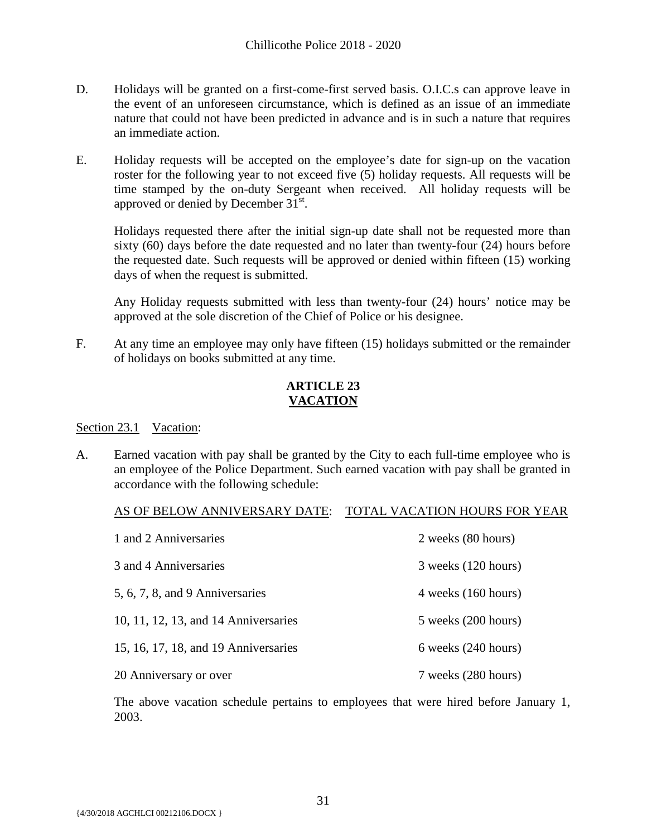- D. Holidays will be granted on a first-come-first served basis. O.I.C.s can approve leave in the event of an unforeseen circumstance, which is defined as an issue of an immediate nature that could not have been predicted in advance and is in such a nature that requires an immediate action.
- E. Holiday requests will be accepted on the employee's date for sign-up on the vacation roster for the following year to not exceed five (5) holiday requests. All requests will be time stamped by the on-duty Sergeant when received. All holiday requests will be approved or denied by December 31<sup>st</sup>.

Holidays requested there after the initial sign-up date shall not be requested more than sixty (60) days before the date requested and no later than twenty-four (24) hours before the requested date. Such requests will be approved or denied within fifteen (15) working days of when the request is submitted.

Any Holiday requests submitted with less than twenty-four (24) hours' notice may be approved at the sole discretion of the Chief of Police or his designee.

F. At any time an employee may only have fifteen (15) holidays submitted or the remainder of holidays on books submitted at any time.

# **ARTICLE 23 VACATION**

# <span id="page-32-0"></span>Section 23.1 Vacation:

A. Earned vacation with pay shall be granted by the City to each full-time employee who is an employee of the Police Department. Such earned vacation with pay shall be granted in accordance with the following schedule:

# AS OF BELOW ANNIVERSARY DATE: TOTAL VACATION HOURS FOR YEAR

| 1 and 2 Anniversaries                | 2 weeks (80 hours)      |
|--------------------------------------|-------------------------|
| 3 and 4 Anniversaries                | 3 weeks (120 hours)     |
| 5, 6, 7, 8, and 9 Anniversaries      | 4 weeks (160 hours)     |
| 10, 11, 12, 13, and 14 Anniversaries | $5$ weeks $(200$ hours) |
| 15, 16, 17, 18, and 19 Anniversaries | $6$ weeks $(240$ hours) |
| 20 Anniversary or over               | 7 weeks (280 hours)     |

The above vacation schedule pertains to employees that were hired before January 1, 2003.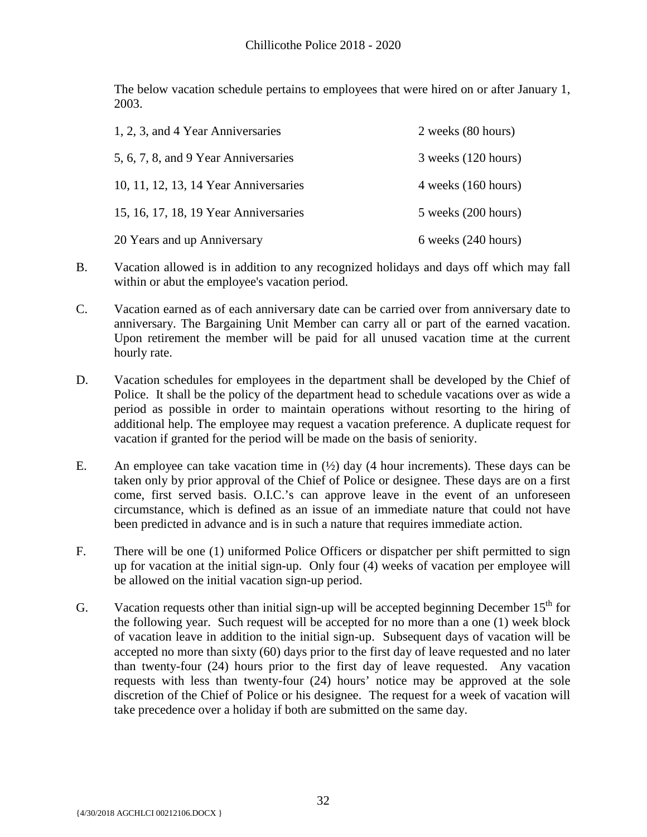The below vacation schedule pertains to employees that were hired on or after January 1, 2003.

| 1, 2, 3, and 4 Year Anniversaries     | 2 weeks (80 hours)      |
|---------------------------------------|-------------------------|
| 5, 6, 7, 8, and 9 Year Anniversaries  | $3$ weeks $(120$ hours) |
| 10, 11, 12, 13, 14 Year Anniversaries | $4$ weeks $(160$ hours) |
| 15, 16, 17, 18, 19 Year Anniversaries | $5$ weeks $(200$ hours) |
| 20 Years and up Anniversary           | $6$ weeks $(240$ hours) |

- B. Vacation allowed is in addition to any recognized holidays and days off which may fall within or abut the employee's vacation period.
- C. Vacation earned as of each anniversary date can be carried over from anniversary date to anniversary. The Bargaining Unit Member can carry all or part of the earned vacation. Upon retirement the member will be paid for all unused vacation time at the current hourly rate.
- D. Vacation schedules for employees in the department shall be developed by the Chief of Police. It shall be the policy of the department head to schedule vacations over as wide a period as possible in order to maintain operations without resorting to the hiring of additional help. The employee may request a vacation preference. A duplicate request for vacation if granted for the period will be made on the basis of seniority.
- E. An employee can take vacation time in  $(1/2)$  day (4 hour increments). These days can be taken only by prior approval of the Chief of Police or designee. These days are on a first come, first served basis. O.I.C.'s can approve leave in the event of an unforeseen circumstance, which is defined as an issue of an immediate nature that could not have been predicted in advance and is in such a nature that requires immediate action.
- F. There will be one (1) uniformed Police Officers or dispatcher per shift permitted to sign up for vacation at the initial sign-up. Only four (4) weeks of vacation per employee will be allowed on the initial vacation sign-up period.
- G. Vacation requests other than initial sign-up will be accepted beginning December  $15<sup>th</sup>$  for the following year. Such request will be accepted for no more than a one (1) week block of vacation leave in addition to the initial sign-up. Subsequent days of vacation will be accepted no more than sixty (60) days prior to the first day of leave requested and no later than twenty-four (24) hours prior to the first day of leave requested. Any vacation requests with less than twenty-four (24) hours' notice may be approved at the sole discretion of the Chief of Police or his designee. The request for a week of vacation will take precedence over a holiday if both are submitted on the same day.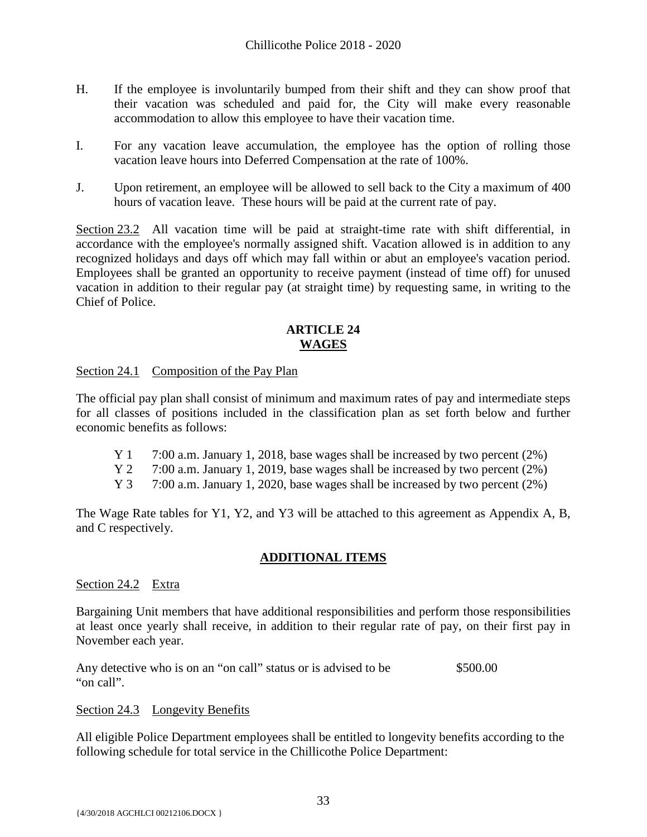- H. If the employee is involuntarily bumped from their shift and they can show proof that their vacation was scheduled and paid for, the City will make every reasonable accommodation to allow this employee to have their vacation time.
- I. For any vacation leave accumulation, the employee has the option of rolling those vacation leave hours into Deferred Compensation at the rate of 100%.
- J. Upon retirement, an employee will be allowed to sell back to the City a maximum of 400 hours of vacation leave. These hours will be paid at the current rate of pay.

Section 23.2 All vacation time will be paid at straight-time rate with shift differential, in accordance with the employee's normally assigned shift. Vacation allowed is in addition to any recognized holidays and days off which may fall within or abut an employee's vacation period. Employees shall be granted an opportunity to receive payment (instead of time off) for unused vacation in addition to their regular pay (at straight time) by requesting same, in writing to the Chief of Police.

# **ARTICLE 24 WAGES**

<span id="page-34-0"></span>Section 24.1 Composition of the Pay Plan

The official pay plan shall consist of minimum and maximum rates of pay and intermediate steps for all classes of positions included in the classification plan as set forth below and further economic benefits as follows:

- Y 1 7:00 a.m. January 1, 2018, base wages shall be increased by two percent (2%)
- Y 2 7:00 a.m. January 1, 2019, base wages shall be increased by two percent (2%)
- Y 3 7:00 a.m. January 1, 2020, base wages shall be increased by two percent (2%)

The Wage Rate tables for Y1, Y2, and Y3 will be attached to this agreement as Appendix A, B, and C respectively.

# **ADDITIONAL ITEMS**

#### Section 24.2 Extra

Bargaining Unit members that have additional responsibilities and perform those responsibilities at least once yearly shall receive, in addition to their regular rate of pay, on their first pay in November each year.

Any detective who is on an "on call" status or is advised to be  $$500.00$ "on call".

#### Section 24.3 Longevity Benefits

All eligible Police Department employees shall be entitled to longevity benefits according to the following schedule for total service in the Chillicothe Police Department: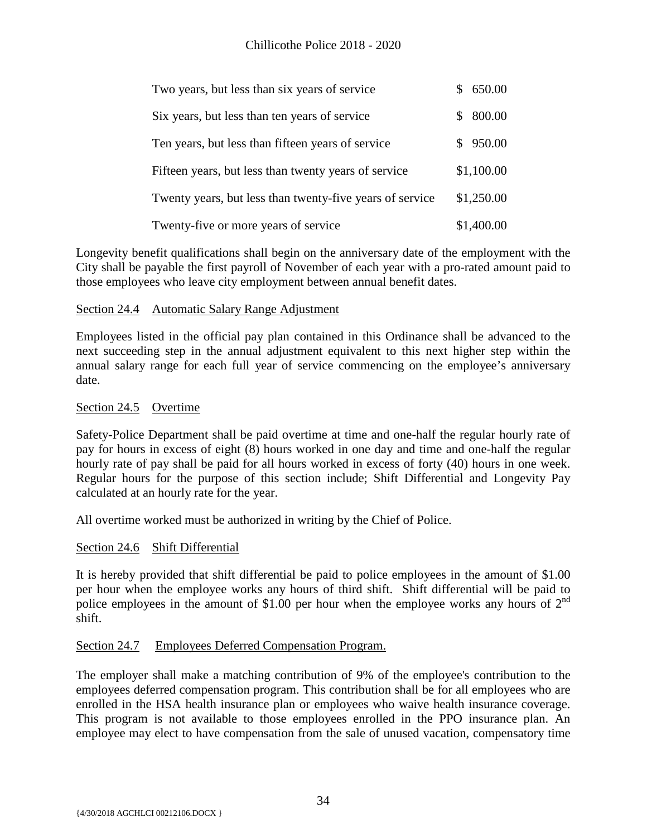| Two years, but less than six years of service            | \$650.00                 |
|----------------------------------------------------------|--------------------------|
| Six years, but less than ten years of service            | 800.00<br>$\mathbb{S}^-$ |
| Ten years, but less than fifteen years of service        | \$950.00                 |
| Fifteen years, but less than twenty years of service     | \$1,100.00               |
| Twenty years, but less than twenty-five years of service | \$1,250.00               |
| Twenty-five or more years of service                     | \$1,400.00               |

Longevity benefit qualifications shall begin on the anniversary date of the employment with the City shall be payable the first payroll of November of each year with a pro-rated amount paid to those employees who leave city employment between annual benefit dates.

#### Section 24.4 Automatic Salary Range Adjustment

Employees listed in the official pay plan contained in this Ordinance shall be advanced to the next succeeding step in the annual adjustment equivalent to this next higher step within the annual salary range for each full year of service commencing on the employee's anniversary date.

#### Section 24.5 Overtime

Safety-Police Department shall be paid overtime at time and one-half the regular hourly rate of pay for hours in excess of eight (8) hours worked in one day and time and one-half the regular hourly rate of pay shall be paid for all hours worked in excess of forty (40) hours in one week. Regular hours for the purpose of this section include; Shift Differential and Longevity Pay calculated at an hourly rate for the year.

All overtime worked must be authorized in writing by the Chief of Police.

#### Section 24.6 Shift Differential

It is hereby provided that shift differential be paid to police employees in the amount of \$1.00 per hour when the employee works any hours of third shift. Shift differential will be paid to police employees in the amount of \$1.00 per hour when the employee works any hours of  $2<sup>nd</sup>$ shift.

#### Section 24.7 Employees Deferred Compensation Program.

The employer shall make a matching contribution of 9% of the employee's contribution to the employees deferred compensation program. This contribution shall be for all employees who are enrolled in the HSA health insurance plan or employees who waive health insurance coverage. This program is not available to those employees enrolled in the PPO insurance plan. An employee may elect to have compensation from the sale of unused vacation, compensatory time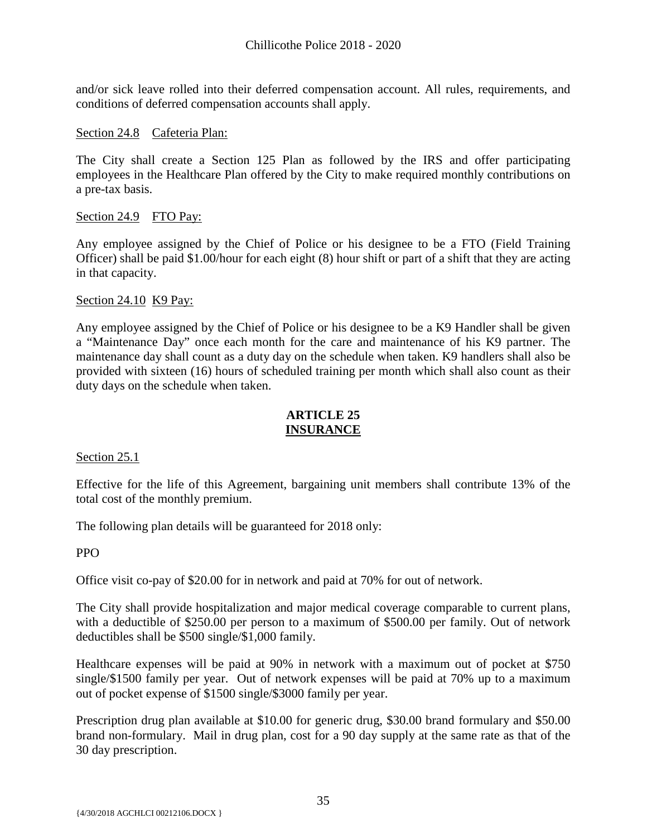and/or sick leave rolled into their deferred compensation account. All rules, requirements, and conditions of deferred compensation accounts shall apply.

#### Section 24.8 Cafeteria Plan:

The City shall create a Section 125 Plan as followed by the IRS and offer participating employees in the Healthcare Plan offered by the City to make required monthly contributions on a pre-tax basis.

#### Section 24.9 FTO Pay:

Any employee assigned by the Chief of Police or his designee to be a FTO (Field Training Officer) shall be paid \$1.00/hour for each eight (8) hour shift or part of a shift that they are acting in that capacity.

#### Section 24.10 K9 Pay:

Any employee assigned by the Chief of Police or his designee to be a K9 Handler shall be given a "Maintenance Day" once each month for the care and maintenance of his K9 partner. The maintenance day shall count as a duty day on the schedule when taken. K9 handlers shall also be provided with sixteen (16) hours of scheduled training per month which shall also count as their duty days on the schedule when taken.

#### **ARTICLE 25 INSURANCE**

<span id="page-36-0"></span>Section 25.1

Effective for the life of this Agreement, bargaining unit members shall contribute 13% of the total cost of the monthly premium.

The following plan details will be guaranteed for 2018 only:

PPO

Office visit co-pay of \$20.00 for in network and paid at 70% for out of network.

The City shall provide hospitalization and major medical coverage comparable to current plans, with a deductible of \$250.00 per person to a maximum of \$500.00 per family. Out of network deductibles shall be \$500 single/\$1,000 family.

Healthcare expenses will be paid at 90% in network with a maximum out of pocket at \$750 single/\$1500 family per year. Out of network expenses will be paid at 70% up to a maximum out of pocket expense of \$1500 single/\$3000 family per year.

Prescription drug plan available at \$10.00 for generic drug, \$30.00 brand formulary and \$50.00 brand non-formulary. Mail in drug plan, cost for a 90 day supply at the same rate as that of the 30 day prescription.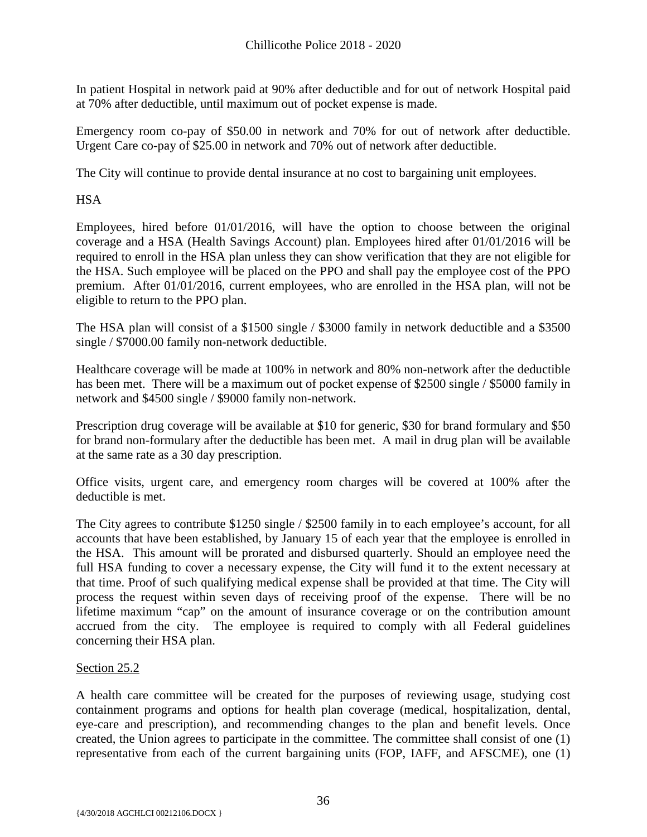In patient Hospital in network paid at 90% after deductible and for out of network Hospital paid at 70% after deductible, until maximum out of pocket expense is made.

Emergency room co-pay of \$50.00 in network and 70% for out of network after deductible. Urgent Care co-pay of \$25.00 in network and 70% out of network after deductible.

The City will continue to provide dental insurance at no cost to bargaining unit employees.

**HSA** 

Employees, hired before 01/01/2016, will have the option to choose between the original coverage and a HSA (Health Savings Account) plan. Employees hired after 01/01/2016 will be required to enroll in the HSA plan unless they can show verification that they are not eligible for the HSA. Such employee will be placed on the PPO and shall pay the employee cost of the PPO premium. After 01/01/2016, current employees, who are enrolled in the HSA plan, will not be eligible to return to the PPO plan.

The HSA plan will consist of a \$1500 single / \$3000 family in network deductible and a \$3500 single / \$7000.00 family non-network deductible.

Healthcare coverage will be made at 100% in network and 80% non-network after the deductible has been met. There will be a maximum out of pocket expense of \$2500 single / \$5000 family in network and \$4500 single / \$9000 family non-network.

Prescription drug coverage will be available at \$10 for generic, \$30 for brand formulary and \$50 for brand non-formulary after the deductible has been met. A mail in drug plan will be available at the same rate as a 30 day prescription.

Office visits, urgent care, and emergency room charges will be covered at 100% after the deductible is met.

The City agrees to contribute \$1250 single / \$2500 family in to each employee's account, for all accounts that have been established, by January 15 of each year that the employee is enrolled in the HSA. This amount will be prorated and disbursed quarterly. Should an employee need the full HSA funding to cover a necessary expense, the City will fund it to the extent necessary at that time. Proof of such qualifying medical expense shall be provided at that time. The City will process the request within seven days of receiving proof of the expense. There will be no lifetime maximum "cap" on the amount of insurance coverage or on the contribution amount accrued from the city. The employee is required to comply with all Federal guidelines concerning their HSA plan.

# Section 25.2

A health care committee will be created for the purposes of reviewing usage, studying cost containment programs and options for health plan coverage (medical, hospitalization, dental, eye-care and prescription), and recommending changes to the plan and benefit levels. Once created, the Union agrees to participate in the committee. The committee shall consist of one (1) representative from each of the current bargaining units (FOP, IAFF, and AFSCME), one (1)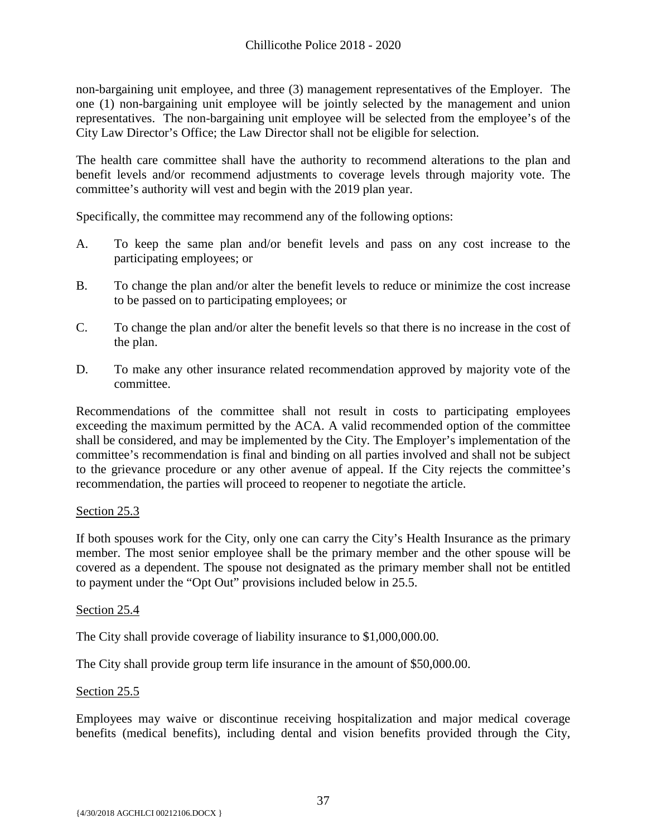non-bargaining unit employee, and three (3) management representatives of the Employer. The one (1) non-bargaining unit employee will be jointly selected by the management and union representatives. The non-bargaining unit employee will be selected from the employee's of the City Law Director's Office; the Law Director shall not be eligible for selection.

The health care committee shall have the authority to recommend alterations to the plan and benefit levels and/or recommend adjustments to coverage levels through majority vote. The committee's authority will vest and begin with the 2019 plan year.

Specifically, the committee may recommend any of the following options:

- A. To keep the same plan and/or benefit levels and pass on any cost increase to the participating employees; or
- B. To change the plan and/or alter the benefit levels to reduce or minimize the cost increase to be passed on to participating employees; or
- C. To change the plan and/or alter the benefit levels so that there is no increase in the cost of the plan.
- D. To make any other insurance related recommendation approved by majority vote of the committee.

Recommendations of the committee shall not result in costs to participating employees exceeding the maximum permitted by the ACA. A valid recommended option of the committee shall be considered, and may be implemented by the City. The Employer's implementation of the committee's recommendation is final and binding on all parties involved and shall not be subject to the grievance procedure or any other avenue of appeal. If the City rejects the committee's recommendation, the parties will proceed to reopener to negotiate the article.

# Section 25.3

If both spouses work for the City, only one can carry the City's Health Insurance as the primary member. The most senior employee shall be the primary member and the other spouse will be covered as a dependent. The spouse not designated as the primary member shall not be entitled to payment under the "Opt Out" provisions included below in 25.5.

#### Section 25.4

The City shall provide coverage of liability insurance to \$1,000,000.00.

The City shall provide group term life insurance in the amount of \$50,000.00.

#### Section 25.5

Employees may waive or discontinue receiving hospitalization and major medical coverage benefits (medical benefits), including dental and vision benefits provided through the City,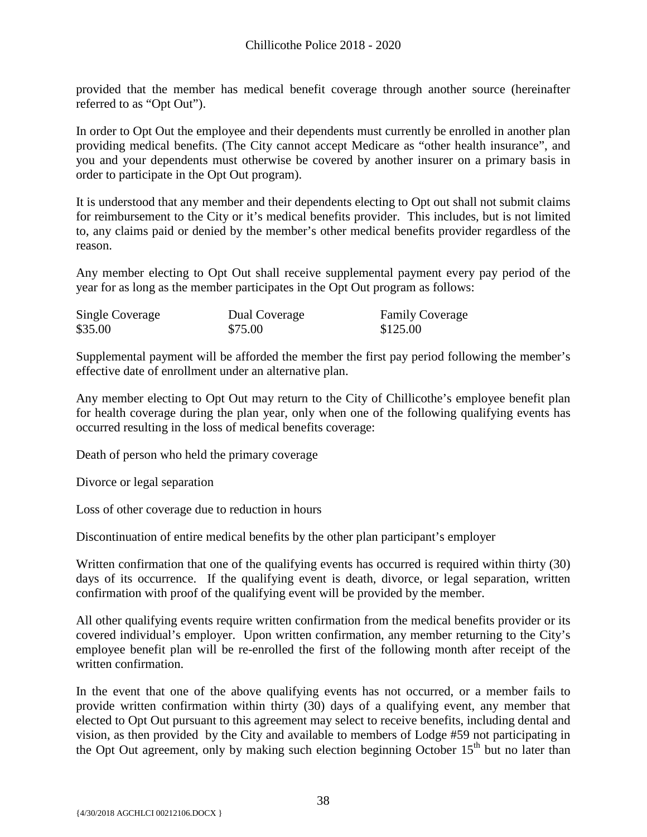provided that the member has medical benefit coverage through another source (hereinafter referred to as "Opt Out").

In order to Opt Out the employee and their dependents must currently be enrolled in another plan providing medical benefits. (The City cannot accept Medicare as "other health insurance", and you and your dependents must otherwise be covered by another insurer on a primary basis in order to participate in the Opt Out program).

It is understood that any member and their dependents electing to Opt out shall not submit claims for reimbursement to the City or it's medical benefits provider. This includes, but is not limited to, any claims paid or denied by the member's other medical benefits provider regardless of the reason.

Any member electing to Opt Out shall receive supplemental payment every pay period of the year for as long as the member participates in the Opt Out program as follows:

| Single Coverage | Dual Coverage | <b>Family Coverage</b> |
|-----------------|---------------|------------------------|
| \$35.00         | \$75.00       | \$125.00               |

Supplemental payment will be afforded the member the first pay period following the member's effective date of enrollment under an alternative plan.

Any member electing to Opt Out may return to the City of Chillicothe's employee benefit plan for health coverage during the plan year, only when one of the following qualifying events has occurred resulting in the loss of medical benefits coverage:

Death of person who held the primary coverage

Divorce or legal separation

Loss of other coverage due to reduction in hours

Discontinuation of entire medical benefits by the other plan participant's employer

Written confirmation that one of the qualifying events has occurred is required within thirty (30) days of its occurrence. If the qualifying event is death, divorce, or legal separation, written confirmation with proof of the qualifying event will be provided by the member.

All other qualifying events require written confirmation from the medical benefits provider or its covered individual's employer. Upon written confirmation, any member returning to the City's employee benefit plan will be re-enrolled the first of the following month after receipt of the written confirmation.

In the event that one of the above qualifying events has not occurred, or a member fails to provide written confirmation within thirty (30) days of a qualifying event, any member that elected to Opt Out pursuant to this agreement may select to receive benefits, including dental and vision, as then provided by the City and available to members of Lodge #59 not participating in the Opt Out agreement, only by making such election beginning October  $15<sup>th</sup>$  but no later than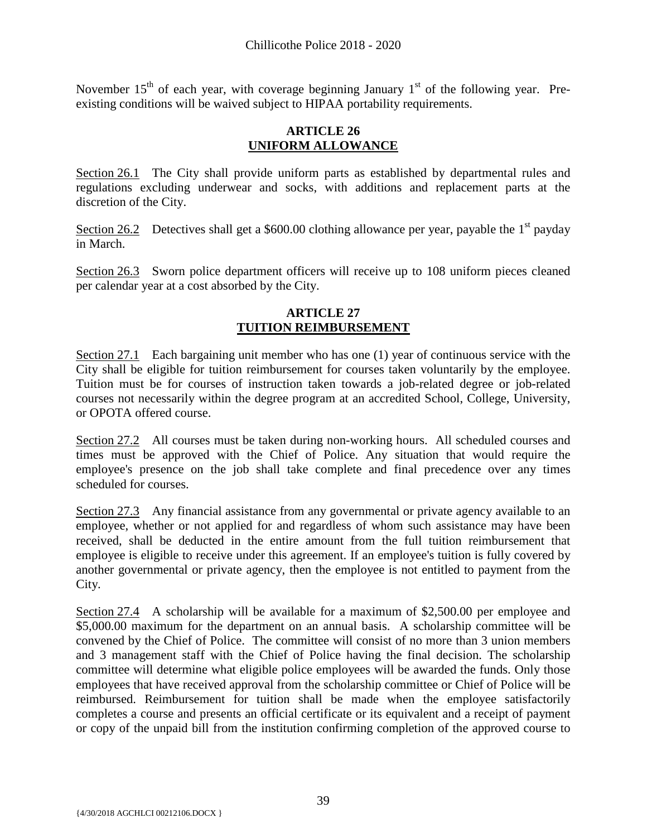November  $15<sup>th</sup>$  of each year, with coverage beginning January  $1<sup>st</sup>$  of the following year. Preexisting conditions will be waived subject to HIPAA portability requirements.

#### **ARTICLE 26 UNIFORM ALLOWANCE**

<span id="page-40-0"></span>Section 26.1 The City shall provide uniform parts as established by departmental rules and regulations excluding underwear and socks, with additions and replacement parts at the discretion of the City.

Section 26.2 Detectives shall get a \$600.00 clothing allowance per year, payable the  $1<sup>st</sup>$  payday in March.

Section 26.3 Sworn police department officers will receive up to 108 uniform pieces cleaned per calendar year at a cost absorbed by the City.

# **ARTICLE 27 TUITION REIMBURSEMENT**

<span id="page-40-1"></span>Section 27.1 Each bargaining unit member who has one (1) year of continuous service with the City shall be eligible for tuition reimbursement for courses taken voluntarily by the employee. Tuition must be for courses of instruction taken towards a job-related degree or job-related courses not necessarily within the degree program at an accredited School, College, University, or OPOTA offered course.

Section 27.2 All courses must be taken during non-working hours. All scheduled courses and times must be approved with the Chief of Police. Any situation that would require the employee's presence on the job shall take complete and final precedence over any times scheduled for courses.

Section 27.3 Any financial assistance from any governmental or private agency available to an employee, whether or not applied for and regardless of whom such assistance may have been received, shall be deducted in the entire amount from the full tuition reimbursement that employee is eligible to receive under this agreement. If an employee's tuition is fully covered by another governmental or private agency, then the employee is not entitled to payment from the City.

Section 27.4 A scholarship will be available for a maximum of \$2,500.00 per employee and \$5,000.00 maximum for the department on an annual basis. A scholarship committee will be convened by the Chief of Police. The committee will consist of no more than 3 union members and 3 management staff with the Chief of Police having the final decision. The scholarship committee will determine what eligible police employees will be awarded the funds. Only those employees that have received approval from the scholarship committee or Chief of Police will be reimbursed. Reimbursement for tuition shall be made when the employee satisfactorily completes a course and presents an official certificate or its equivalent and a receipt of payment or copy of the unpaid bill from the institution confirming completion of the approved course to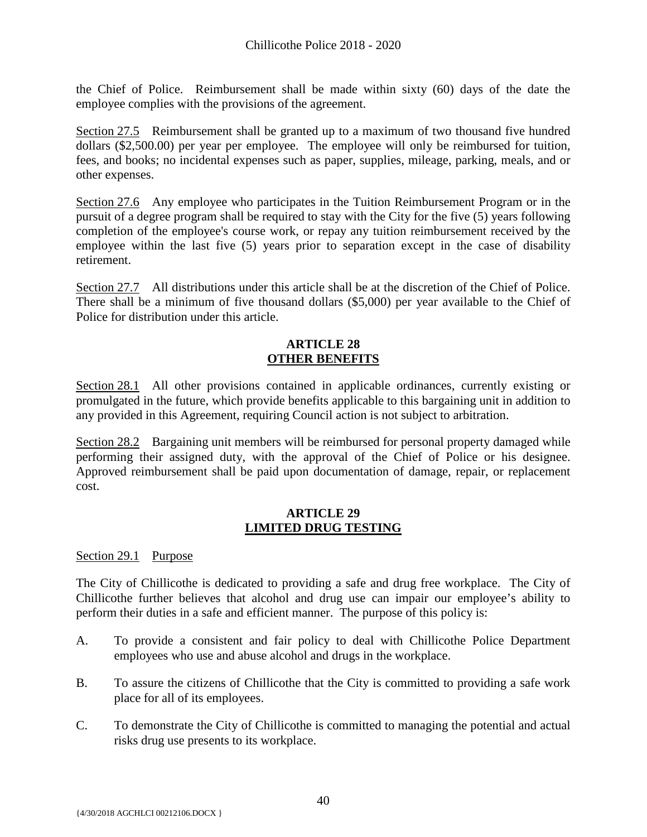the Chief of Police. Reimbursement shall be made within sixty (60) days of the date the employee complies with the provisions of the agreement.

Section 27.5 Reimbursement shall be granted up to a maximum of two thousand five hundred dollars (\$2,500.00) per year per employee. The employee will only be reimbursed for tuition, fees, and books; no incidental expenses such as paper, supplies, mileage, parking, meals, and or other expenses.

Section 27.6 Any employee who participates in the Tuition Reimbursement Program or in the pursuit of a degree program shall be required to stay with the City for the five (5) years following completion of the employee's course work, or repay any tuition reimbursement received by the employee within the last five (5) years prior to separation except in the case of disability retirement.

Section 27.7 All distributions under this article shall be at the discretion of the Chief of Police. There shall be a minimum of five thousand dollars (\$5,000) per year available to the Chief of Police for distribution under this article.

#### **ARTICLE 28 OTHER BENEFITS**

<span id="page-41-0"></span>Section 28.1 All other provisions contained in applicable ordinances, currently existing or promulgated in the future, which provide benefits applicable to this bargaining unit in addition to any provided in this Agreement, requiring Council action is not subject to arbitration.

Section 28.2 Bargaining unit members will be reimbursed for personal property damaged while performing their assigned duty, with the approval of the Chief of Police or his designee. Approved reimbursement shall be paid upon documentation of damage, repair, or replacement cost.

# **ARTICLE 29 LIMITED DRUG TESTING**

# <span id="page-41-1"></span>Section 29.1 Purpose

The City of Chillicothe is dedicated to providing a safe and drug free workplace. The City of Chillicothe further believes that alcohol and drug use can impair our employee's ability to perform their duties in a safe and efficient manner. The purpose of this policy is:

- A. To provide a consistent and fair policy to deal with Chillicothe Police Department employees who use and abuse alcohol and drugs in the workplace.
- B. To assure the citizens of Chillicothe that the City is committed to providing a safe work place for all of its employees.
- C. To demonstrate the City of Chillicothe is committed to managing the potential and actual risks drug use presents to its workplace.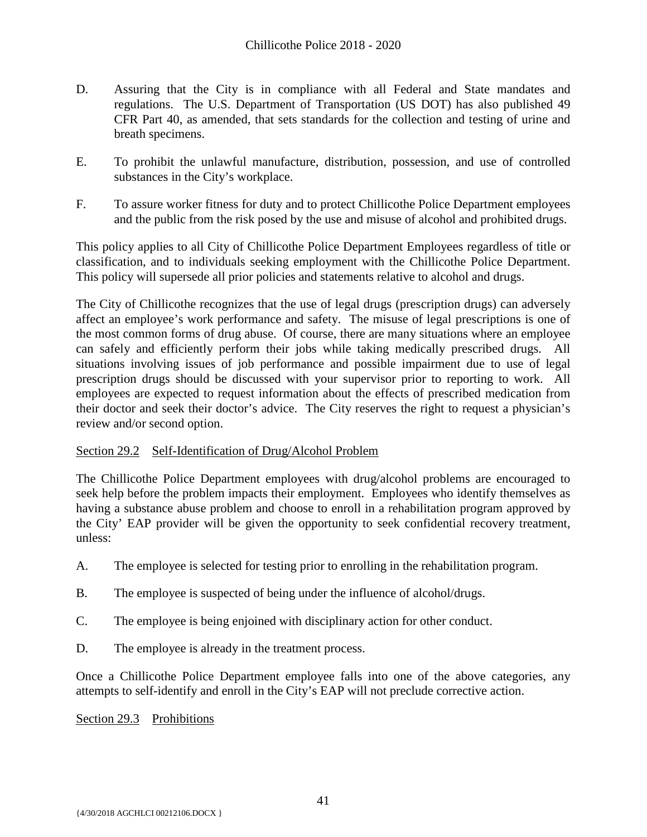- D. Assuring that the City is in compliance with all Federal and State mandates and regulations. The U.S. Department of Transportation (US DOT) has also published 49 CFR Part 40, as amended, that sets standards for the collection and testing of urine and breath specimens.
- E. To prohibit the unlawful manufacture, distribution, possession, and use of controlled substances in the City's workplace.
- F. To assure worker fitness for duty and to protect Chillicothe Police Department employees and the public from the risk posed by the use and misuse of alcohol and prohibited drugs.

This policy applies to all City of Chillicothe Police Department Employees regardless of title or classification, and to individuals seeking employment with the Chillicothe Police Department. This policy will supersede all prior policies and statements relative to alcohol and drugs.

The City of Chillicothe recognizes that the use of legal drugs (prescription drugs) can adversely affect an employee's work performance and safety. The misuse of legal prescriptions is one of the most common forms of drug abuse. Of course, there are many situations where an employee can safely and efficiently perform their jobs while taking medically prescribed drugs. All situations involving issues of job performance and possible impairment due to use of legal prescription drugs should be discussed with your supervisor prior to reporting to work. All employees are expected to request information about the effects of prescribed medication from their doctor and seek their doctor's advice. The City reserves the right to request a physician's review and/or second option.

# Section 29.2 Self-Identification of Drug/Alcohol Problem

The Chillicothe Police Department employees with drug/alcohol problems are encouraged to seek help before the problem impacts their employment. Employees who identify themselves as having a substance abuse problem and choose to enroll in a rehabilitation program approved by the City' EAP provider will be given the opportunity to seek confidential recovery treatment, unless:

- A. The employee is selected for testing prior to enrolling in the rehabilitation program.
- B. The employee is suspected of being under the influence of alcohol/drugs.
- C. The employee is being enjoined with disciplinary action for other conduct.
- D. The employee is already in the treatment process.

Once a Chillicothe Police Department employee falls into one of the above categories, any attempts to self-identify and enroll in the City's EAP will not preclude corrective action.

#### Section 29.3 Prohibitions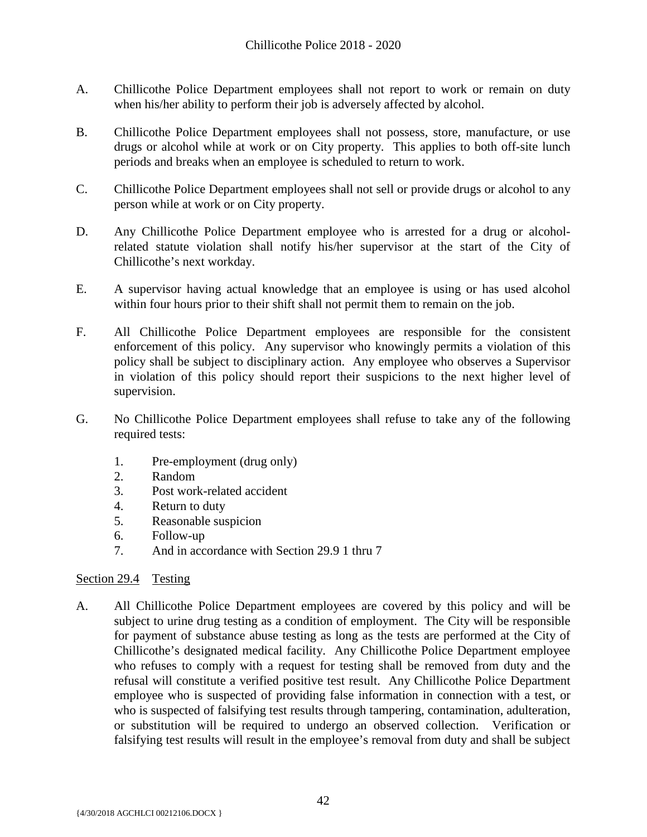- A. Chillicothe Police Department employees shall not report to work or remain on duty when his/her ability to perform their job is adversely affected by alcohol.
- B. Chillicothe Police Department employees shall not possess, store, manufacture, or use drugs or alcohol while at work or on City property. This applies to both off-site lunch periods and breaks when an employee is scheduled to return to work.
- C. Chillicothe Police Department employees shall not sell or provide drugs or alcohol to any person while at work or on City property.
- D. Any Chillicothe Police Department employee who is arrested for a drug or alcoholrelated statute violation shall notify his/her supervisor at the start of the City of Chillicothe's next workday.
- E. A supervisor having actual knowledge that an employee is using or has used alcohol within four hours prior to their shift shall not permit them to remain on the job.
- F. All Chillicothe Police Department employees are responsible for the consistent enforcement of this policy. Any supervisor who knowingly permits a violation of this policy shall be subject to disciplinary action. Any employee who observes a Supervisor in violation of this policy should report their suspicions to the next higher level of supervision.
- G. No Chillicothe Police Department employees shall refuse to take any of the following required tests:
	- 1. Pre-employment (drug only)
	- 2. Random
	- 3. Post work-related accident
	- 4. Return to duty
	- 5. Reasonable suspicion
	- 6. Follow-up
	- 7. And in accordance with Section 29.9 1 thru 7

# Section 29.4 Testing

A. All Chillicothe Police Department employees are covered by this policy and will be subject to urine drug testing as a condition of employment. The City will be responsible for payment of substance abuse testing as long as the tests are performed at the City of Chillicothe's designated medical facility. Any Chillicothe Police Department employee who refuses to comply with a request for testing shall be removed from duty and the refusal will constitute a verified positive test result. Any Chillicothe Police Department employee who is suspected of providing false information in connection with a test, or who is suspected of falsifying test results through tampering, contamination, adulteration, or substitution will be required to undergo an observed collection. Verification or falsifying test results will result in the employee's removal from duty and shall be subject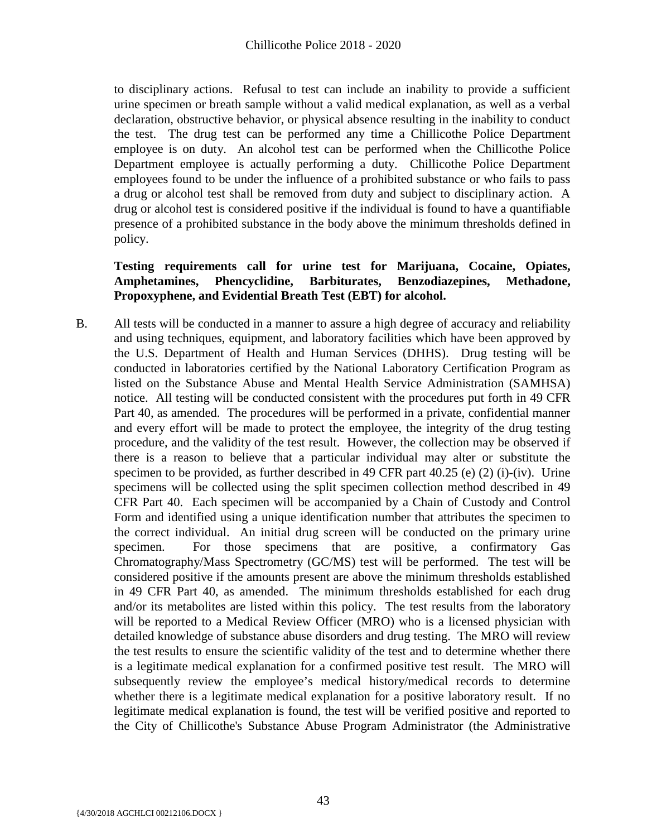to disciplinary actions. Refusal to test can include an inability to provide a sufficient urine specimen or breath sample without a valid medical explanation, as well as a verbal declaration, obstructive behavior, or physical absence resulting in the inability to conduct the test. The drug test can be performed any time a Chillicothe Police Department employee is on duty. An alcohol test can be performed when the Chillicothe Police Department employee is actually performing a duty. Chillicothe Police Department employees found to be under the influence of a prohibited substance or who fails to pass a drug or alcohol test shall be removed from duty and subject to disciplinary action. A drug or alcohol test is considered positive if the individual is found to have a quantifiable presence of a prohibited substance in the body above the minimum thresholds defined in policy.

# **Testing requirements call for urine test for Marijuana, Cocaine, Opiates, Amphetamines, Phencyclidine, Barbiturates, Benzodiazepines, Methadone, Propoxyphene, and Evidential Breath Test (EBT) for alcohol.**

B. All tests will be conducted in a manner to assure a high degree of accuracy and reliability and using techniques, equipment, and laboratory facilities which have been approved by the U.S. Department of Health and Human Services (DHHS). Drug testing will be conducted in laboratories certified by the National Laboratory Certification Program as listed on the Substance Abuse and Mental Health Service Administration (SAMHSA) notice. All testing will be conducted consistent with the procedures put forth in 49 CFR Part 40, as amended. The procedures will be performed in a private, confidential manner and every effort will be made to protect the employee, the integrity of the drug testing procedure, and the validity of the test result. However, the collection may be observed if there is a reason to believe that a particular individual may alter or substitute the specimen to be provided, as further described in 49 CFR part 40.25 (e) (2) (i)-(iv). Urine specimens will be collected using the split specimen collection method described in 49 CFR Part 40. Each specimen will be accompanied by a Chain of Custody and Control Form and identified using a unique identification number that attributes the specimen to the correct individual. An initial drug screen will be conducted on the primary urine specimen. For those specimens that are positive, a confirmatory Gas Chromatography/Mass Spectrometry (GC/MS) test will be performed. The test will be considered positive if the amounts present are above the minimum thresholds established in 49 CFR Part 40, as amended. The minimum thresholds established for each drug and/or its metabolites are listed within this policy. The test results from the laboratory will be reported to a Medical Review Officer (MRO) who is a licensed physician with detailed knowledge of substance abuse disorders and drug testing. The MRO will review the test results to ensure the scientific validity of the test and to determine whether there is a legitimate medical explanation for a confirmed positive test result. The MRO will subsequently review the employee's medical history/medical records to determine whether there is a legitimate medical explanation for a positive laboratory result. If no legitimate medical explanation is found, the test will be verified positive and reported to the City of Chillicothe's Substance Abuse Program Administrator (the Administrative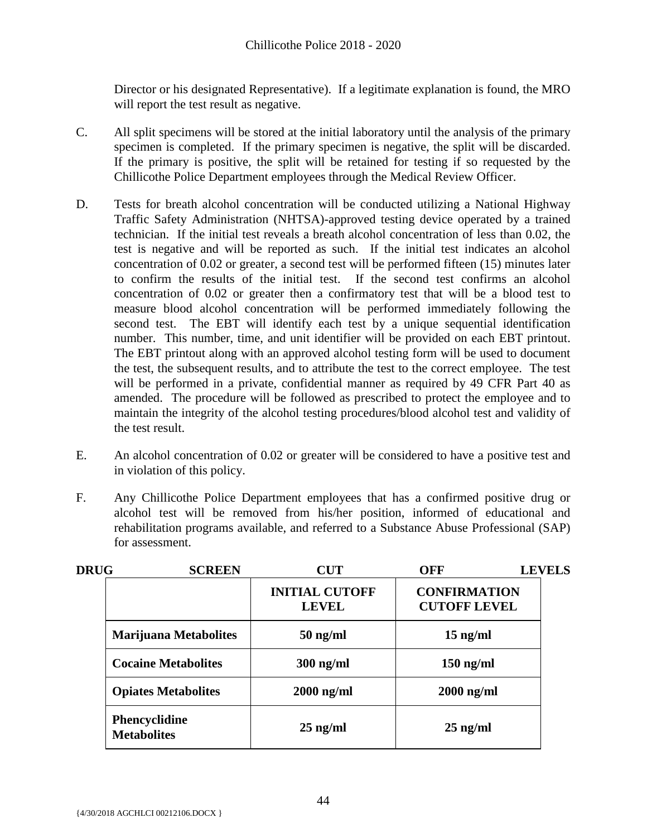Director or his designated Representative). If a legitimate explanation is found, the MRO will report the test result as negative.

- C. All split specimens will be stored at the initial laboratory until the analysis of the primary specimen is completed. If the primary specimen is negative, the split will be discarded. If the primary is positive, the split will be retained for testing if so requested by the Chillicothe Police Department employees through the Medical Review Officer.
- D. Tests for breath alcohol concentration will be conducted utilizing a National Highway Traffic Safety Administration (NHTSA)-approved testing device operated by a trained technician. If the initial test reveals a breath alcohol concentration of less than 0.02, the test is negative and will be reported as such. If the initial test indicates an alcohol concentration of 0.02 or greater, a second test will be performed fifteen (15) minutes later to confirm the results of the initial test. If the second test confirms an alcohol concentration of 0.02 or greater then a confirmatory test that will be a blood test to measure blood alcohol concentration will be performed immediately following the second test. The EBT will identify each test by a unique sequential identification number. This number, time, and unit identifier will be provided on each EBT printout. The EBT printout along with an approved alcohol testing form will be used to document the test, the subsequent results, and to attribute the test to the correct employee. The test will be performed in a private, confidential manner as required by 49 CFR Part 40 as amended. The procedure will be followed as prescribed to protect the employee and to maintain the integrity of the alcohol testing procedures/blood alcohol test and validity of the test result.
- E. An alcohol concentration of 0.02 or greater will be considered to have a positive test and in violation of this policy.
- F. Any Chillicothe Police Department employees that has a confirmed positive drug or alcohol test will be removed from his/her position, informed of educational and rehabilitation programs available, and referred to a Substance Abuse Professional (SAP) for assessment.

| <b>DRUG</b> | <b>SCREEN</b>                              | <b>CUT</b>                            | OFF                                        | <b>LEVELS</b> |
|-------------|--------------------------------------------|---------------------------------------|--------------------------------------------|---------------|
|             |                                            | <b>INITIAL CUTOFF</b><br><b>LEVEL</b> | <b>CONFIRMATION</b><br><b>CUTOFF LEVEL</b> |               |
|             | <b>Marijuana Metabolites</b>               | $50$ ng/ml                            | $15$ ng/ml                                 |               |
|             | <b>Cocaine Metabolites</b>                 | $300$ ng/ml                           | $150$ ng/ml                                |               |
|             | <b>Opiates Metabolites</b>                 | $2000$ ng/ml                          | $2000$ ng/ml                               |               |
|             | <b>Phencyclidine</b><br><b>Metabolites</b> | $25$ ng/ml                            | $25$ ng/ml                                 |               |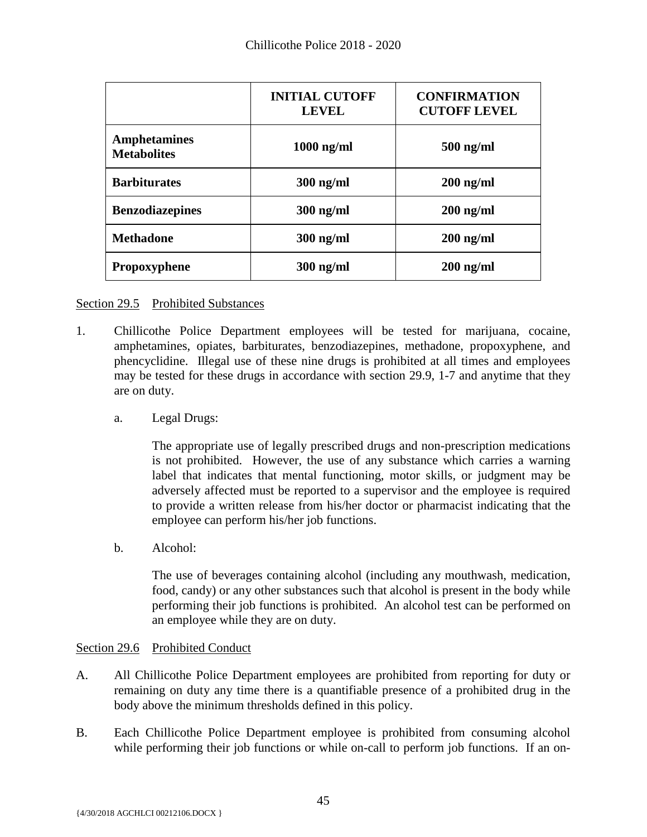|                                           | <b>INITIAL CUTOFF</b><br><b>LEVEL</b> | <b>CONFIRMATION</b><br><b>CUTOFF LEVEL</b> |
|-------------------------------------------|---------------------------------------|--------------------------------------------|
| <b>Amphetamines</b><br><b>Metabolites</b> | $1000$ ng/ml                          | $500$ ng/ml                                |
| <b>Barbiturates</b>                       | $300$ ng/ml                           | $200$ ng/ml                                |
| <b>Benzodiazepines</b>                    | $300$ ng/ml                           | $200$ ng/ml                                |
| <b>Methadone</b>                          | $300$ ng/ml                           | $200$ ng/ml                                |
| <b>Propoxyphene</b>                       | $300$ ng/ml                           | $200$ ng/ml                                |

#### Section 29.5 Prohibited Substances

- 1. Chillicothe Police Department employees will be tested for marijuana, cocaine, amphetamines, opiates, barbiturates, benzodiazepines, methadone, propoxyphene, and phencyclidine. Illegal use of these nine drugs is prohibited at all times and employees may be tested for these drugs in accordance with section 29.9, 1-7 and anytime that they are on duty.
	- a. Legal Drugs:

The appropriate use of legally prescribed drugs and non-prescription medications is not prohibited. However, the use of any substance which carries a warning label that indicates that mental functioning, motor skills, or judgment may be adversely affected must be reported to a supervisor and the employee is required to provide a written release from his/her doctor or pharmacist indicating that the employee can perform his/her job functions.

b. Alcohol:

The use of beverages containing alcohol (including any mouthwash, medication, food, candy) or any other substances such that alcohol is present in the body while performing their job functions is prohibited. An alcohol test can be performed on an employee while they are on duty.

#### Section 29.6 Prohibited Conduct

- A. All Chillicothe Police Department employees are prohibited from reporting for duty or remaining on duty any time there is a quantifiable presence of a prohibited drug in the body above the minimum thresholds defined in this policy.
- B. Each Chillicothe Police Department employee is prohibited from consuming alcohol while performing their job functions or while on-call to perform job functions. If an on-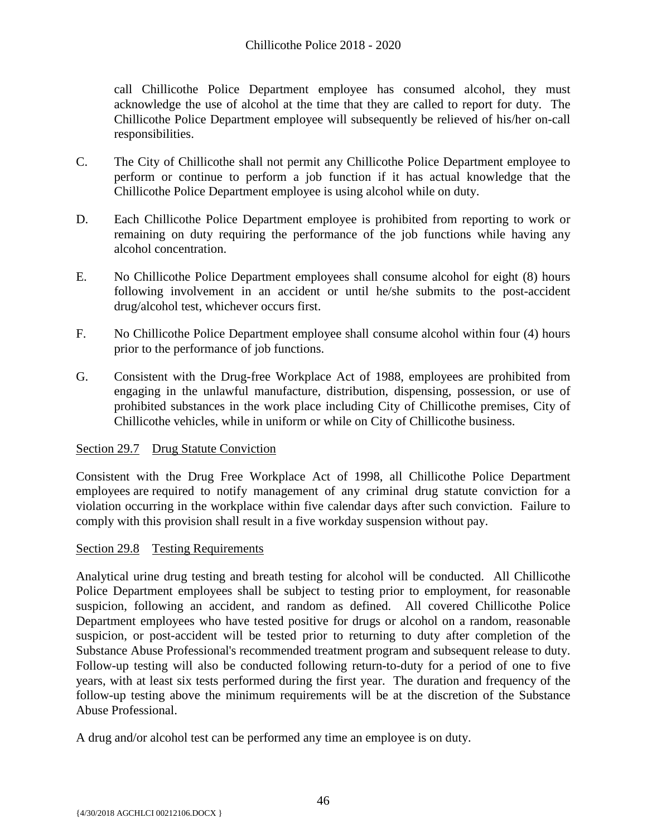call Chillicothe Police Department employee has consumed alcohol, they must acknowledge the use of alcohol at the time that they are called to report for duty. The Chillicothe Police Department employee will subsequently be relieved of his/her on-call responsibilities.

- C. The City of Chillicothe shall not permit any Chillicothe Police Department employee to perform or continue to perform a job function if it has actual knowledge that the Chillicothe Police Department employee is using alcohol while on duty.
- D. Each Chillicothe Police Department employee is prohibited from reporting to work or remaining on duty requiring the performance of the job functions while having any alcohol concentration.
- E. No Chillicothe Police Department employees shall consume alcohol for eight (8) hours following involvement in an accident or until he/she submits to the post-accident drug/alcohol test, whichever occurs first.
- F. No Chillicothe Police Department employee shall consume alcohol within four (4) hours prior to the performance of job functions.
- G. Consistent with the Drug-free Workplace Act of 1988, employees are prohibited from engaging in the unlawful manufacture, distribution, dispensing, possession, or use of prohibited substances in the work place including City of Chillicothe premises, City of Chillicothe vehicles, while in uniform or while on City of Chillicothe business.

# Section 29.7 Drug Statute Conviction

Consistent with the Drug Free Workplace Act of 1998, all Chillicothe Police Department employees are required to notify management of any criminal drug statute conviction for a violation occurring in the workplace within five calendar days after such conviction. Failure to comply with this provision shall result in a five workday suspension without pay.

# Section 29.8 Testing Requirements

Analytical urine drug testing and breath testing for alcohol will be conducted. All Chillicothe Police Department employees shall be subject to testing prior to employment, for reasonable suspicion, following an accident, and random as defined. All covered Chillicothe Police Department employees who have tested positive for drugs or alcohol on a random, reasonable suspicion, or post-accident will be tested prior to returning to duty after completion of the Substance Abuse Professional's recommended treatment program and subsequent release to duty. Follow-up testing will also be conducted following return-to-duty for a period of one to five years, with at least six tests performed during the first year. The duration and frequency of the follow-up testing above the minimum requirements will be at the discretion of the Substance Abuse Professional.

A drug and/or alcohol test can be performed any time an employee is on duty.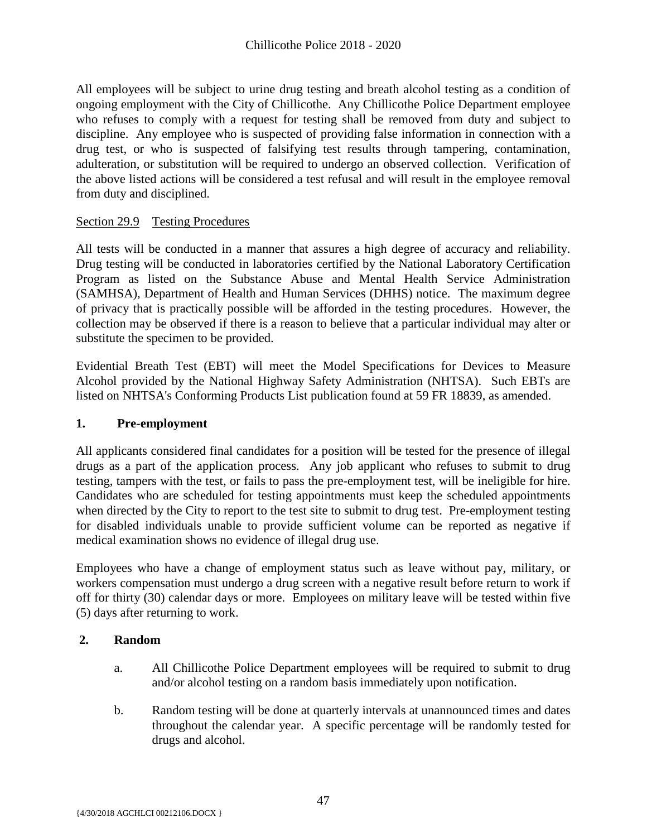All employees will be subject to urine drug testing and breath alcohol testing as a condition of ongoing employment with the City of Chillicothe. Any Chillicothe Police Department employee who refuses to comply with a request for testing shall be removed from duty and subject to discipline. Any employee who is suspected of providing false information in connection with a drug test, or who is suspected of falsifying test results through tampering, contamination, adulteration, or substitution will be required to undergo an observed collection. Verification of the above listed actions will be considered a test refusal and will result in the employee removal from duty and disciplined.

# Section 29.9 Testing Procedures

All tests will be conducted in a manner that assures a high degree of accuracy and reliability. Drug testing will be conducted in laboratories certified by the National Laboratory Certification Program as listed on the Substance Abuse and Mental Health Service Administration (SAMHSA), Department of Health and Human Services (DHHS) notice. The maximum degree of privacy that is practically possible will be afforded in the testing procedures. However, the collection may be observed if there is a reason to believe that a particular individual may alter or substitute the specimen to be provided.

Evidential Breath Test (EBT) will meet the Model Specifications for Devices to Measure Alcohol provided by the National Highway Safety Administration (NHTSA). Such EBTs are listed on NHTSA's Conforming Products List publication found at 59 FR 18839, as amended.

# **1. Pre-employment**

All applicants considered final candidates for a position will be tested for the presence of illegal drugs as a part of the application process. Any job applicant who refuses to submit to drug testing, tampers with the test, or fails to pass the pre-employment test, will be ineligible for hire. Candidates who are scheduled for testing appointments must keep the scheduled appointments when directed by the City to report to the test site to submit to drug test. Pre-employment testing for disabled individuals unable to provide sufficient volume can be reported as negative if medical examination shows no evidence of illegal drug use.

Employees who have a change of employment status such as leave without pay, military, or workers compensation must undergo a drug screen with a negative result before return to work if off for thirty (30) calendar days or more. Employees on military leave will be tested within five (5) days after returning to work.

# **2. Random**

- a. All Chillicothe Police Department employees will be required to submit to drug and/or alcohol testing on a random basis immediately upon notification.
- b. Random testing will be done at quarterly intervals at unannounced times and dates throughout the calendar year. A specific percentage will be randomly tested for drugs and alcohol.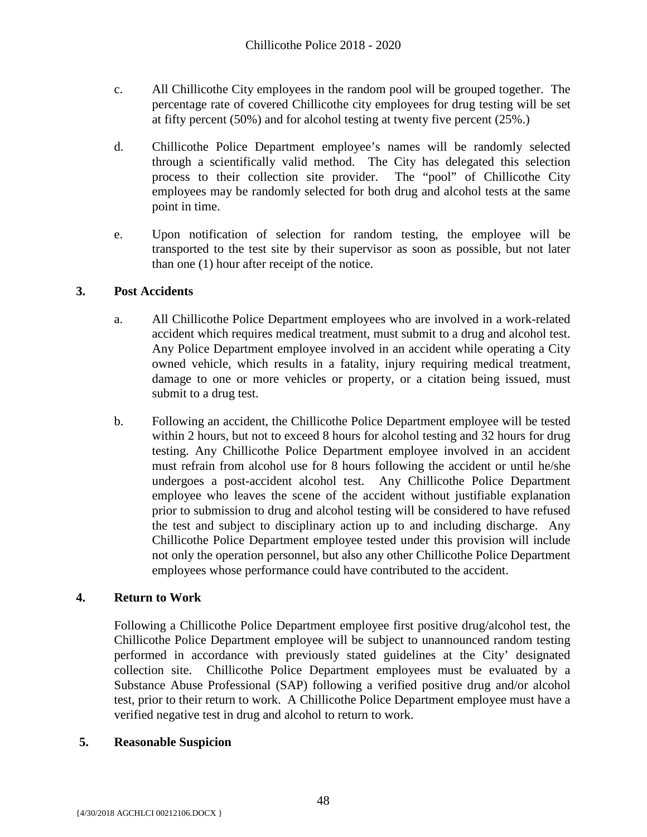- c. All Chillicothe City employees in the random pool will be grouped together. The percentage rate of covered Chillicothe city employees for drug testing will be set at fifty percent (50%) and for alcohol testing at twenty five percent (25%.)
- d. Chillicothe Police Department employee's names will be randomly selected through a scientifically valid method. The City has delegated this selection process to their collection site provider. The "pool" of Chillicothe City employees may be randomly selected for both drug and alcohol tests at the same point in time.
- e. Upon notification of selection for random testing, the employee will be transported to the test site by their supervisor as soon as possible, but not later than one (1) hour after receipt of the notice.

# **3. Post Accidents**

- a. All Chillicothe Police Department employees who are involved in a work-related accident which requires medical treatment, must submit to a drug and alcohol test. Any Police Department employee involved in an accident while operating a City owned vehicle, which results in a fatality, injury requiring medical treatment, damage to one or more vehicles or property, or a citation being issued, must submit to a drug test.
- b. Following an accident, the Chillicothe Police Department employee will be tested within 2 hours, but not to exceed 8 hours for alcohol testing and 32 hours for drug testing. Any Chillicothe Police Department employee involved in an accident must refrain from alcohol use for 8 hours following the accident or until he/she undergoes a post-accident alcohol test. Any Chillicothe Police Department employee who leaves the scene of the accident without justifiable explanation prior to submission to drug and alcohol testing will be considered to have refused the test and subject to disciplinary action up to and including discharge. Any Chillicothe Police Department employee tested under this provision will include not only the operation personnel, but also any other Chillicothe Police Department employees whose performance could have contributed to the accident.

# **4. Return to Work**

Following a Chillicothe Police Department employee first positive drug/alcohol test, the Chillicothe Police Department employee will be subject to unannounced random testing performed in accordance with previously stated guidelines at the City' designated collection site. Chillicothe Police Department employees must be evaluated by a Substance Abuse Professional (SAP) following a verified positive drug and/or alcohol test, prior to their return to work. A Chillicothe Police Department employee must have a verified negative test in drug and alcohol to return to work.

# **5. Reasonable Suspicion**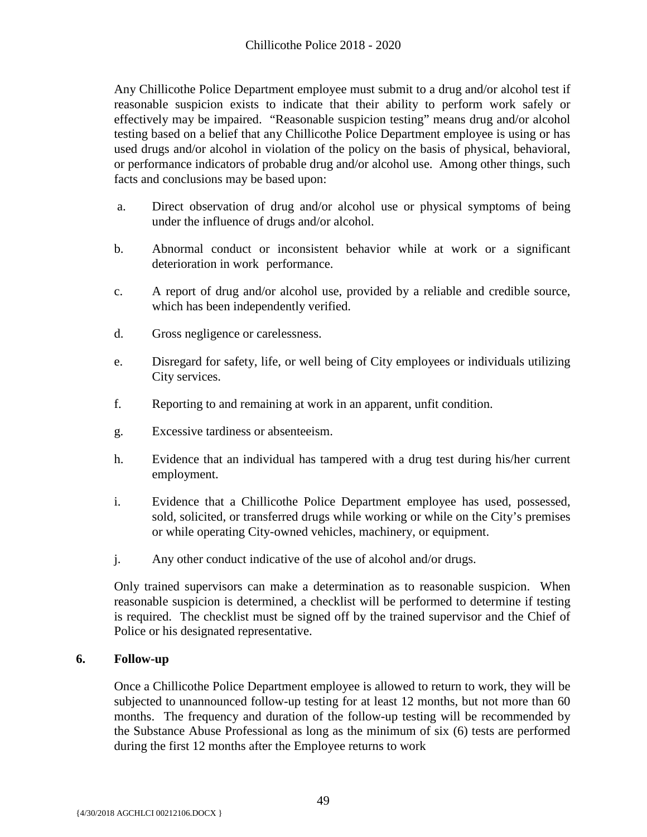Any Chillicothe Police Department employee must submit to a drug and/or alcohol test if reasonable suspicion exists to indicate that their ability to perform work safely or effectively may be impaired. "Reasonable suspicion testing" means drug and/or alcohol testing based on a belief that any Chillicothe Police Department employee is using or has used drugs and/or alcohol in violation of the policy on the basis of physical, behavioral, or performance indicators of probable drug and/or alcohol use. Among other things, such facts and conclusions may be based upon:

- a. Direct observation of drug and/or alcohol use or physical symptoms of being under the influence of drugs and/or alcohol.
- b. Abnormal conduct or inconsistent behavior while at work or a significant deterioration in work performance.
- c. A report of drug and/or alcohol use, provided by a reliable and credible source, which has been independently verified.
- d. Gross negligence or carelessness.
- e. Disregard for safety, life, or well being of City employees or individuals utilizing City services.
- f. Reporting to and remaining at work in an apparent, unfit condition.
- g. Excessive tardiness or absenteeism.
- h. Evidence that an individual has tampered with a drug test during his/her current employment.
- i. Evidence that a Chillicothe Police Department employee has used, possessed, sold, solicited, or transferred drugs while working or while on the City's premises or while operating City-owned vehicles, machinery, or equipment.
- j. Any other conduct indicative of the use of alcohol and/or drugs.

Only trained supervisors can make a determination as to reasonable suspicion. When reasonable suspicion is determined, a checklist will be performed to determine if testing is required. The checklist must be signed off by the trained supervisor and the Chief of Police or his designated representative.

# **6. Follow-up**

Once a Chillicothe Police Department employee is allowed to return to work, they will be subjected to unannounced follow-up testing for at least 12 months, but not more than 60 months. The frequency and duration of the follow-up testing will be recommended by the Substance Abuse Professional as long as the minimum of six (6) tests are performed during the first 12 months after the Employee returns to work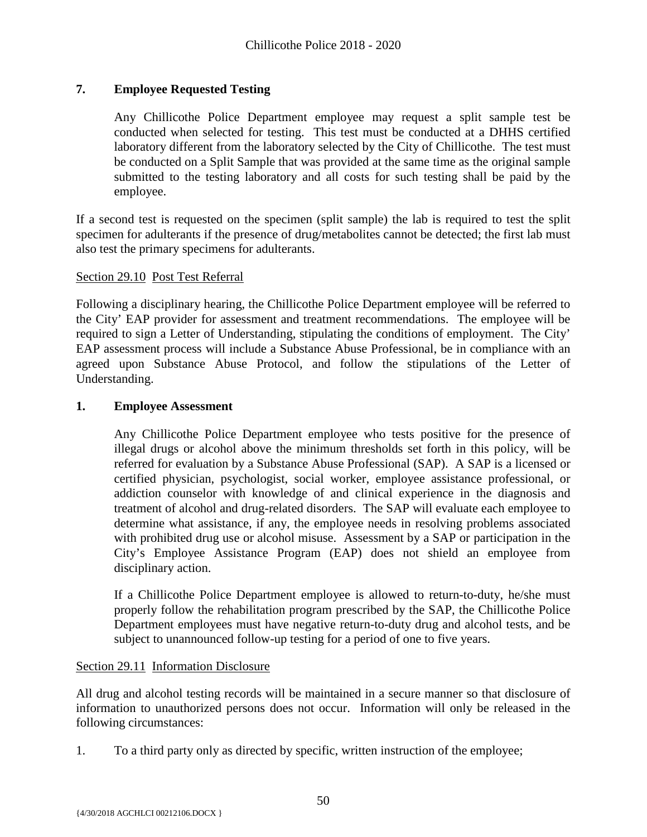# **7. Employee Requested Testing**

Any Chillicothe Police Department employee may request a split sample test be conducted when selected for testing. This test must be conducted at a DHHS certified laboratory different from the laboratory selected by the City of Chillicothe. The test must be conducted on a Split Sample that was provided at the same time as the original sample submitted to the testing laboratory and all costs for such testing shall be paid by the employee.

If a second test is requested on the specimen (split sample) the lab is required to test the split specimen for adulterants if the presence of drug/metabolites cannot be detected; the first lab must also test the primary specimens for adulterants.

#### Section 29.10 Post Test Referral

Following a disciplinary hearing, the Chillicothe Police Department employee will be referred to the City' EAP provider for assessment and treatment recommendations. The employee will be required to sign a Letter of Understanding, stipulating the conditions of employment. The City' EAP assessment process will include a Substance Abuse Professional, be in compliance with an agreed upon Substance Abuse Protocol, and follow the stipulations of the Letter of Understanding.

#### **1. Employee Assessment**

Any Chillicothe Police Department employee who tests positive for the presence of illegal drugs or alcohol above the minimum thresholds set forth in this policy, will be referred for evaluation by a Substance Abuse Professional (SAP). A SAP is a licensed or certified physician, psychologist, social worker, employee assistance professional, or addiction counselor with knowledge of and clinical experience in the diagnosis and treatment of alcohol and drug-related disorders. The SAP will evaluate each employee to determine what assistance, if any, the employee needs in resolving problems associated with prohibited drug use or alcohol misuse. Assessment by a SAP or participation in the City's Employee Assistance Program (EAP) does not shield an employee from disciplinary action.

If a Chillicothe Police Department employee is allowed to return-to-duty, he/she must properly follow the rehabilitation program prescribed by the SAP, the Chillicothe Police Department employees must have negative return-to-duty drug and alcohol tests, and be subject to unannounced follow-up testing for a period of one to five years.

#### Section 29.11 Information Disclosure

All drug and alcohol testing records will be maintained in a secure manner so that disclosure of information to unauthorized persons does not occur. Information will only be released in the following circumstances:

1. To a third party only as directed by specific, written instruction of the employee;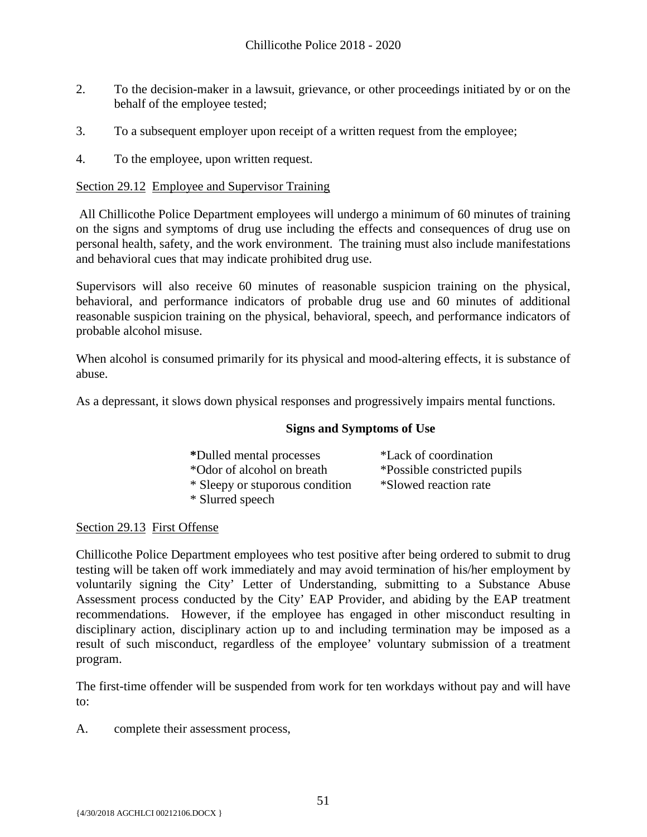- 2. To the decision-maker in a lawsuit, grievance, or other proceedings initiated by or on the behalf of the employee tested;
- 3. To a subsequent employer upon receipt of a written request from the employee;
- 4. To the employee, upon written request.

#### Section 29.12 Employee and Supervisor Training

All Chillicothe Police Department employees will undergo a minimum of 60 minutes of training on the signs and symptoms of drug use including the effects and consequences of drug use on personal health, safety, and the work environment. The training must also include manifestations and behavioral cues that may indicate prohibited drug use.

Supervisors will also receive 60 minutes of reasonable suspicion training on the physical, behavioral, and performance indicators of probable drug use and 60 minutes of additional reasonable suspicion training on the physical, behavioral, speech, and performance indicators of probable alcohol misuse.

When alcohol is consumed primarily for its physical and mood-altering effects, it is substance of abuse.

As a depressant, it slows down physical responses and progressively impairs mental functions.

#### **Signs and Symptoms of Use**

| *Dulled mental processes        | *Lack of coordination        |
|---------------------------------|------------------------------|
| *Odor of alcohol on breath      | *Possible constricted pupils |
| * Sleepy or stuporous condition | *Slowed reaction rate        |
| * Slurred speech                |                              |

# Section 29.13 First Offense

Chillicothe Police Department employees who test positive after being ordered to submit to drug testing will be taken off work immediately and may avoid termination of his/her employment by voluntarily signing the City' Letter of Understanding, submitting to a Substance Abuse Assessment process conducted by the City' EAP Provider, and abiding by the EAP treatment recommendations. However, if the employee has engaged in other misconduct resulting in disciplinary action, disciplinary action up to and including termination may be imposed as a result of such misconduct, regardless of the employee' voluntary submission of a treatment program.

The first-time offender will be suspended from work for ten workdays without pay and will have to:

A. complete their assessment process,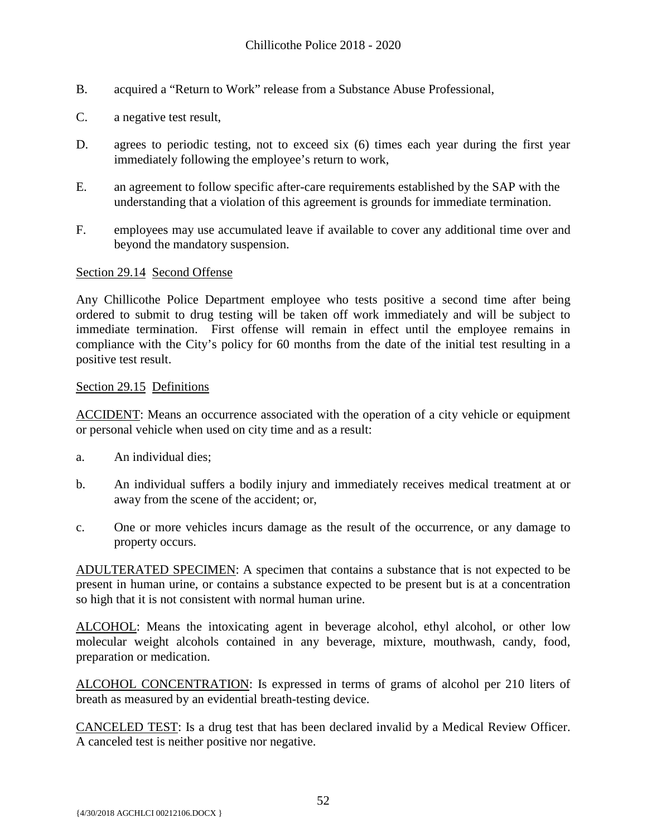- B. acquired a "Return to Work" release from a Substance Abuse Professional,
- C. a negative test result,
- D. agrees to periodic testing, not to exceed six (6) times each year during the first year immediately following the employee's return to work,
- E. an agreement to follow specific after-care requirements established by the SAP with the understanding that a violation of this agreement is grounds for immediate termination.
- F. employees may use accumulated leave if available to cover any additional time over and beyond the mandatory suspension.

#### Section 29.14 Second Offense

Any Chillicothe Police Department employee who tests positive a second time after being ordered to submit to drug testing will be taken off work immediately and will be subject to immediate termination. First offense will remain in effect until the employee remains in compliance with the City's policy for 60 months from the date of the initial test resulting in a positive test result.

#### Section 29.15 Definitions

ACCIDENT: Means an occurrence associated with the operation of a city vehicle or equipment or personal vehicle when used on city time and as a result:

- a. An individual dies;
- b. An individual suffers a bodily injury and immediately receives medical treatment at or away from the scene of the accident; or,
- c. One or more vehicles incurs damage as the result of the occurrence, or any damage to property occurs.

ADULTERATED SPECIMEN: A specimen that contains a substance that is not expected to be present in human urine, or contains a substance expected to be present but is at a concentration so high that it is not consistent with normal human urine.

ALCOHOL: Means the intoxicating agent in beverage alcohol, ethyl alcohol, or other low molecular weight alcohols contained in any beverage, mixture, mouthwash, candy, food, preparation or medication.

ALCOHOL CONCENTRATION: Is expressed in terms of grams of alcohol per 210 liters of breath as measured by an evidential breath-testing device.

CANCELED TEST: Is a drug test that has been declared invalid by a Medical Review Officer. A canceled test is neither positive nor negative.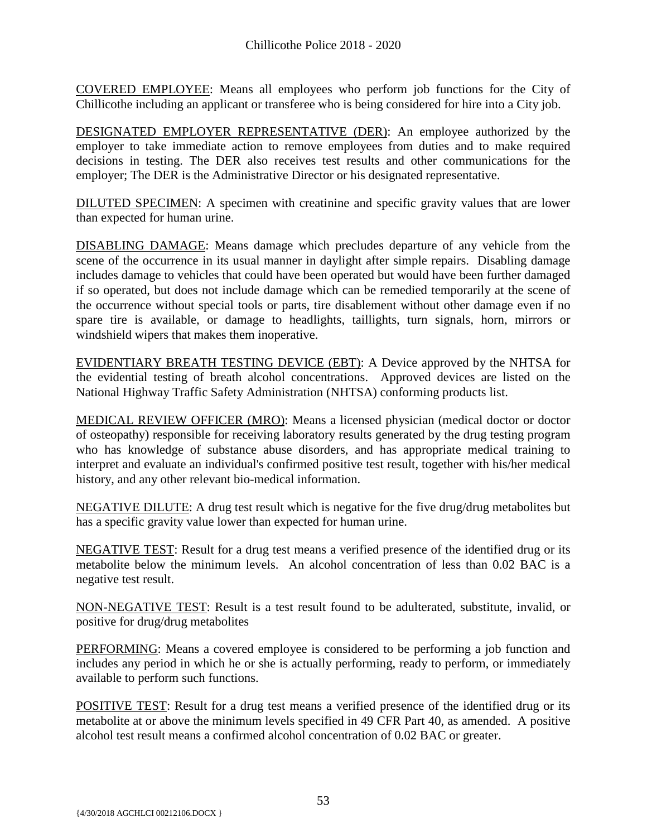COVERED EMPLOYEE: Means all employees who perform job functions for the City of Chillicothe including an applicant or transferee who is being considered for hire into a City job.

DESIGNATED EMPLOYER REPRESENTATIVE (DER): An employee authorized by the employer to take immediate action to remove employees from duties and to make required decisions in testing. The DER also receives test results and other communications for the employer; The DER is the Administrative Director or his designated representative.

DILUTED SPECIMEN: A specimen with creatinine and specific gravity values that are lower than expected for human urine.

DISABLING DAMAGE: Means damage which precludes departure of any vehicle from the scene of the occurrence in its usual manner in daylight after simple repairs. Disabling damage includes damage to vehicles that could have been operated but would have been further damaged if so operated, but does not include damage which can be remedied temporarily at the scene of the occurrence without special tools or parts, tire disablement without other damage even if no spare tire is available, or damage to headlights, taillights, turn signals, horn, mirrors or windshield wipers that makes them inoperative.

EVIDENTIARY BREATH TESTING DEVICE (EBT): A Device approved by the NHTSA for the evidential testing of breath alcohol concentrations. Approved devices are listed on the National Highway Traffic Safety Administration (NHTSA) conforming products list.

MEDICAL REVIEW OFFICER (MRO): Means a licensed physician (medical doctor or doctor of osteopathy) responsible for receiving laboratory results generated by the drug testing program who has knowledge of substance abuse disorders, and has appropriate medical training to interpret and evaluate an individual's confirmed positive test result, together with his/her medical history, and any other relevant bio-medical information.

NEGATIVE DILUTE: A drug test result which is negative for the five drug/drug metabolites but has a specific gravity value lower than expected for human urine.

NEGATIVE TEST: Result for a drug test means a verified presence of the identified drug or its metabolite below the minimum levels. An alcohol concentration of less than 0.02 BAC is a negative test result.

NON-NEGATIVE TEST: Result is a test result found to be adulterated, substitute, invalid, or positive for drug/drug metabolites

PERFORMING: Means a covered employee is considered to be performing a job function and includes any period in which he or she is actually performing, ready to perform, or immediately available to perform such functions.

POSITIVE TEST: Result for a drug test means a verified presence of the identified drug or its metabolite at or above the minimum levels specified in 49 CFR Part 40, as amended. A positive alcohol test result means a confirmed alcohol concentration of 0.02 BAC or greater.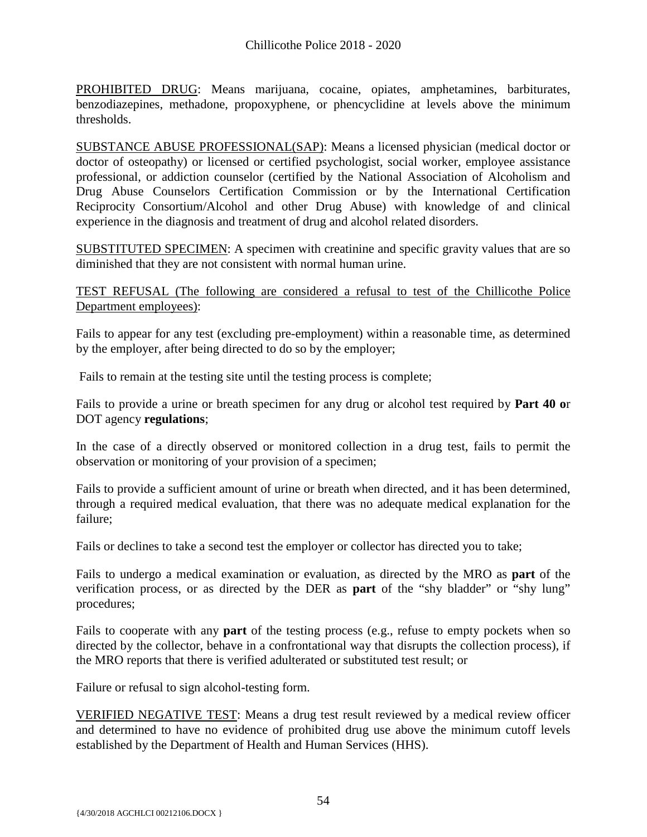PROHIBITED DRUG: Means marijuana, cocaine, opiates, amphetamines, barbiturates, benzodiazepines, methadone, propoxyphene, or phencyclidine at levels above the minimum thresholds.

SUBSTANCE ABUSE PROFESSIONAL(SAP): Means a licensed physician (medical doctor or doctor of osteopathy) or licensed or certified psychologist, social worker, employee assistance professional, or addiction counselor (certified by the National Association of Alcoholism and Drug Abuse Counselors Certification Commission or by the International Certification Reciprocity Consortium/Alcohol and other Drug Abuse) with knowledge of and clinical experience in the diagnosis and treatment of drug and alcohol related disorders.

SUBSTITUTED SPECIMEN: A specimen with creatinine and specific gravity values that are so diminished that they are not consistent with normal human urine.

TEST REFUSAL (The following are considered a refusal to test of the Chillicothe Police Department employees):

Fails to appear for any test (excluding pre-employment) within a reasonable time, as determined by the employer, after being directed to do so by the employer;

Fails to remain at the testing site until the testing process is complete;

Fails to provide a urine or breath specimen for any drug or alcohol test required by **Part 40 o**r DOT agency **regulations**;

In the case of a directly observed or monitored collection in a drug test, fails to permit the observation or monitoring of your provision of a specimen;

Fails to provide a sufficient amount of urine or breath when directed, and it has been determined, through a required medical evaluation, that there was no adequate medical explanation for the failure;

Fails or declines to take a second test the employer or collector has directed you to take;

Fails to undergo a medical examination or evaluation, as directed by the MRO as **part** of the verification process, or as directed by the DER as **part** of the "shy bladder" or "shy lung" procedures;

Fails to cooperate with any **part** of the testing process (e.g., refuse to empty pockets when so directed by the collector, behave in a confrontational way that disrupts the collection process), if the MRO reports that there is verified adulterated or substituted test result; or

Failure or refusal to sign alcohol-testing form.

VERIFIED NEGATIVE TEST: Means a drug test result reviewed by a medical review officer and determined to have no evidence of prohibited drug use above the minimum cutoff levels established by the Department of Health and Human Services (HHS).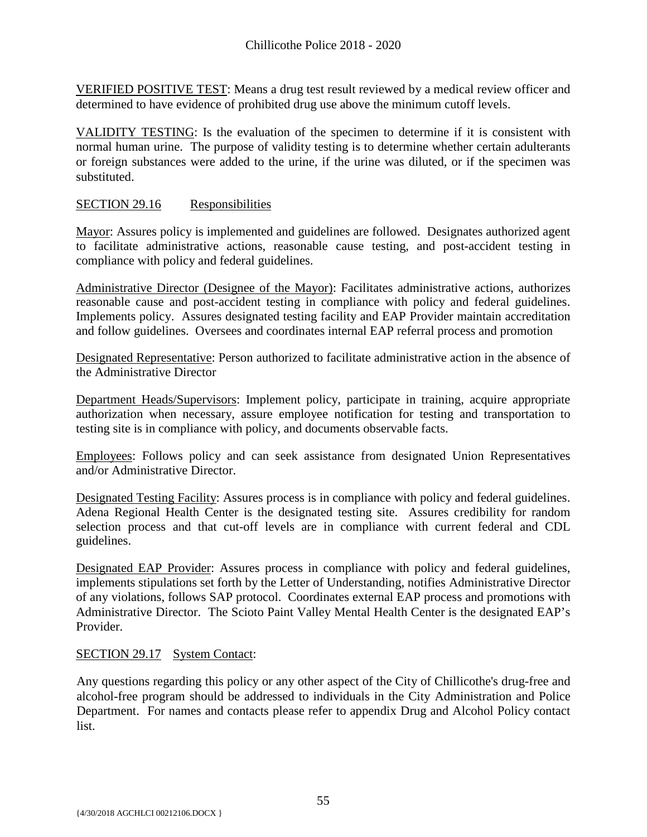VERIFIED POSITIVE TEST: Means a drug test result reviewed by a medical review officer and determined to have evidence of prohibited drug use above the minimum cutoff levels.

 VALIDITY TESTING: Is the evaluation of the specimen to determine if it is consistent with normal human urine. The purpose of validity testing is to determine whether certain adulterants or foreign substances were added to the urine, if the urine was diluted, or if the specimen was substituted.

#### SECTION 29.16 Responsibilities

Mayor: Assures policy is implemented and guidelines are followed. Designates authorized agent to facilitate administrative actions, reasonable cause testing, and post-accident testing in compliance with policy and federal guidelines.

Administrative Director (Designee of the Mayor): Facilitates administrative actions, authorizes reasonable cause and post-accident testing in compliance with policy and federal guidelines. Implements policy. Assures designated testing facility and EAP Provider maintain accreditation and follow guidelines. Oversees and coordinates internal EAP referral process and promotion

Designated Representative: Person authorized to facilitate administrative action in the absence of the Administrative Director

Department Heads/Supervisors: Implement policy, participate in training, acquire appropriate authorization when necessary, assure employee notification for testing and transportation to testing site is in compliance with policy, and documents observable facts.

Employees: Follows policy and can seek assistance from designated Union Representatives and/or Administrative Director.

Designated Testing Facility: Assures process is in compliance with policy and federal guidelines. Adena Regional Health Center is the designated testing site. Assures credibility for random selection process and that cut-off levels are in compliance with current federal and CDL guidelines.

Designated EAP Provider: Assures process in compliance with policy and federal guidelines, implements stipulations set forth by the Letter of Understanding, notifies Administrative Director of any violations, follows SAP protocol. Coordinates external EAP process and promotions with Administrative Director. The Scioto Paint Valley Mental Health Center is the designated EAP's Provider.

#### SECTION 29.17 System Contact:

Any questions regarding this policy or any other aspect of the City of Chillicothe's drug-free and alcohol-free program should be addressed to individuals in the City Administration and Police Department. For names and contacts please refer to appendix Drug and Alcohol Policy contact list.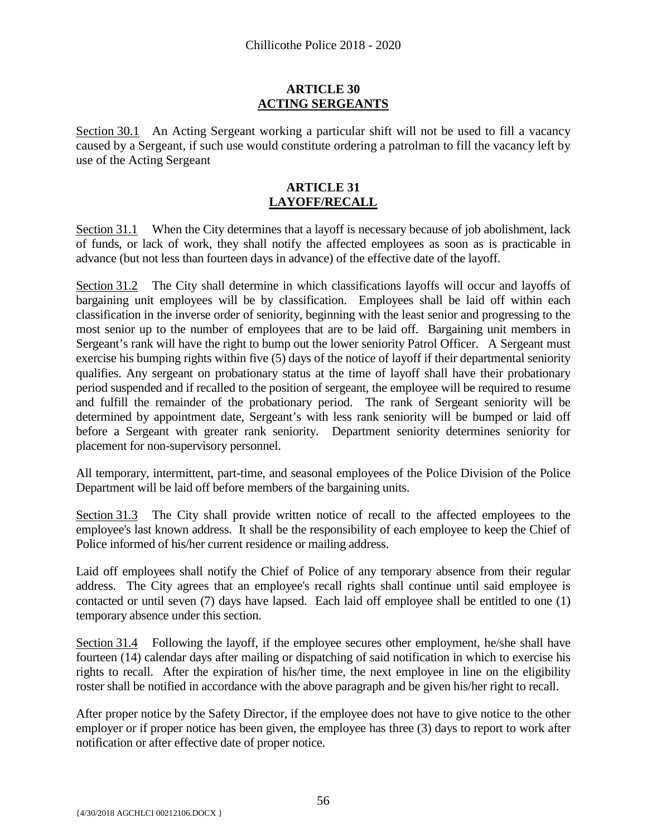#### **ARTICLE 30 ACTING SERGEANTS**

<span id="page-57-0"></span>Section 30.1 An Acting Sergeant working a particular shift will not be used to fill a vacancy caused by a Sergeant, if such use would constitute ordering a patrolman to fill the vacancy left by use of the Acting Sergeant

#### **ARTICLE 31 LAYOFF/RECALL**

<span id="page-57-1"></span>Section 31.1 When the City determines that a layoff is necessary because of job abolishment, lack of funds, or lack of work, they shall notify the affected employees as soon as is practicable in advance (but not less than fourteen days in advance) of the effective date of the layoff.

Section 31.2 The City shall determine in which classifications layoffs will occur and layoffs of bargaining unit employees will be by classification. Employees shall be laid off within each classification in the inverse order of seniority, beginning with the least senior and progressing to the most senior up to the number of employees that are to be laid off. Bargaining unit members in Sergeant's rank will have the right to bump out the lower seniority Patrol Officer. A Sergeant must exercise his bumping rights within five (5) days of the notice of layoff if their departmental seniority qualifies. Any sergeant on probationary status at the time of layoff shall have their probationary period suspended and if recalled to the position of sergeant, the employee will be required to resume and fulfill the remainder of the probationary period. The rank of Sergeant seniority will be determined by appointment date, Sergeant's with less rank seniority will be bumped or laid off before a Sergeant with greater rank seniority. Department seniority determines seniority for placement for non-supervisory personnel.

All temporary, intermittent, part-time, and seasonal employees of the Police Division of the Police Department will be laid off before members of the bargaining units.

Section 31.3 The City shall provide written notice of recall to the affected employees to the employee's last known address. It shall be the responsibility of each employee to keep the Chief of Police informed of his/her current residence or mailing address.

Laid off employees shall notify the Chief of Police of any temporary absence from their regular address. The City agrees that an employee's recall rights shall continue until said employee is contacted or until seven (7) days have lapsed. Each laid off employee shall be entitled to one (1) temporary absence under this section.

Section 31.4 Following the layoff, if the employee secures other employment, he/she shall have fourteen (14) calendar days after mailing or dispatching of said notification in which to exercise his rights to recall. After the expiration of his/her time, the next employee in line on the eligibility roster shall be notified in accordance with the above paragraph and be given his/her right to recall.

After proper notice by the Safety Director, if the employee does not have to give notice to the other employer or if proper notice has been given, the employee has three (3) days to report to work after notification or after effective date of proper notice.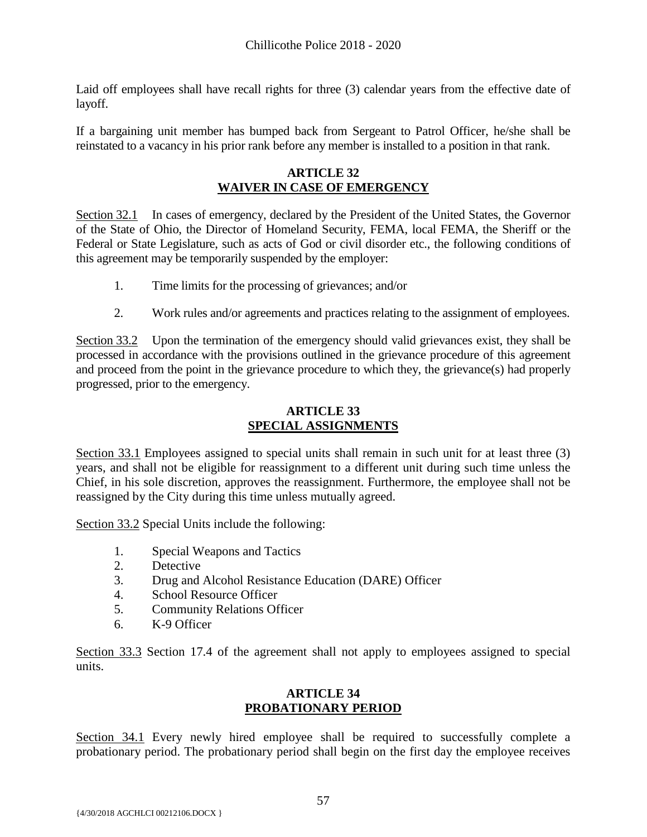Laid off employees shall have recall rights for three (3) calendar years from the effective date of layoff.

<span id="page-58-0"></span>If a bargaining unit member has bumped back from Sergeant to Patrol Officer, he/she shall be reinstated to a vacancy in his prior rank before any member is installed to a position in that rank.

#### **ARTICLE 32 WAIVER IN CASE OF EMERGENCY**

Section 32.1 In cases of emergency, declared by the President of the United States, the Governor of the State of Ohio, the Director of Homeland Security, FEMA, local FEMA, the Sheriff or the Federal or State Legislature, such as acts of God or civil disorder etc., the following conditions of this agreement may be temporarily suspended by the employer:

- 1. Time limits for the processing of grievances; and/or
- 2. Work rules and/or agreements and practices relating to the assignment of employees.

Section 33.2 Upon the termination of the emergency should valid grievances exist, they shall be processed in accordance with the provisions outlined in the grievance procedure of this agreement and proceed from the point in the grievance procedure to which they, the grievance(s) had properly progressed, prior to the emergency.

# **ARTICLE 33 SPECIAL ASSIGNMENTS**

<span id="page-58-1"></span>Section 33.1 Employees assigned to special units shall remain in such unit for at least three (3) years, and shall not be eligible for reassignment to a different unit during such time unless the Chief, in his sole discretion, approves the reassignment. Furthermore, the employee shall not be reassigned by the City during this time unless mutually agreed.

Section 33.2 Special Units include the following:

- 1. Special Weapons and Tactics
- 2. Detective
- 3. Drug and Alcohol Resistance Education (DARE) Officer
- 4. School Resource Officer
- 5. Community Relations Officer
- 6. K-9 Officer

<span id="page-58-2"></span>Section 33.3 Section 17.4 of the agreement shall not apply to employees assigned to special units.

#### **ARTICLE 34 PROBATIONARY PERIOD**

Section 34.1 Every newly hired employee shall be required to successfully complete a probationary period. The probationary period shall begin on the first day the employee receives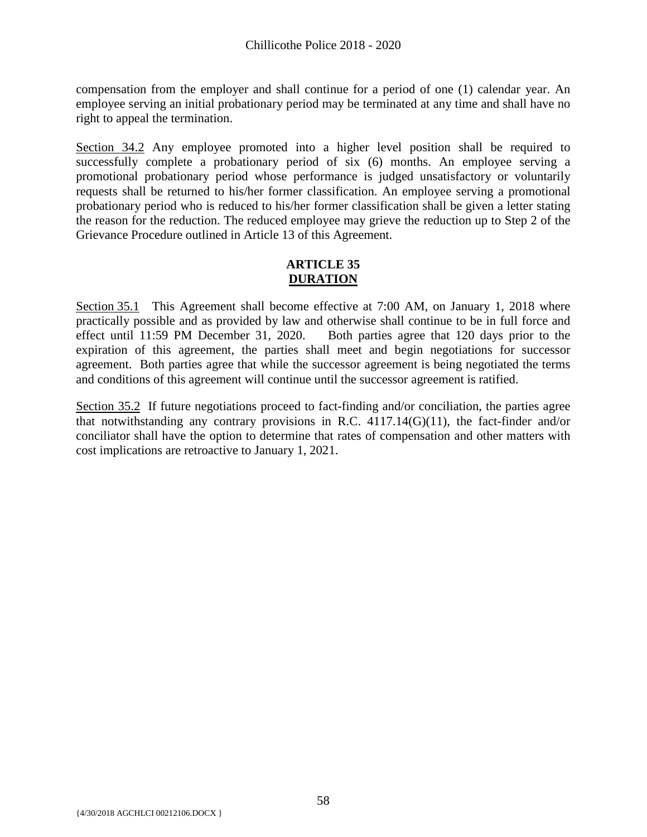compensation from the employer and shall continue for a period of one (1) calendar year. An employee serving an initial probationary period may be terminated at any time and shall have no right to appeal the termination.

Section 34.2 Any employee promoted into a higher level position shall be required to successfully complete a probationary period of six (6) months. An employee serving a promotional probationary period whose performance is judged unsatisfactory or voluntarily requests shall be returned to his/her former classification. An employee serving a promotional probationary period who is reduced to his/her former classification shall be given a letter stating the reason for the reduction. The reduced employee may grieve the reduction up to Step 2 of the Grievance Procedure outlined in Article 13 of this Agreement.

# **ARTICLE 35 DURATION**

<span id="page-59-0"></span>Section 35.1 This Agreement shall become effective at 7:00 AM, on January 1, 2018 where practically possible and as provided by law and otherwise shall continue to be in full force and effect until 11:59 PM December 31, 2020. Both parties agree that 120 days prior to the expiration of this agreement, the parties shall meet and begin negotiations for successor agreement. Both parties agree that while the successor agreement is being negotiated the terms and conditions of this agreement will continue until the successor agreement is ratified.

Section 35.2 If future negotiations proceed to fact-finding and/or conciliation, the parties agree that notwithstanding any contrary provisions in R.C.  $4117.14(G)(11)$ , the fact-finder and/or conciliator shall have the option to determine that rates of compensation and other matters with cost implications are retroactive to January 1, 2021.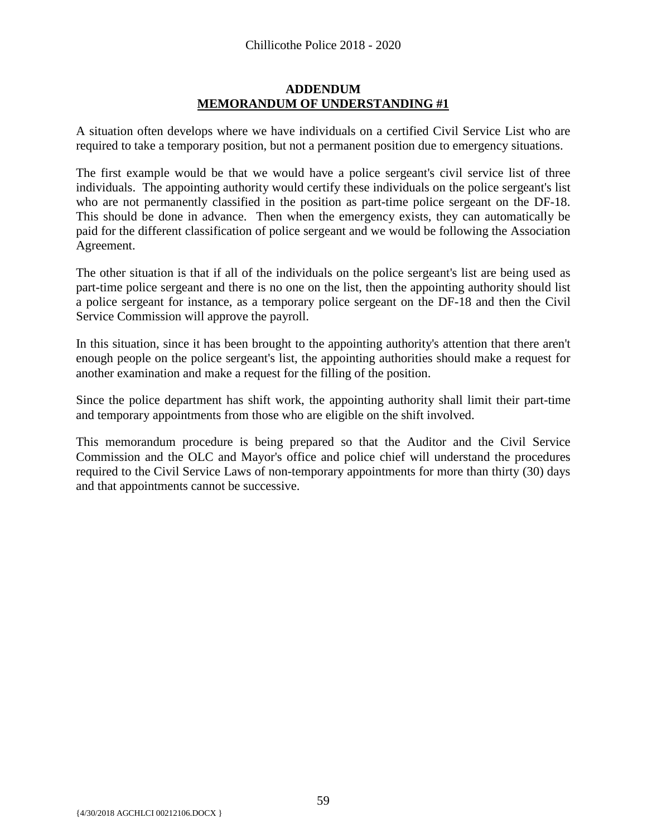#### **ADDENDUM MEMORANDUM OF UNDERSTANDING #1**

<span id="page-60-0"></span>A situation often develops where we have individuals on a certified Civil Service List who are required to take a temporary position, but not a permanent position due to emergency situations.

The first example would be that we would have a police sergeant's civil service list of three individuals. The appointing authority would certify these individuals on the police sergeant's list who are not permanently classified in the position as part-time police sergeant on the DF-18. This should be done in advance. Then when the emergency exists, they can automatically be paid for the different classification of police sergeant and we would be following the Association Agreement.

The other situation is that if all of the individuals on the police sergeant's list are being used as part-time police sergeant and there is no one on the list, then the appointing authority should list a police sergeant for instance, as a temporary police sergeant on the DF-18 and then the Civil Service Commission will approve the payroll.

In this situation, since it has been brought to the appointing authority's attention that there aren't enough people on the police sergeant's list, the appointing authorities should make a request for another examination and make a request for the filling of the position.

Since the police department has shift work, the appointing authority shall limit their part-time and temporary appointments from those who are eligible on the shift involved.

This memorandum procedure is being prepared so that the Auditor and the Civil Service Commission and the OLC and Mayor's office and police chief will understand the procedures required to the Civil Service Laws of non-temporary appointments for more than thirty (30) days and that appointments cannot be successive.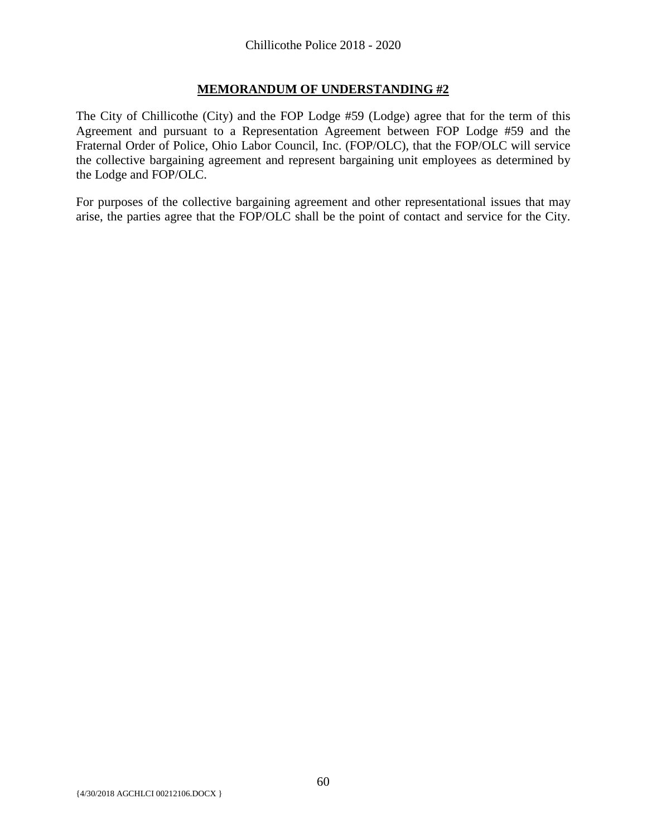# **MEMORANDUM OF UNDERSTANDING #2**

<span id="page-61-0"></span>The City of Chillicothe (City) and the FOP Lodge #59 (Lodge) agree that for the term of this Agreement and pursuant to a Representation Agreement between FOP Lodge #59 and the Fraternal Order of Police, Ohio Labor Council, Inc. (FOP/OLC), that the FOP/OLC will service the collective bargaining agreement and represent bargaining unit employees as determined by the Lodge and FOP/OLC.

For purposes of the collective bargaining agreement and other representational issues that may arise, the parties agree that the FOP/OLC shall be the point of contact and service for the City.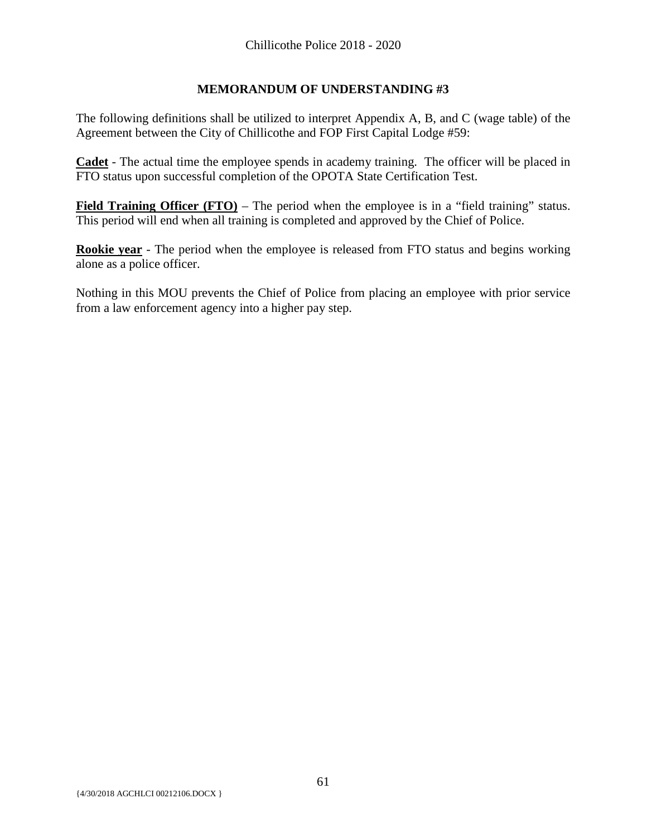# **MEMORANDUM OF UNDERSTANDING #3**

<span id="page-62-0"></span>The following definitions shall be utilized to interpret Appendix A, B, and C (wage table) of the Agreement between the City of Chillicothe and FOP First Capital Lodge #59:

**Cadet** - The actual time the employee spends in academy training. The officer will be placed in FTO status upon successful completion of the OPOTA State Certification Test.

**Field Training Officer (FTO)** – The period when the employee is in a "field training" status. This period will end when all training is completed and approved by the Chief of Police.

**Rookie year** - The period when the employee is released from FTO status and begins working alone as a police officer.

Nothing in this MOU prevents the Chief of Police from placing an employee with prior service from a law enforcement agency into a higher pay step.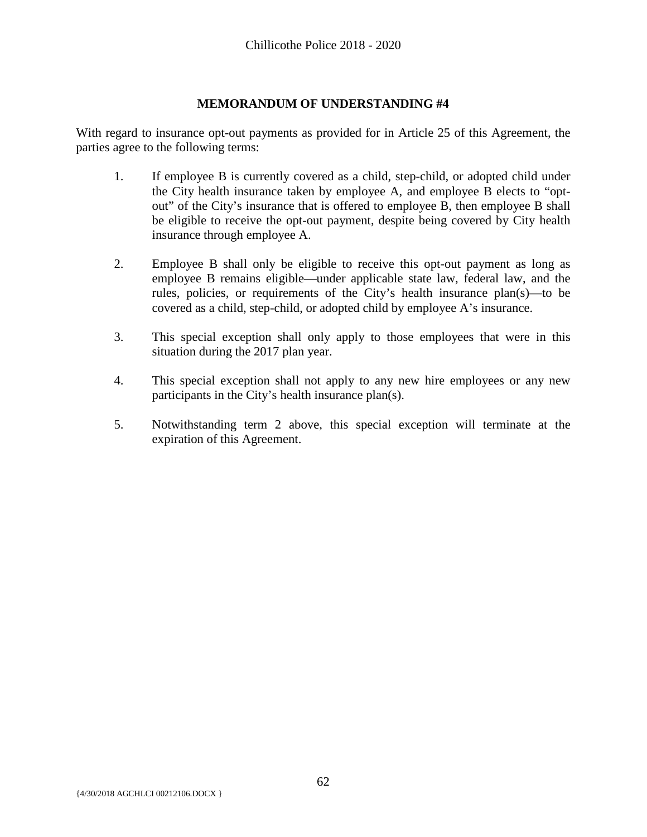# **MEMORANDUM OF UNDERSTANDING #4**

<span id="page-63-0"></span>With regard to insurance opt-out payments as provided for in Article 25 of this Agreement, the parties agree to the following terms:

- 1. If employee B is currently covered as a child, step-child, or adopted child under the City health insurance taken by employee A, and employee B elects to "optout" of the City's insurance that is offered to employee B, then employee B shall be eligible to receive the opt-out payment, despite being covered by City health insurance through employee A.
- 2. Employee B shall only be eligible to receive this opt-out payment as long as employee B remains eligible—under applicable state law, federal law, and the rules, policies, or requirements of the City's health insurance plan(s)—to be covered as a child, step-child, or adopted child by employee A's insurance.
- 3. This special exception shall only apply to those employees that were in this situation during the 2017 plan year.
- 4. This special exception shall not apply to any new hire employees or any new participants in the City's health insurance plan(s).
- 5. Notwithstanding term 2 above, this special exception will terminate at the expiration of this Agreement.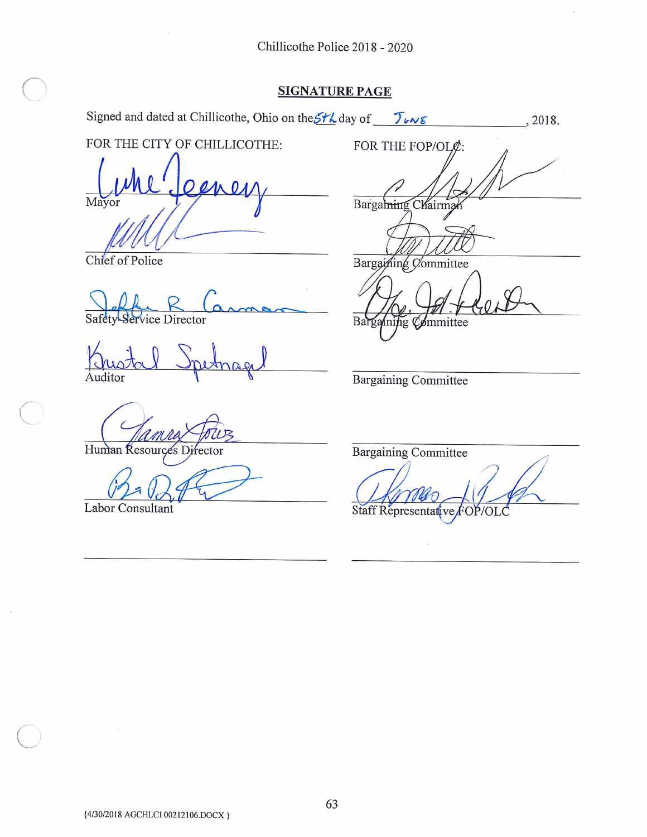$\bar{\epsilon}$ 

# **SIGNATURE PAGE**

| Signed and dated at Chillicothe, Ohio on the St L day of $\int v \wedge \varepsilon$ | , 2018.                     |
|--------------------------------------------------------------------------------------|-----------------------------|
| FOR THE CITY OF CHILLICOTHE:                                                         | FOR THE FOP/OL¢:            |
|                                                                                      |                             |
| Mayor                                                                                | Bargaining Chairma          |
| Chief of Police                                                                      | Bargaining Committee        |
| Safety Service Director                                                              | Bargaining Committee        |
|                                                                                      |                             |
| Auditor                                                                              |                             |
|                                                                                      | <b>Bargaining Committee</b> |
|                                                                                      |                             |
| Human Resources Director                                                             | <b>Bargaining Committee</b> |
|                                                                                      |                             |
| Labor Consultant                                                                     | Staff Representative FOP/O  |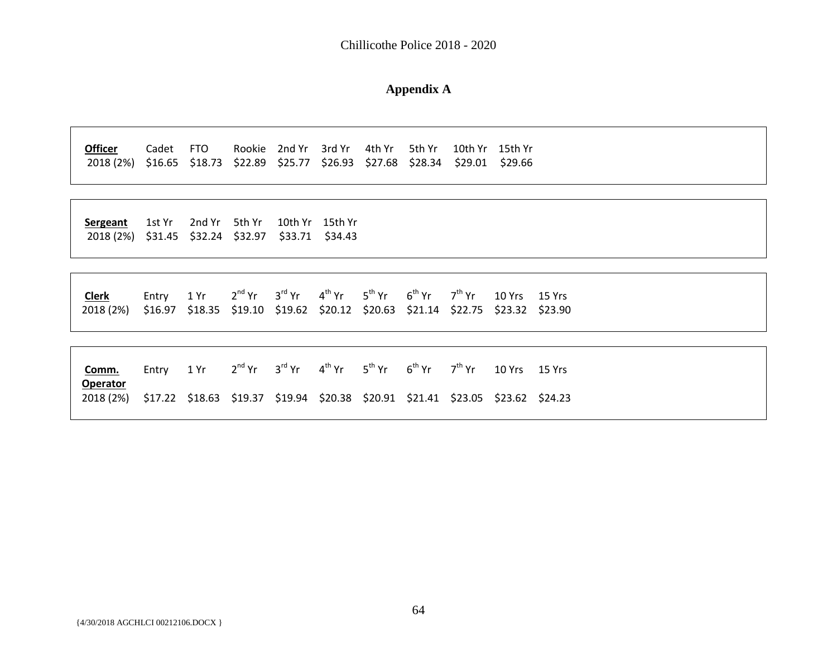Chillicothe Police 2018 - 2020

#### **Appendix A**

**Officer** Cadet FTO Rookie 2nd Yr 3rd Yr 4th Yr 5th Yr 10th Yr 15th Yr 2018 (2%) \$16.65 \$18.73 \$22.89 \$25.77 \$26.93 \$27.68 \$28.34 \$29.01 \$29.66

**Sergeant** 1st Yr 2nd Yr 5th Yr 10th Yr 15th Yr 2018 (2%) \$31.45 \$32.24 \$32.97 \$33.71 \$34.43

<span id="page-65-0"></span>

| Clerk                                                                                     | Entry 1 Yr 2 <sup>nd</sup> Yr 3 <sup>rd</sup> Yr 4 <sup>th</sup> Yr 5 <sup>th</sup> Yr 6 <sup>th</sup> Yr 7 <sup>th</sup> Yr 10 Yrs 15 Yrs |  |  |  |  |  |
|-------------------------------------------------------------------------------------------|--------------------------------------------------------------------------------------------------------------------------------------------|--|--|--|--|--|
| 2018 (2%) \$16.97 \$18.35 \$19.10 \$19.62 \$20.12 \$20.63 \$21.14 \$22.75 \$23.32 \$23.90 |                                                                                                                                            |  |  |  |  |  |

| Comm.                                                                                     | Entry 1 Yr |  | $2^{nd}$ Yr $3^{rd}$ Yr $4^{th}$ Yr $5^{th}$ Yr $6^{th}$ Yr $7^{th}$ Yr 10 Yrs 15 Yrs |  |  |  |
|-------------------------------------------------------------------------------------------|------------|--|---------------------------------------------------------------------------------------|--|--|--|
| <b>Operator</b>                                                                           |            |  |                                                                                       |  |  |  |
| 2018 (2%) \$17.22 \$18.63 \$19.37 \$19.94 \$20.38 \$20.91 \$21.41 \$23.05 \$23.62 \$24.23 |            |  |                                                                                       |  |  |  |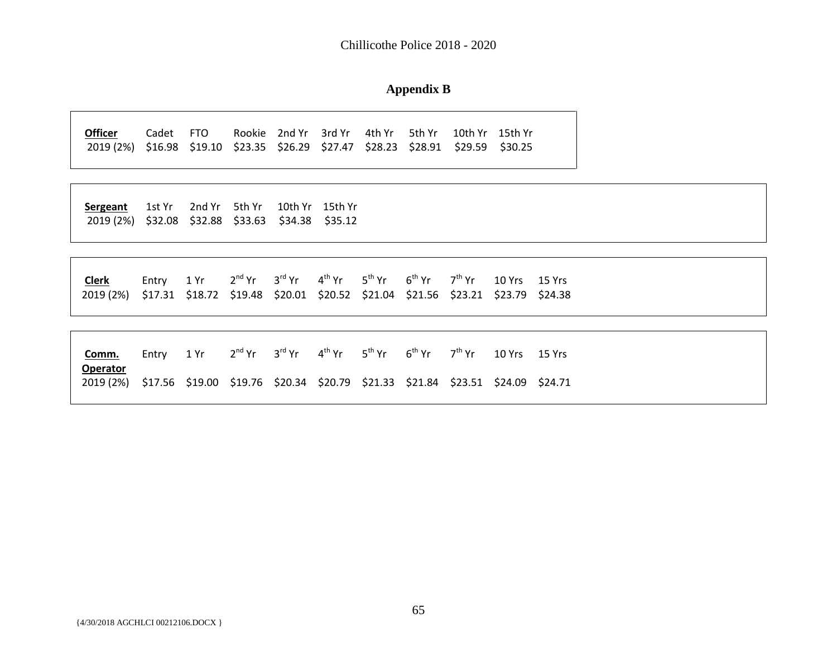Chillicothe Police 2018 - 2020

#### **Appendix B**

**Officer** Cadet FTO Rookie 2nd Yr 3rd Yr 4th Yr 5th Yr 10th Yr 15th Yr 2019 (2%) \$16.98 \$19.10 \$23.35 \$26.29 \$27.47 \$28.23 \$28.91 \$29.59 \$30.25

**Sergeant** 1st Yr 2nd Yr 5th Yr 10th Yr 15th Yr 2019 (2%) \$32.08 \$32.88 \$33.63 \$34.38 \$35.12

| <b>Clerk</b>                                                                              | Entry 1 Yr 2 <sup>nd</sup> Yr 3 <sup>rd</sup> Yr 4 <sup>th</sup> Yr 5 <sup>th</sup> Yr 6 <sup>th</sup> Yr 7 <sup>th</sup> Yr 10 Yrs 15 Yrs |  |  |  |  |
|-------------------------------------------------------------------------------------------|--------------------------------------------------------------------------------------------------------------------------------------------|--|--|--|--|
| 2019 (2%) \$17.31 \$18.72 \$19.48 \$20.01 \$20.52 \$21.04 \$21.56 \$23.21 \$23.79 \$24.38 |                                                                                                                                            |  |  |  |  |

| Comm.                                                                                                        | Entry |  | $1$ Yr $2^{nd}$ Yr $3^{rd}$ Yr $4^{th}$ Yr $5^{th}$ Yr $6^{th}$ Yr $7^{th}$ Yr $10$ Yrs $15$ Yrs |  |  |  |
|--------------------------------------------------------------------------------------------------------------|-------|--|--------------------------------------------------------------------------------------------------|--|--|--|
| <b>Operator</b><br>2019 (2%) \$17.56 \$19.00 \$19.76 \$20.34 \$20.79 \$21.33 \$21.84 \$23.51 \$24.09 \$24.71 |       |  |                                                                                                  |  |  |  |